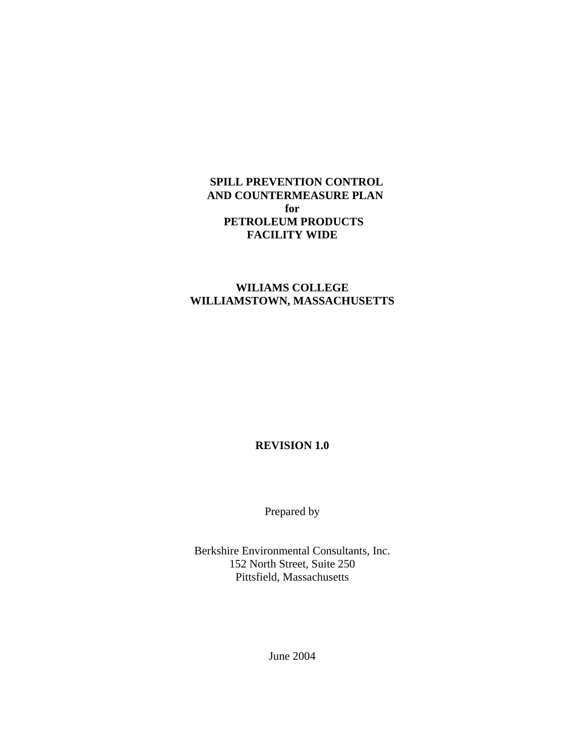# **SPILL PREVENTION CONTROL AND COUNTERMEASURE PLAN for PETROLEUM PRODUCTS FACILITY WIDE**

# **WILIAMS COLLEGE WILLIAMSTOWN, MASSACHUSETTS**

 **REVISION 1.0** 

Prepared by

 Berkshire Environmental Consultants, Inc. 152 North Street, Suite 250 Pittsfield, Massachusetts

June 2004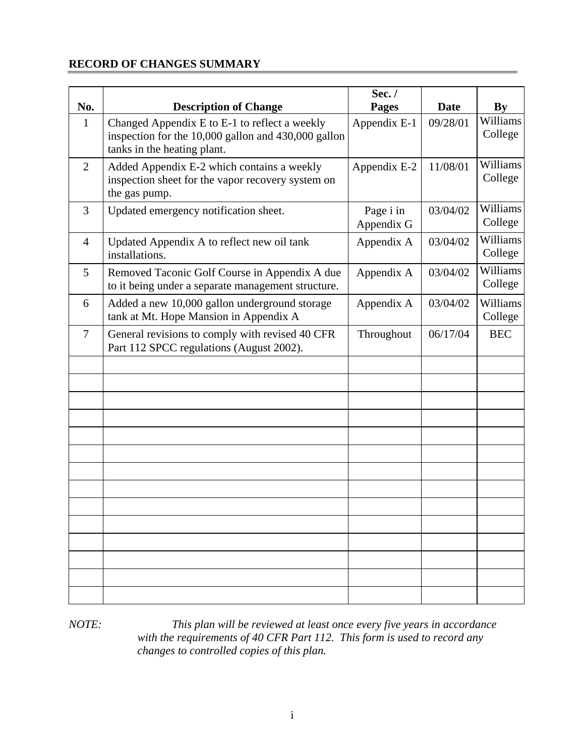# **RECORD OF CHANGES SUMMARY**

| No.            | <b>Description of Change</b>                                                                                                        | Sec. $/$<br><b>Pages</b> | <b>Date</b> | By                  |
|----------------|-------------------------------------------------------------------------------------------------------------------------------------|--------------------------|-------------|---------------------|
| $\mathbf{1}$   | Changed Appendix E to E-1 to reflect a weekly<br>inspection for the 10,000 gallon and 430,000 gallon<br>tanks in the heating plant. | Appendix E-1             | 09/28/01    | Williams<br>College |
| $\overline{2}$ | Added Appendix E-2 which contains a weekly<br>inspection sheet for the vapor recovery system on<br>the gas pump.                    | Appendix E-2             | 11/08/01    | Williams<br>College |
| 3              | Updated emergency notification sheet.                                                                                               | Page i in<br>Appendix G  | 03/04/02    | Williams<br>College |
| 4              | Updated Appendix A to reflect new oil tank<br>installations.                                                                        | Appendix A               | 03/04/02    | Williams<br>College |
| 5              | Removed Taconic Golf Course in Appendix A due<br>to it being under a separate management structure.                                 | Appendix A               | 03/04/02    | Williams<br>College |
| 6              | Added a new 10,000 gallon underground storage<br>tank at Mt. Hope Mansion in Appendix A                                             | Appendix A               | 03/04/02    | Williams<br>College |
| 7              | General revisions to comply with revised 40 CFR<br>Part 112 SPCC regulations (August 2002).                                         | Throughout               | 06/17/04    | <b>BEC</b>          |
|                |                                                                                                                                     |                          |             |                     |
|                |                                                                                                                                     |                          |             |                     |
|                |                                                                                                                                     |                          |             |                     |
|                |                                                                                                                                     |                          |             |                     |
|                |                                                                                                                                     |                          |             |                     |
|                |                                                                                                                                     |                          |             |                     |
|                |                                                                                                                                     |                          |             |                     |
|                |                                                                                                                                     |                          |             |                     |
|                |                                                                                                                                     |                          |             |                     |
|                |                                                                                                                                     |                          |             |                     |
|                |                                                                                                                                     |                          |             |                     |
|                |                                                                                                                                     |                          |             |                     |

*NOTE: This plan will be reviewed at least once every five years in accordance with the requirements of 40 CFR Part 112. This form is used to record any changes to controlled copies of this plan.*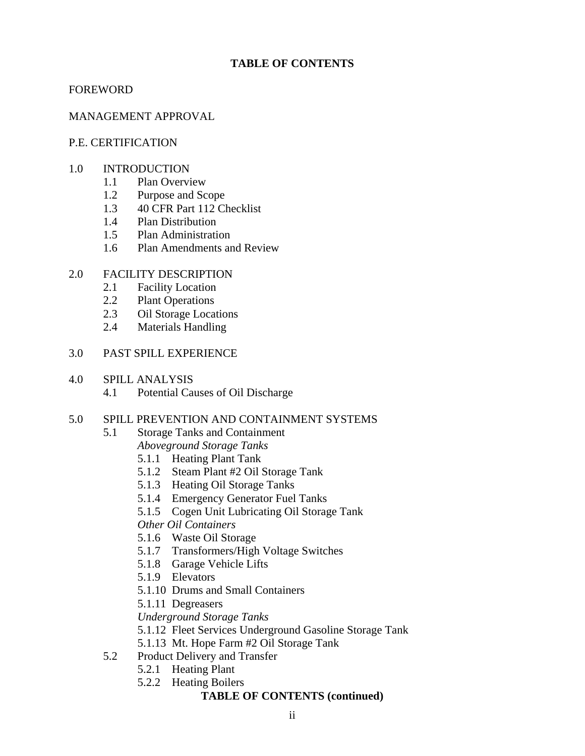# **TABLE OF CONTENTS**

# FOREWORD

# MANAGEMENT APPROVAL

# P.E. CERTIFICATION

#### 1.0 INTRODUCTION

- 1.1 Plan Overview
- 1.2 Purpose and Scope
- 1.3 40 CFR Part 112 Checklist
- 1.4 Plan Distribution
- 1.5 Plan Administration
- 1.6 Plan Amendments and Review

# 2.0 FACILITY DESCRIPTION

- 2.1 Facility Location
- 2.2 Plant Operations
- 2.3 Oil Storage Locations
- 2.4 Materials Handling
- 3.0 PAST SPILL EXPERIENCE
- 4.0 SPILL ANALYSIS
	- 4.1 Potential Causes of Oil Discharge

# 5.0 SPILL PREVENTION AND CONTAINMENT SYSTEMS

- 5.1 Storage Tanks and Containment *Aboveground Storage Tanks* 
	- 5.1.1 Heating Plant Tank
	- 5.1.2 Steam Plant #2 Oil Storage Tank
	- 5.1.3 Heating Oil Storage Tanks
	- 5.1.4 Emergency Generator Fuel Tanks
	- 5.1.5 Cogen Unit Lubricating Oil Storage Tank

*Other Oil Containers* 

- 5.1.6 Waste Oil Storage
- 5.1.7 Transformers/High Voltage Switches
- 5.1.8 Garage Vehicle Lifts
- 5.1.9 Elevators
- 5.1.10 Drums and Small Containers
- 5.1.11 Degreasers

*Underground Storage Tanks* 

- 5.1.12 Fleet Services Underground Gasoline Storage Tank
- 5.1.13 Mt. Hope Farm #2 Oil Storage Tank
- 5.2 Product Delivery and Transfer
	- 5.2.1 Heating Plant
	- 5.2.2 Heating Boilers

# **TABLE OF CONTENTS (continued)**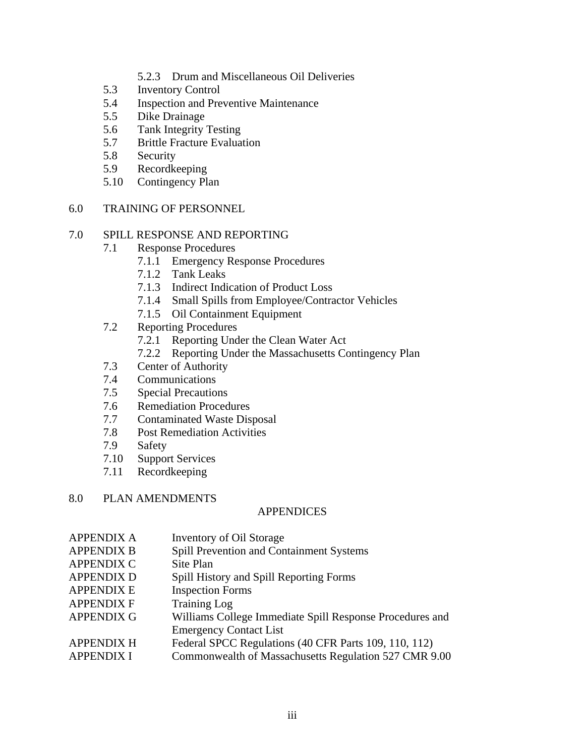- 5.2.3 Drum and Miscellaneous Oil Deliveries
- 5.3 Inventory Control
- 5.4 Inspection and Preventive Maintenance
- 5.5 Dike Drainage
- 5.6 Tank Integrity Testing
- 5.7 Brittle Fracture Evaluation
- 5.8 Security
- 5.9 Recordkeeping
- 5.10 Contingency Plan
- 6.0 TRAINING OF PERSONNEL

### 7.0 SPILL RESPONSE AND REPORTING

- 7.1 Response Procedures
	- 7.1.1 Emergency Response Procedures
	- 7.1.2 Tank Leaks
	- 7.1.3 Indirect Indication of Product Loss
	- 7.1.4 Small Spills from Employee/Contractor Vehicles
	- 7.1.5 Oil Containment Equipment
- 7.2 Reporting Procedures
	- 7.2.1 Reporting Under the Clean Water Act
	- 7.2.2 Reporting Under the Massachusetts Contingency Plan
- 7.3 Center of Authority
- 7.4 Communications
- 7.5 Special Precautions
- 7.6 Remediation Procedures
- 7.7 Contaminated Waste Disposal
- 7.8 Post Remediation Activities
- 7.9 Safety
- 7.10 Support Services
- 7.11 Recordkeeping

#### 8.0 PLAN AMENDMENTS

# APPENDICES

- APPENDIX A Inventory of Oil Storage
- APPENDIX B Spill Prevention and Containment Systems
- APPENDIX C Site Plan
- APPENDIX D Spill History and Spill Reporting Forms
- APPENDIX E Inspection Forms
- APPENDIX F Training Log
- APPENDIX G Williams College Immediate Spill Response Procedures and Emergency Contact List
- APPENDIX H Federal SPCC Regulations (40 CFR Parts 109, 110, 112)
- APPENDIX I Commonwealth of Massachusetts Regulation 527 CMR 9.00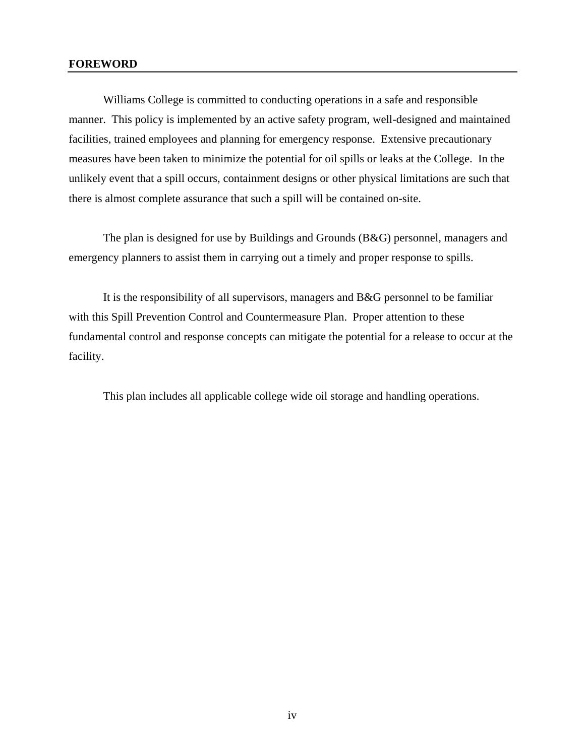### **FOREWORD**

Williams College is committed to conducting operations in a safe and responsible manner. This policy is implemented by an active safety program, well-designed and maintained facilities, trained employees and planning for emergency response. Extensive precautionary measures have been taken to minimize the potential for oil spills or leaks at the College. In the unlikely event that a spill occurs, containment designs or other physical limitations are such that there is almost complete assurance that such a spill will be contained on-site.

The plan is designed for use by Buildings and Grounds (B&G) personnel, managers and emergency planners to assist them in carrying out a timely and proper response to spills.

It is the responsibility of all supervisors, managers and B&G personnel to be familiar with this Spill Prevention Control and Countermeasure Plan. Proper attention to these fundamental control and response concepts can mitigate the potential for a release to occur at the facility.

This plan includes all applicable college wide oil storage and handling operations.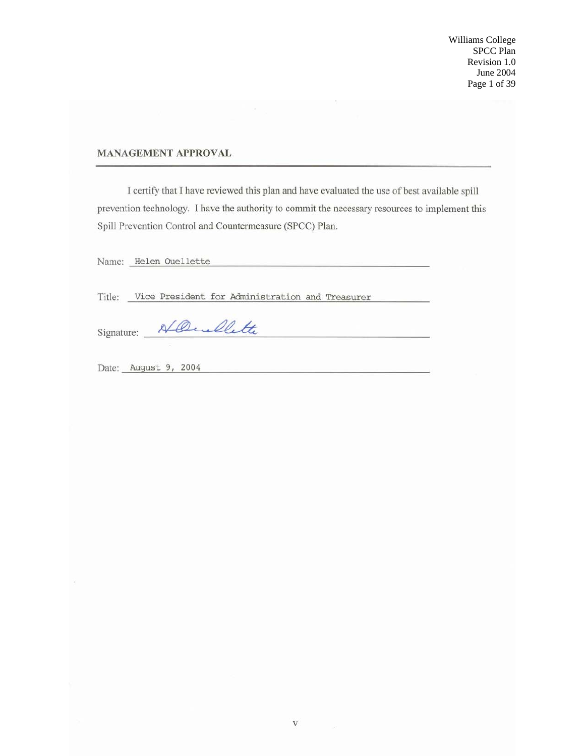Williams College SPCC Plan Revision 1.0 June 2004 Page 1 of 39

# **MANAGEMENT APPROVAL**

I certify that I have reviewed this plan and have evaluated the use of best available spill prevention technology. I have the authority to commit the necessary resources to implement this Spill Prevention Control and Countermeasure (SPCC) Plan.

Name: Helen Ouellette

Title: Vice President for Administration and Treasurer

Signature: Albertlette

Date: August 9, 2004

 $\bar{\nu}$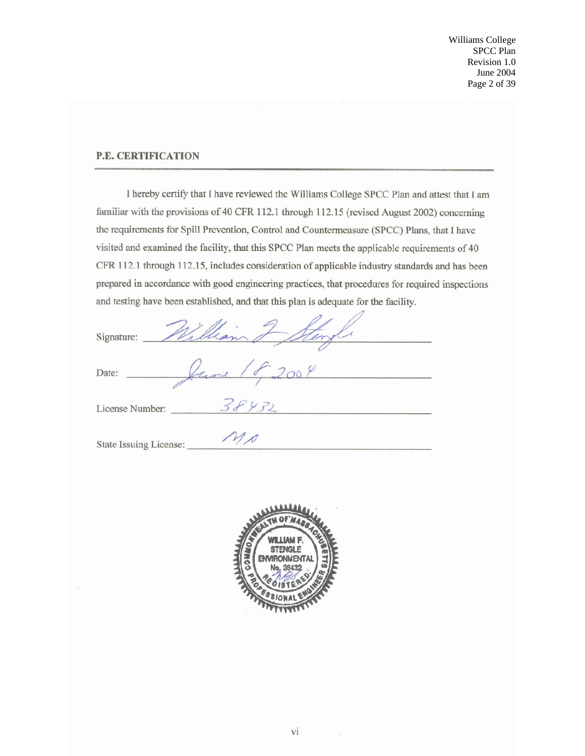### P.E. CERTIFICATION

I hereby certify that I have reviewed the Williams College SPCC Plan and attest that I am familiar with the provisions of 40 CFR 112.1 through 112.15 (revised August 2002) concerning the requirements for Spill Prevention, Control and Countermeasure (SPCC) Plans, that I have visited and examined the facility, that this SPCC Plan meets the applicable requirements of 40 CFR 112.1 through 112.15, includes consideration of applicable industry standards and has been prepared in accordance with good engineering practices, that procedures for required inspections and testing have been established, and that this plan is adequate for the facility.

| Signature:             |                          |
|------------------------|--------------------------|
| Date:                  | une 18 2004              |
| License Number:        | 8432                     |
| State Issuing License: | $\overline{\phantom{a}}$ |

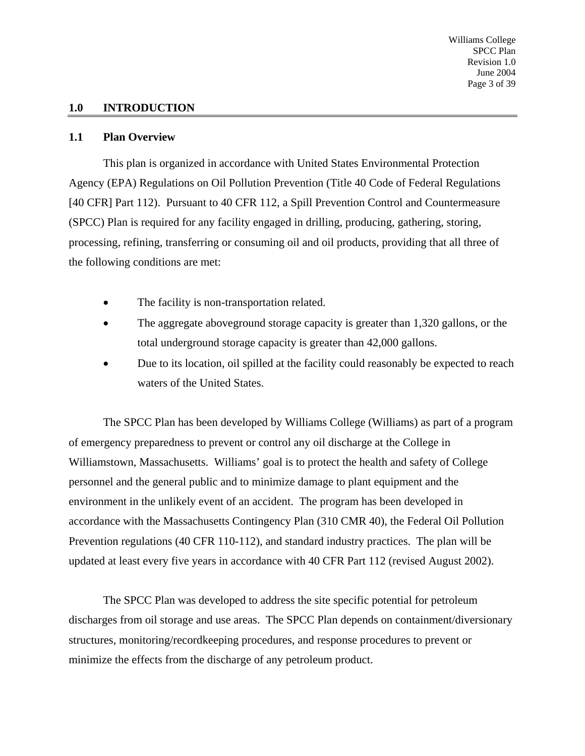### **1.0 INTRODUCTION**

#### **1.1 Plan Overview**

 This plan is organized in accordance with United States Environmental Protection Agency (EPA) Regulations on Oil Pollution Prevention (Title 40 Code of Federal Regulations [40 CFR] Part 112). Pursuant to 40 CFR 112, a Spill Prevention Control and Countermeasure (SPCC) Plan is required for any facility engaged in drilling, producing, gathering, storing, processing, refining, transferring or consuming oil and oil products, providing that all three of the following conditions are met:

- The facility is non-transportation related.
- The aggregate aboveground storage capacity is greater than 1,320 gallons, or the total underground storage capacity is greater than 42,000 gallons.
- Due to its location, oil spilled at the facility could reasonably be expected to reach waters of the United States.

The SPCC Plan has been developed by Williams College (Williams) as part of a program of emergency preparedness to prevent or control any oil discharge at the College in Williamstown, Massachusetts. Williams' goal is to protect the health and safety of College personnel and the general public and to minimize damage to plant equipment and the environment in the unlikely event of an accident. The program has been developed in accordance with the Massachusetts Contingency Plan (310 CMR 40), the Federal Oil Pollution Prevention regulations (40 CFR 110-112), and standard industry practices. The plan will be updated at least every five years in accordance with 40 CFR Part 112 (revised August 2002).

The SPCC Plan was developed to address the site specific potential for petroleum discharges from oil storage and use areas. The SPCC Plan depends on containment/diversionary structures, monitoring/recordkeeping procedures, and response procedures to prevent or minimize the effects from the discharge of any petroleum product.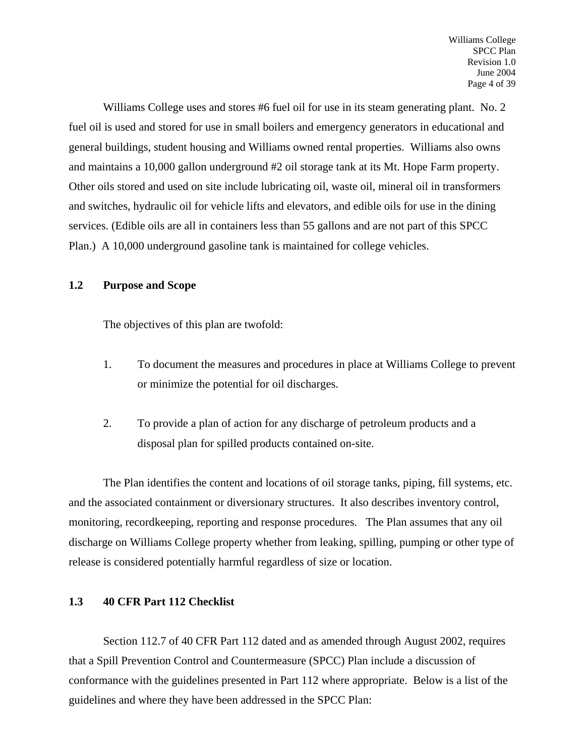Williams College uses and stores #6 fuel oil for use in its steam generating plant. No. 2 fuel oil is used and stored for use in small boilers and emergency generators in educational and general buildings, student housing and Williams owned rental properties. Williams also owns and maintains a 10,000 gallon underground #2 oil storage tank at its Mt. Hope Farm property. Other oils stored and used on site include lubricating oil, waste oil, mineral oil in transformers and switches, hydraulic oil for vehicle lifts and elevators, and edible oils for use in the dining services. (Edible oils are all in containers less than 55 gallons and are not part of this SPCC Plan.) A 10,000 underground gasoline tank is maintained for college vehicles.

# **1.2 Purpose and Scope**

The objectives of this plan are twofold:

- 1. To document the measures and procedures in place at Williams College to prevent or minimize the potential for oil discharges.
- 2. To provide a plan of action for any discharge of petroleum products and a disposal plan for spilled products contained on-site.

The Plan identifies the content and locations of oil storage tanks, piping, fill systems, etc. and the associated containment or diversionary structures. It also describes inventory control, monitoring, recordkeeping, reporting and response procedures. The Plan assumes that any oil discharge on Williams College property whether from leaking, spilling, pumping or other type of release is considered potentially harmful regardless of size or location.

# **1.3 40 CFR Part 112 Checklist**

Section 112.7 of 40 CFR Part 112 dated and as amended through August 2002, requires that a Spill Prevention Control and Countermeasure (SPCC) Plan include a discussion of conformance with the guidelines presented in Part 112 where appropriate. Below is a list of the guidelines and where they have been addressed in the SPCC Plan: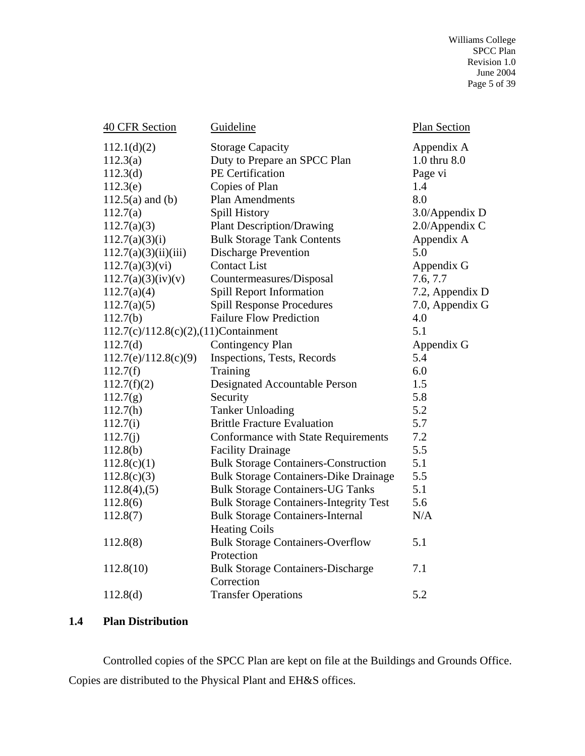| <b>40 CFR Section</b>                   | Guideline                                     | <b>Plan Section</b> |
|-----------------------------------------|-----------------------------------------------|---------------------|
| 112.1(d)(2)                             | <b>Storage Capacity</b>                       | Appendix A          |
| 112.3(a)                                | Duty to Prepare an SPCC Plan                  | 1.0 thru 8.0        |
| 112.3(d)                                | PE Certification                              | Page vi             |
| 112.3(e)                                | Copies of Plan                                | 1.4                 |
| $112.5(a)$ and (b)                      | <b>Plan Amendments</b>                        | 8.0                 |
| 112.7(a)                                | Spill History                                 | 3.0/Appendix D      |
| 112.7(a)(3)                             | <b>Plant Description/Drawing</b>              | 2.0/Appendix C      |
| 112.7(a)(3)(i)                          | <b>Bulk Storage Tank Contents</b>             | Appendix A          |
| 112.7(a)(3)(ii)(iii)                    | <b>Discharge Prevention</b>                   | 5.0                 |
| 112.7(a)(3)(vi)                         | <b>Contact List</b>                           | Appendix G          |
| 112.7(a)(3)(iv)(v)                      | Countermeasures/Disposal                      | 7.6, 7.7            |
| 112.7(a)(4)                             | Spill Report Information                      | 7.2, Appendix D     |
| 112.7(a)(5)                             | <b>Spill Response Procedures</b>              | 7.0, Appendix G     |
| 112.7(b)                                | <b>Failure Flow Prediction</b>                | 4.0                 |
| $112.7(c)/112.8(c)(2),(11)$ Containment |                                               | 5.1                 |
| 112.7(d)                                | <b>Contingency Plan</b>                       | Appendix G          |
| 112.7(e)/112.8(c)(9)                    | Inspections, Tests, Records                   | 5.4                 |
| 112.7(f)                                | Training                                      | 6.0                 |
| 112.7(f)(2)                             | Designated Accountable Person                 | 1.5                 |
| 112.7(g)                                | Security                                      | 5.8                 |
| 112.7(h)                                | <b>Tanker Unloading</b>                       | 5.2                 |
| 112.7(i)                                | <b>Brittle Fracture Evaluation</b>            | 5.7                 |
| 112.7(j)                                | <b>Conformance with State Requirements</b>    | 7.2                 |
| 112.8(b)                                | <b>Facility Drainage</b>                      | 5.5                 |
| 112.8(c)(1)                             | <b>Bulk Storage Containers-Construction</b>   | 5.1                 |
| 112.8(c)(3)                             | <b>Bulk Storage Containers-Dike Drainage</b>  | 5.5                 |
| $112.8(4)$ , (5)                        | <b>Bulk Storage Containers-UG Tanks</b>       | 5.1                 |
| 112.8(6)                                | <b>Bulk Storage Containers-Integrity Test</b> | 5.6                 |
| 112.8(7)                                | <b>Bulk Storage Containers-Internal</b>       | N/A                 |
|                                         | <b>Heating Coils</b>                          |                     |
| 112.8(8)                                | <b>Bulk Storage Containers-Overflow</b>       | 5.1                 |
|                                         | Protection                                    |                     |
| 112.8(10)                               | <b>Bulk Storage Containers-Discharge</b>      | 7.1                 |
|                                         | Correction                                    |                     |
| 112.8(d)                                | <b>Transfer Operations</b>                    | 5.2                 |

# **1.4 Plan Distribution**

Controlled copies of the SPCC Plan are kept on file at the Buildings and Grounds Office. Copies are distributed to the Physical Plant and EH&S offices.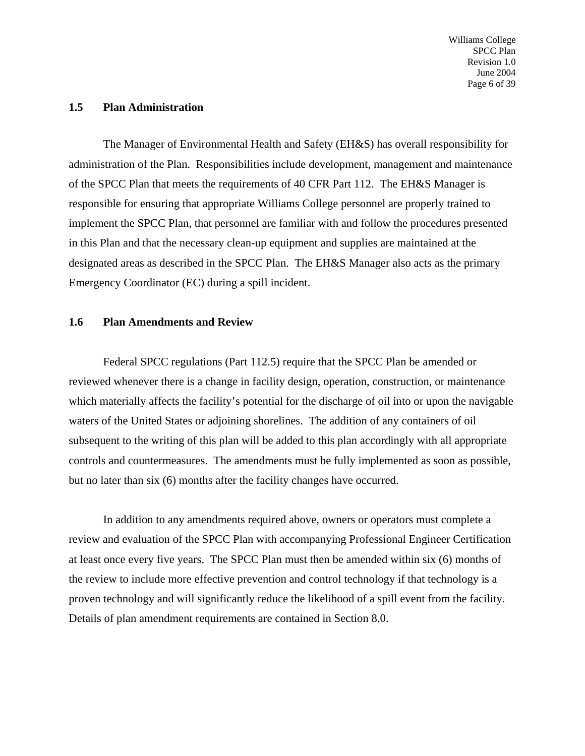# **1.5 Plan Administration**

The Manager of Environmental Health and Safety (EH&S) has overall responsibility for administration of the Plan. Responsibilities include development, management and maintenance of the SPCC Plan that meets the requirements of 40 CFR Part 112. The EH&S Manager is responsible for ensuring that appropriate Williams College personnel are properly trained to implement the SPCC Plan, that personnel are familiar with and follow the procedures presented in this Plan and that the necessary clean-up equipment and supplies are maintained at the designated areas as described in the SPCC Plan. The EH&S Manager also acts as the primary Emergency Coordinator (EC) during a spill incident.

### **1.6 Plan Amendments and Review**

Federal SPCC regulations (Part 112.5) require that the SPCC Plan be amended or reviewed whenever there is a change in facility design, operation, construction, or maintenance which materially affects the facility's potential for the discharge of oil into or upon the navigable waters of the United States or adjoining shorelines. The addition of any containers of oil subsequent to the writing of this plan will be added to this plan accordingly with all appropriate controls and countermeasures. The amendments must be fully implemented as soon as possible, but no later than six (6) months after the facility changes have occurred.

 In addition to any amendments required above, owners or operators must complete a review and evaluation of the SPCC Plan with accompanying Professional Engineer Certification at least once every five years. The SPCC Plan must then be amended within six (6) months of the review to include more effective prevention and control technology if that technology is a proven technology and will significantly reduce the likelihood of a spill event from the facility. Details of plan amendment requirements are contained in Section 8.0.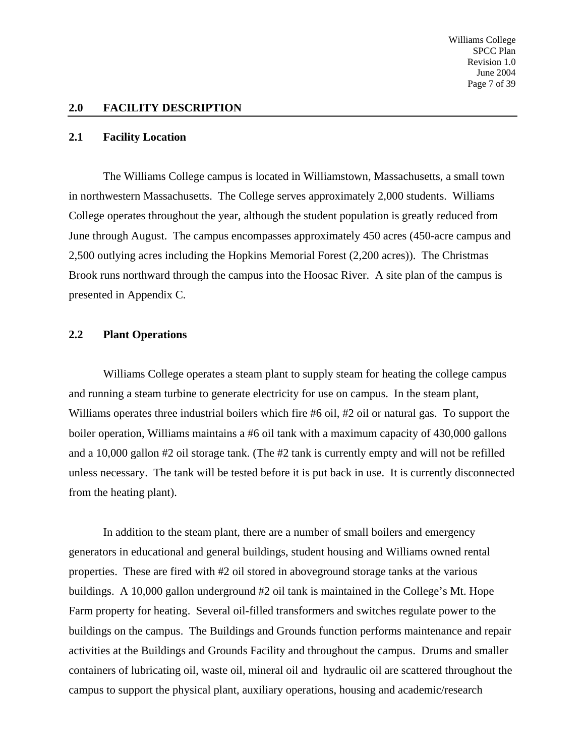#### **2.0 FACILITY DESCRIPTION**

#### **2.1 Facility Location**

 The Williams College campus is located in Williamstown, Massachusetts, a small town in northwestern Massachusetts. The College serves approximately 2,000 students. Williams College operates throughout the year, although the student population is greatly reduced from June through August. The campus encompasses approximately 450 acres (450-acre campus and 2,500 outlying acres including the Hopkins Memorial Forest (2,200 acres)). The Christmas Brook runs northward through the campus into the Hoosac River. A site plan of the campus is presented in Appendix C.

#### **2.2 Plant Operations**

Williams College operates a steam plant to supply steam for heating the college campus and running a steam turbine to generate electricity for use on campus. In the steam plant, Williams operates three industrial boilers which fire #6 oil, #2 oil or natural gas. To support the boiler operation, Williams maintains a #6 oil tank with a maximum capacity of 430,000 gallons and a 10,000 gallon #2 oil storage tank. (The #2 tank is currently empty and will not be refilled unless necessary. The tank will be tested before it is put back in use. It is currently disconnected from the heating plant).

 In addition to the steam plant, there are a number of small boilers and emergency generators in educational and general buildings, student housing and Williams owned rental properties. These are fired with #2 oil stored in aboveground storage tanks at the various buildings. A 10,000 gallon underground #2 oil tank is maintained in the College's Mt. Hope Farm property for heating. Several oil-filled transformers and switches regulate power to the buildings on the campus. The Buildings and Grounds function performs maintenance and repair activities at the Buildings and Grounds Facility and throughout the campus. Drums and smaller containers of lubricating oil, waste oil, mineral oil and hydraulic oil are scattered throughout the campus to support the physical plant, auxiliary operations, housing and academic/research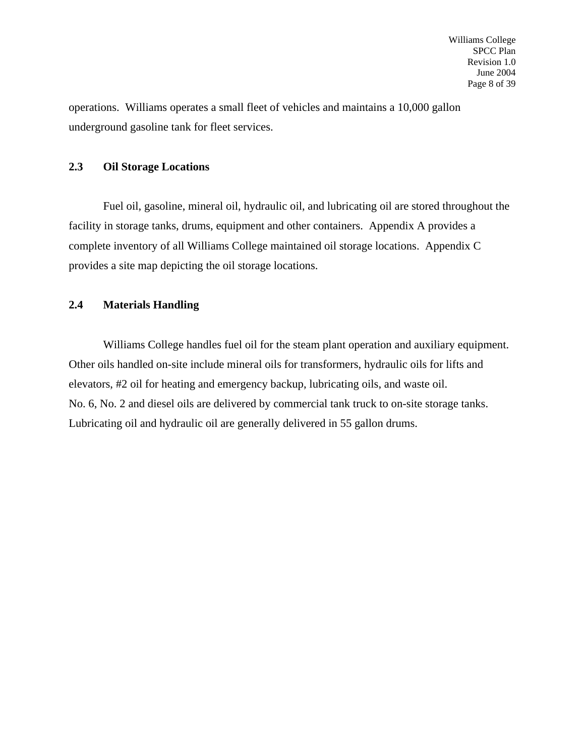operations. Williams operates a small fleet of vehicles and maintains a 10,000 gallon underground gasoline tank for fleet services.

# **2.3 Oil Storage Locations**

Fuel oil, gasoline, mineral oil, hydraulic oil, and lubricating oil are stored throughout the facility in storage tanks, drums, equipment and other containers. Appendix A provides a complete inventory of all Williams College maintained oil storage locations. Appendix C provides a site map depicting the oil storage locations.

# **2.4 Materials Handling**

Williams College handles fuel oil for the steam plant operation and auxiliary equipment. Other oils handled on-site include mineral oils for transformers, hydraulic oils for lifts and elevators, #2 oil for heating and emergency backup, lubricating oils, and waste oil. No. 6, No. 2 and diesel oils are delivered by commercial tank truck to on-site storage tanks. Lubricating oil and hydraulic oil are generally delivered in 55 gallon drums.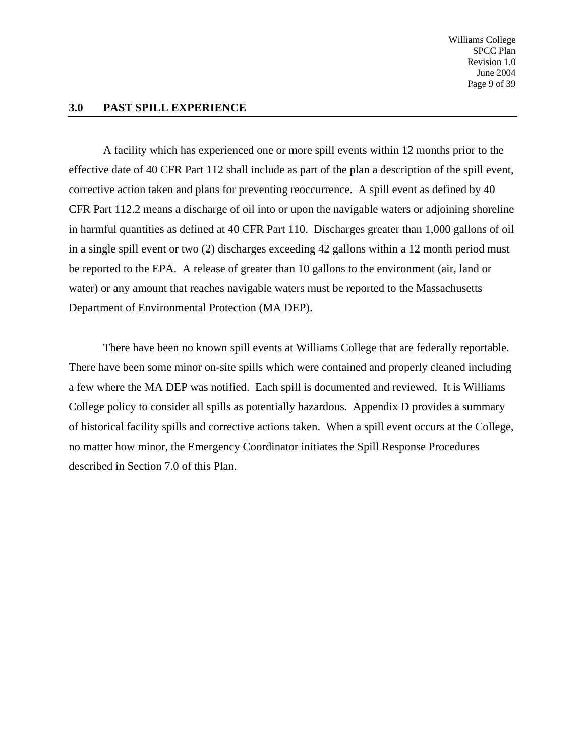#### **3.0 PAST SPILL EXPERIENCE**

A facility which has experienced one or more spill events within 12 months prior to the effective date of 40 CFR Part 112 shall include as part of the plan a description of the spill event, corrective action taken and plans for preventing reoccurrence. A spill event as defined by 40 CFR Part 112.2 means a discharge of oil into or upon the navigable waters or adjoining shoreline in harmful quantities as defined at 40 CFR Part 110. Discharges greater than 1,000 gallons of oil in a single spill event or two (2) discharges exceeding 42 gallons within a 12 month period must be reported to the EPA. A release of greater than 10 gallons to the environment (air, land or water) or any amount that reaches navigable waters must be reported to the Massachusetts Department of Environmental Protection (MA DEP).

There have been no known spill events at Williams College that are federally reportable. There have been some minor on-site spills which were contained and properly cleaned including a few where the MA DEP was notified. Each spill is documented and reviewed. It is Williams College policy to consider all spills as potentially hazardous.Appendix D provides a summary of historical facility spills and corrective actions taken. When a spill event occurs at the College, no matter how minor, the Emergency Coordinator initiates the Spill Response Procedures described in Section 7.0 of this Plan.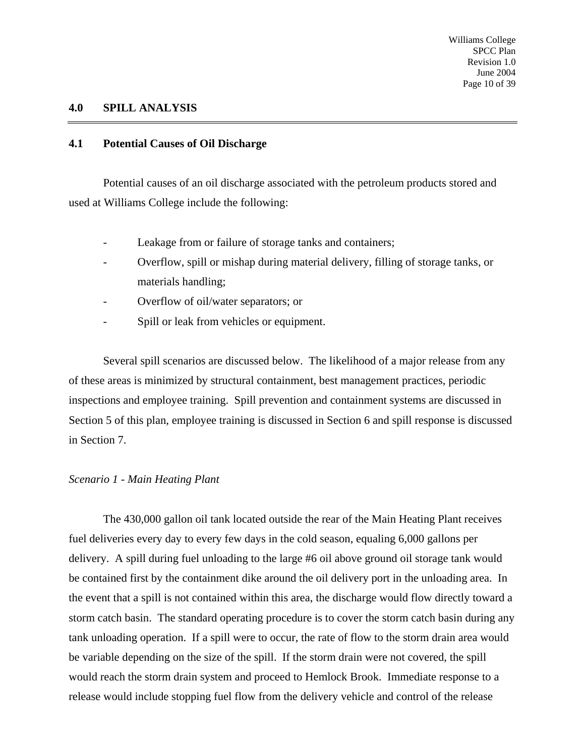# **4.0 SPILL ANALYSIS**

#### **4.1 Potential Causes of Oil Discharge**

Potential causes of an oil discharge associated with the petroleum products stored and used at Williams College include the following:

- Leakage from or failure of storage tanks and containers;
- Overflow, spill or mishap during material delivery, filling of storage tanks, or materials handling;
- Overflow of oil/water separators; or
- Spill or leak from vehicles or equipment.

 Several spill scenarios are discussed below. The likelihood of a major release from any of these areas is minimized by structural containment, best management practices, periodic inspections and employee training. Spill prevention and containment systems are discussed in Section 5 of this plan, employee training is discussed in Section 6 and spill response is discussed in Section 7.

#### *Scenario 1 - Main Heating Plant*

 The 430,000 gallon oil tank located outside the rear of the Main Heating Plant receives fuel deliveries every day to every few days in the cold season, equaling 6,000 gallons per delivery. A spill during fuel unloading to the large #6 oil above ground oil storage tank would be contained first by the containment dike around the oil delivery port in the unloading area. In the event that a spill is not contained within this area, the discharge would flow directly toward a storm catch basin. The standard operating procedure is to cover the storm catch basin during any tank unloading operation. If a spill were to occur, the rate of flow to the storm drain area would be variable depending on the size of the spill. If the storm drain were not covered, the spill would reach the storm drain system and proceed to Hemlock Brook. Immediate response to a release would include stopping fuel flow from the delivery vehicle and control of the release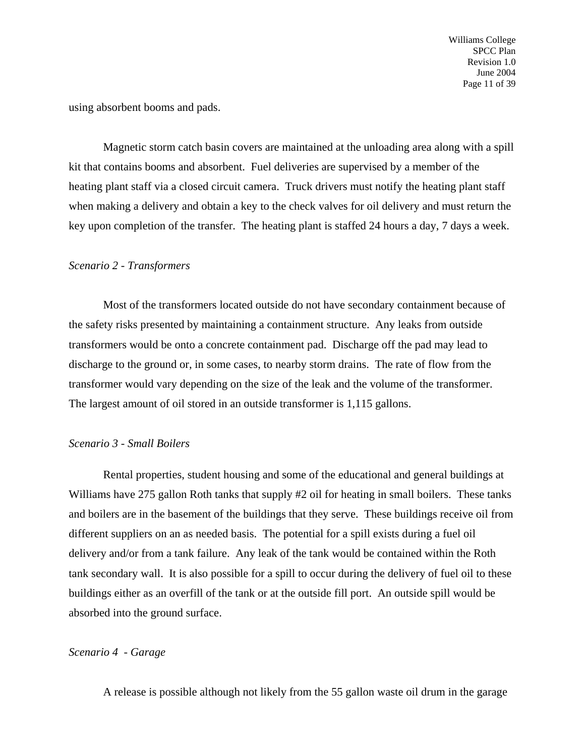using absorbent booms and pads.

 Magnetic storm catch basin covers are maintained at the unloading area along with a spill kit that contains booms and absorbent. Fuel deliveries are supervised by a member of the heating plant staff via a closed circuit camera. Truck drivers must notify the heating plant staff when making a delivery and obtain a key to the check valves for oil delivery and must return the key upon completion of the transfer. The heating plant is staffed 24 hours a day, 7 days a week.

#### *Scenario 2 - Transformers*

 Most of the transformers located outside do not have secondary containment because of the safety risks presented by maintaining a containment structure. Any leaks from outside transformers would be onto a concrete containment pad. Discharge off the pad may lead to discharge to the ground or, in some cases, to nearby storm drains. The rate of flow from the transformer would vary depending on the size of the leak and the volume of the transformer. The largest amount of oil stored in an outside transformer is 1,115 gallons.

#### *Scenario 3 - Small Boilers*

Rental properties, student housing and some of the educational and general buildings at Williams have 275 gallon Roth tanks that supply #2 oil for heating in small boilers. These tanks and boilers are in the basement of the buildings that they serve. These buildings receive oil from different suppliers on an as needed basis. The potential for a spill exists during a fuel oil delivery and/or from a tank failure. Any leak of the tank would be contained within the Roth tank secondary wall. It is also possible for a spill to occur during the delivery of fuel oil to these buildings either as an overfill of the tank or at the outside fill port. An outside spill would be absorbed into the ground surface.

#### *Scenario 4 - Garage*

A release is possible although not likely from the 55 gallon waste oil drum in the garage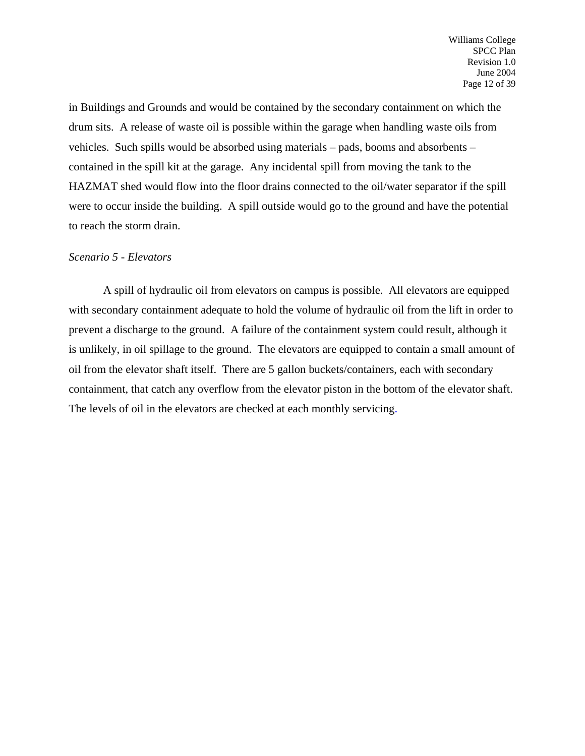in Buildings and Grounds and would be contained by the secondary containment on which the drum sits. A release of waste oil is possible within the garage when handling waste oils from vehicles. Such spills would be absorbed using materials – pads, booms and absorbents – contained in the spill kit at the garage. Any incidental spill from moving the tank to the HAZMAT shed would flow into the floor drains connected to the oil/water separator if the spill were to occur inside the building. A spill outside would go to the ground and have the potential to reach the storm drain.

# *Scenario 5 - Elevators*

 A spill of hydraulic oil from elevators on campus is possible. All elevators are equipped with secondary containment adequate to hold the volume of hydraulic oil from the lift in order to prevent a discharge to the ground. A failure of the containment system could result, although it is unlikely, in oil spillage to the ground. The elevators are equipped to contain a small amount of oil from the elevator shaft itself. There are 5 gallon buckets/containers, each with secondary containment, that catch any overflow from the elevator piston in the bottom of the elevator shaft. The levels of oil in the elevators are checked at each monthly servicing.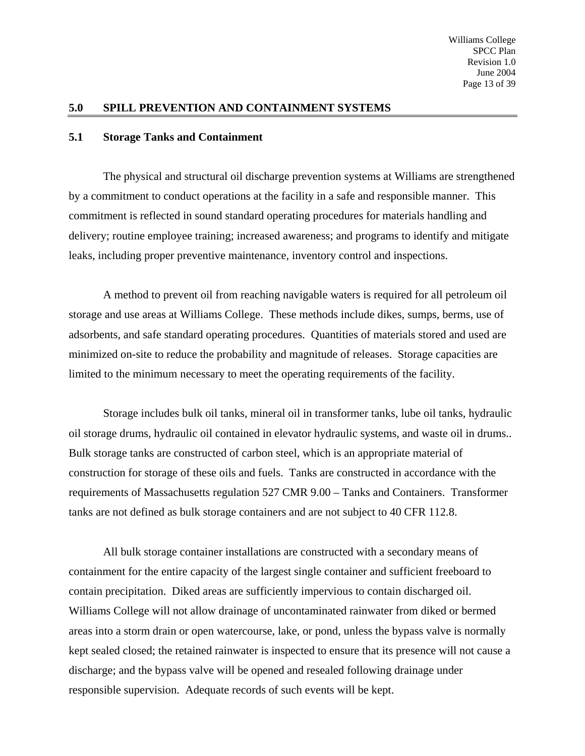### **5.0 SPILL PREVENTION AND CONTAINMENT SYSTEMS**

#### **5.1 Storage Tanks and Containment**

 The physical and structural oil discharge prevention systems at Williams are strengthened by a commitment to conduct operations at the facility in a safe and responsible manner. This commitment is reflected in sound standard operating procedures for materials handling and delivery; routine employee training; increased awareness; and programs to identify and mitigate leaks, including proper preventive maintenance, inventory control and inspections.

 A method to prevent oil from reaching navigable waters is required for all petroleum oil storage and use areas at Williams College. These methods include dikes, sumps, berms, use of adsorbents, and safe standard operating procedures. Quantities of materials stored and used are minimized on-site to reduce the probability and magnitude of releases. Storage capacities are limited to the minimum necessary to meet the operating requirements of the facility.

 Storage includes bulk oil tanks, mineral oil in transformer tanks, lube oil tanks, hydraulic oil storage drums, hydraulic oil contained in elevator hydraulic systems, and waste oil in drums.. Bulk storage tanks are constructed of carbon steel, which is an appropriate material of construction for storage of these oils and fuels. Tanks are constructed in accordance with the requirements of Massachusetts regulation 527 CMR 9.00 – Tanks and Containers. Transformer tanks are not defined as bulk storage containers and are not subject to 40 CFR 112.8.

 All bulk storage container installations are constructed with a secondary means of containment for the entire capacity of the largest single container and sufficient freeboard to contain precipitation. Diked areas are sufficiently impervious to contain discharged oil. Williams College will not allow drainage of uncontaminated rainwater from diked or bermed areas into a storm drain or open watercourse, lake, or pond, unless the bypass valve is normally kept sealed closed; the retained rainwater is inspected to ensure that its presence will not cause a discharge; and the bypass valve will be opened and resealed following drainage under responsible supervision. Adequate records of such events will be kept.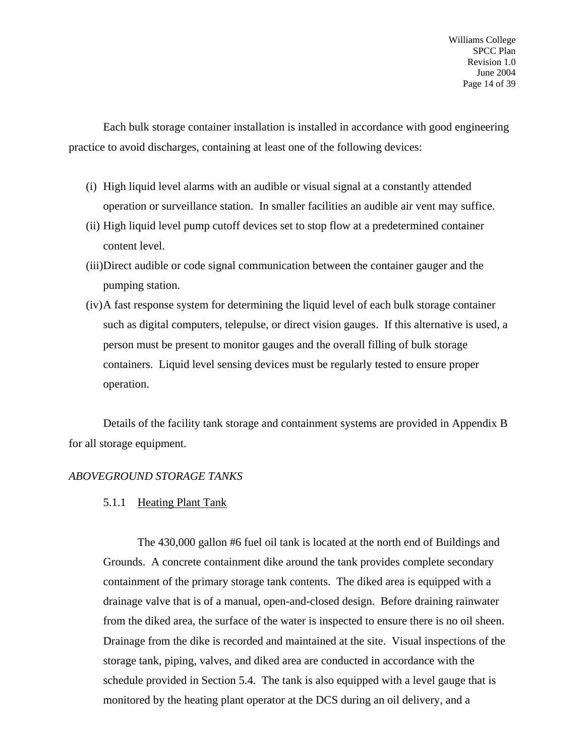Each bulk storage container installation is installed in accordance with good engineering practice to avoid discharges, containing at least one of the following devices:

- (i) High liquid level alarms with an audible or visual signal at a constantly attended operation or surveillance station. In smaller facilities an audible air vent may suffice.
- (ii) High liquid level pump cutoff devices set to stop flow at a predetermined container content level.
- (iii)Direct audible or code signal communication between the container gauger and the pumping station.
- (iv)A fast response system for determining the liquid level of each bulk storage container such as digital computers, telepulse, or direct vision gauges. If this alternative is used, a person must be present to monitor gauges and the overall filling of bulk storage containers. Liquid level sensing devices must be regularly tested to ensure proper operation.

 Details of the facility tank storage and containment systems are provided in Appendix B for all storage equipment.

#### *ABOVEGROUND STORAGE TANKS*

# 5.1.1 Heating Plant Tank

The 430,000 gallon #6 fuel oil tank is located at the north end of Buildings and Grounds. A concrete containment dike around the tank provides complete secondary containment of the primary storage tank contents. The diked area is equipped with a drainage valve that is of a manual, open-and-closed design. Before draining rainwater from the diked area, the surface of the water is inspected to ensure there is no oil sheen. Drainage from the dike is recorded and maintained at the site. Visual inspections of the storage tank, piping, valves, and diked area are conducted in accordance with the schedule provided in Section 5.4. The tank is also equipped with a level gauge that is monitored by the heating plant operator at the DCS during an oil delivery, and a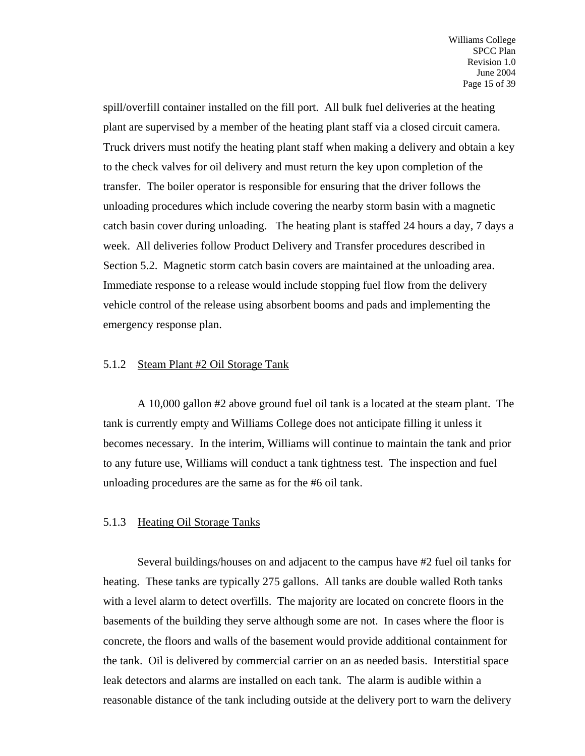spill/overfill container installed on the fill port. All bulk fuel deliveries at the heating plant are supervised by a member of the heating plant staff via a closed circuit camera. Truck drivers must notify the heating plant staff when making a delivery and obtain a key to the check valves for oil delivery and must return the key upon completion of the transfer. The boiler operator is responsible for ensuring that the driver follows the unloading procedures which include covering the nearby storm basin with a magnetic catch basin cover during unloading. The heating plant is staffed 24 hours a day, 7 days a week. All deliveries follow Product Delivery and Transfer procedures described in Section 5.2. Magnetic storm catch basin covers are maintained at the unloading area. Immediate response to a release would include stopping fuel flow from the delivery vehicle control of the release using absorbent booms and pads and implementing the emergency response plan.

### 5.1.2 Steam Plant #2 Oil Storage Tank

A 10,000 gallon #2 above ground fuel oil tank is a located at the steam plant. The tank is currently empty and Williams College does not anticipate filling it unless it becomes necessary. In the interim, Williams will continue to maintain the tank and prior to any future use, Williams will conduct a tank tightness test. The inspection and fuel unloading procedures are the same as for the #6 oil tank.

# 5.1.3 Heating Oil Storage Tanks

Several buildings/houses on and adjacent to the campus have #2 fuel oil tanks for heating. These tanks are typically 275 gallons. All tanks are double walled Roth tanks with a level alarm to detect overfills. The majority are located on concrete floors in the basements of the building they serve although some are not. In cases where the floor is concrete, the floors and walls of the basement would provide additional containment for the tank. Oil is delivered by commercial carrier on an as needed basis. Interstitial space leak detectors and alarms are installed on each tank. The alarm is audible within a reasonable distance of the tank including outside at the delivery port to warn the delivery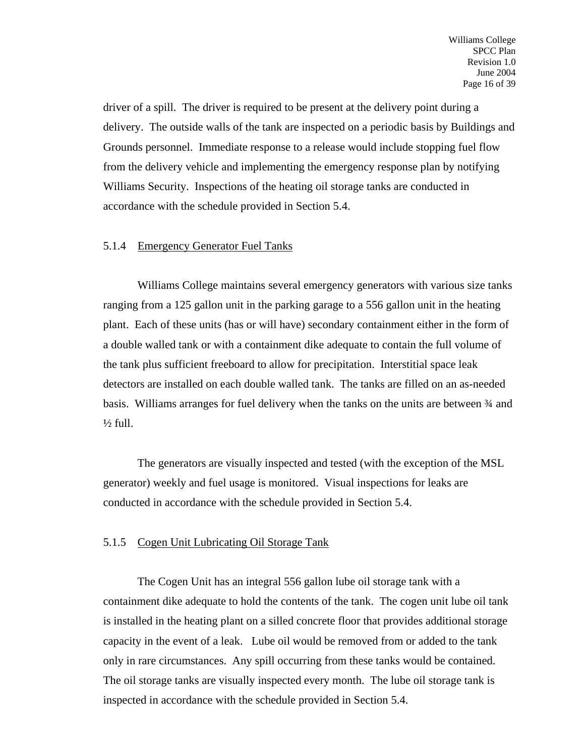driver of a spill. The driver is required to be present at the delivery point during a delivery. The outside walls of the tank are inspected on a periodic basis by Buildings and Grounds personnel. Immediate response to a release would include stopping fuel flow from the delivery vehicle and implementing the emergency response plan by notifying Williams Security. Inspections of the heating oil storage tanks are conducted in accordance with the schedule provided in Section 5.4.

#### 5.1.4 Emergency Generator Fuel Tanks

 Williams College maintains several emergency generators with various size tanks ranging from a 125 gallon unit in the parking garage to a 556 gallon unit in the heating plant. Each of these units (has or will have) secondary containment either in the form of a double walled tank or with a containment dike adequate to contain the full volume of the tank plus sufficient freeboard to allow for precipitation. Interstitial space leak detectors are installed on each double walled tank. The tanks are filled on an as-needed basis. Williams arranges for fuel delivery when the tanks on the units are between ¾ and  $\frac{1}{2}$  full.

The generators are visually inspected and tested (with the exception of the MSL generator) weekly and fuel usage is monitored. Visual inspections for leaks are conducted in accordance with the schedule provided in Section 5.4.

#### 5.1.5 Cogen Unit Lubricating Oil Storage Tank

The Cogen Unit has an integral 556 gallon lube oil storage tank with a containment dike adequate to hold the contents of the tank. The cogen unit lube oil tank is installed in the heating plant on a silled concrete floor that provides additional storage capacity in the event of a leak. Lube oil would be removed from or added to the tank only in rare circumstances. Any spill occurring from these tanks would be contained. The oil storage tanks are visually inspected every month. The lube oil storage tank is inspected in accordance with the schedule provided in Section 5.4.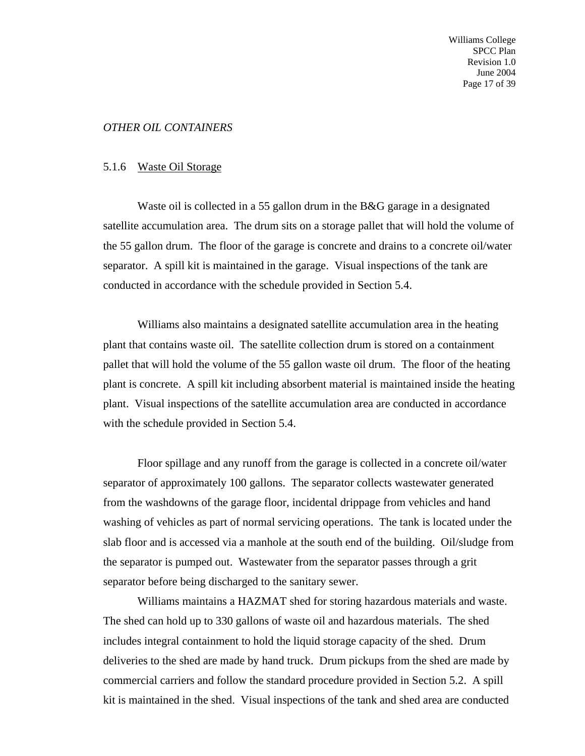### *OTHER OIL CONTAINERS*

#### 5.1.6 Waste Oil Storage

Waste oil is collected in a 55 gallon drum in the B&G garage in a designated satellite accumulation area. The drum sits on a storage pallet that will hold the volume of the 55 gallon drum. The floor of the garage is concrete and drains to a concrete oil/water separator. A spill kit is maintained in the garage. Visual inspections of the tank are conducted in accordance with the schedule provided in Section 5.4.

Williams also maintains a designated satellite accumulation area in the heating plant that contains waste oil. The satellite collection drum is stored on a containment pallet that will hold the volume of the 55 gallon waste oil drum. The floor of the heating plant is concrete. A spill kit including absorbent material is maintained inside the heating plant. Visual inspections of the satellite accumulation area are conducted in accordance with the schedule provided in Section 5.4.

Floor spillage and any runoff from the garage is collected in a concrete oil/water separator of approximately 100 gallons. The separator collects wastewater generated from the washdowns of the garage floor, incidental drippage from vehicles and hand washing of vehicles as part of normal servicing operations. The tank is located under the slab floor and is accessed via a manhole at the south end of the building. Oil/sludge from the separator is pumped out. Wastewater from the separator passes through a grit separator before being discharged to the sanitary sewer.

Williams maintains a HAZMAT shed for storing hazardous materials and waste. The shed can hold up to 330 gallons of waste oil and hazardous materials. The shed includes integral containment to hold the liquid storage capacity of the shed. Drum deliveries to the shed are made by hand truck. Drum pickups from the shed are made by commercial carriers and follow the standard procedure provided in Section 5.2. A spill kit is maintained in the shed. Visual inspections of the tank and shed area are conducted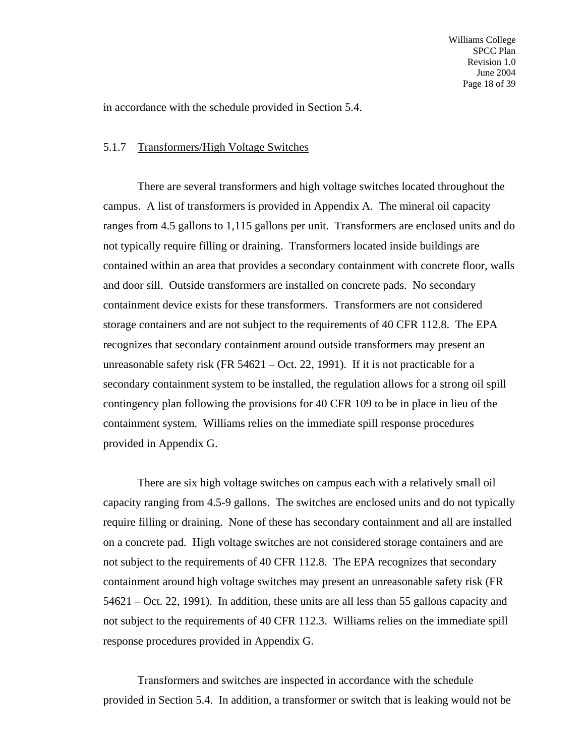in accordance with the schedule provided in Section 5.4.

### 5.1.7 Transformers/High Voltage Switches

There are several transformers and high voltage switches located throughout the campus. A list of transformers is provided in Appendix A. The mineral oil capacity ranges from 4.5 gallons to 1,115 gallons per unit. Transformers are enclosed units and do not typically require filling or draining. Transformers located inside buildings are contained within an area that provides a secondary containment with concrete floor, walls and door sill. Outside transformers are installed on concrete pads. No secondary containment device exists for these transformers. Transformers are not considered storage containers and are not subject to the requirements of 40 CFR 112.8. The EPA recognizes that secondary containment around outside transformers may present an unreasonable safety risk (FR 54621 – Oct. 22, 1991). If it is not practicable for a secondary containment system to be installed, the regulation allows for a strong oil spill contingency plan following the provisions for 40 CFR 109 to be in place in lieu of the containment system. Williams relies on the immediate spill response procedures provided in Appendix G.

There are six high voltage switches on campus each with a relatively small oil capacity ranging from 4.5-9 gallons. The switches are enclosed units and do not typically require filling or draining. None of these has secondary containment and all are installed on a concrete pad. High voltage switches are not considered storage containers and are not subject to the requirements of 40 CFR 112.8. The EPA recognizes that secondary containment around high voltage switches may present an unreasonable safety risk (FR 54621 – Oct. 22, 1991). In addition, these units are all less than 55 gallons capacity and not subject to the requirements of 40 CFR 112.3. Williams relies on the immediate spill response procedures provided in Appendix G.

Transformers and switches are inspected in accordance with the schedule provided in Section 5.4. In addition, a transformer or switch that is leaking would not be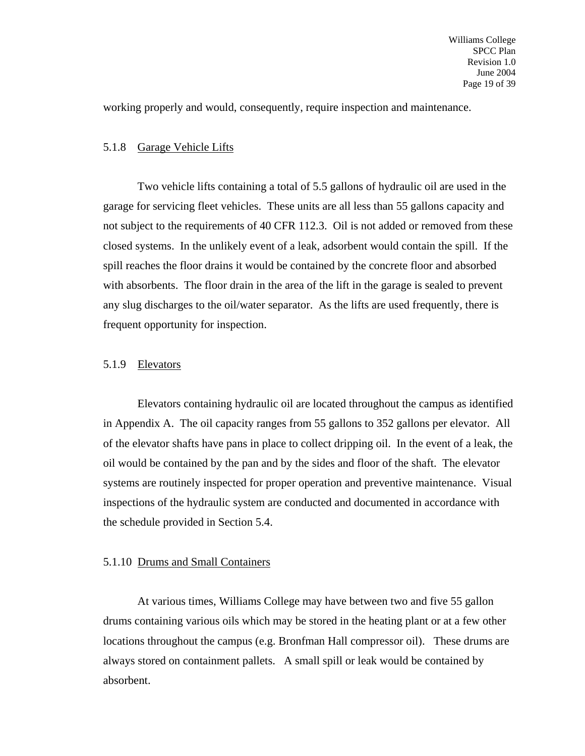working properly and would, consequently, require inspection and maintenance.

## 5.1.8 Garage Vehicle Lifts

Two vehicle lifts containing a total of 5.5 gallons of hydraulic oil are used in the garage for servicing fleet vehicles. These units are all less than 55 gallons capacity and not subject to the requirements of 40 CFR 112.3. Oil is not added or removed from these closed systems. In the unlikely event of a leak, adsorbent would contain the spill. If the spill reaches the floor drains it would be contained by the concrete floor and absorbed with absorbents. The floor drain in the area of the lift in the garage is sealed to prevent any slug discharges to the oil/water separator. As the lifts are used frequently, there is frequent opportunity for inspection.

### 5.1.9 Elevators

Elevators containing hydraulic oil are located throughout the campus as identified in Appendix A. The oil capacity ranges from 55 gallons to 352 gallons per elevator. All of the elevator shafts have pans in place to collect dripping oil. In the event of a leak, the oil would be contained by the pan and by the sides and floor of the shaft. The elevator systems are routinely inspected for proper operation and preventive maintenance. Visual inspections of the hydraulic system are conducted and documented in accordance with the schedule provided in Section 5.4.

#### 5.1.10 Drums and Small Containers

At various times, Williams College may have between two and five 55 gallon drums containing various oils which may be stored in the heating plant or at a few other locations throughout the campus (e.g. Bronfman Hall compressor oil). These drums are always stored on containment pallets. A small spill or leak would be contained by absorbent.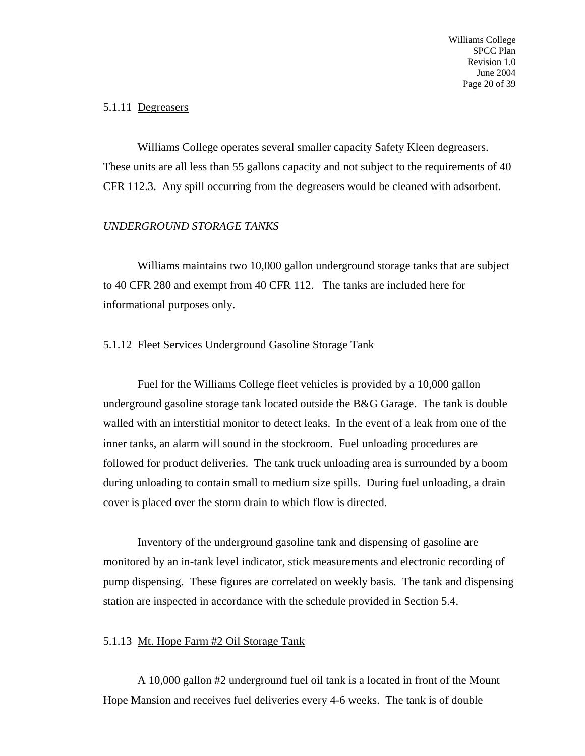### 5.1.11 Degreasers

Williams College operates several smaller capacity Safety Kleen degreasers. These units are all less than 55 gallons capacity and not subject to the requirements of 40 CFR 112.3. Any spill occurring from the degreasers would be cleaned with adsorbent.

# *UNDERGROUND STORAGE TANKS*

 Williams maintains two 10,000 gallon underground storage tanks that are subject to 40 CFR 280 and exempt from 40 CFR 112. The tanks are included here for informational purposes only.

# 5.1.12 Fleet Services Underground Gasoline Storage Tank

Fuel for the Williams College fleet vehicles is provided by a 10,000 gallon underground gasoline storage tank located outside the B&G Garage. The tank is double walled with an interstitial monitor to detect leaks. In the event of a leak from one of the inner tanks, an alarm will sound in the stockroom. Fuel unloading procedures are followed for product deliveries. The tank truck unloading area is surrounded by a boom during unloading to contain small to medium size spills. During fuel unloading, a drain cover is placed over the storm drain to which flow is directed.

Inventory of the underground gasoline tank and dispensing of gasoline are monitored by an in-tank level indicator, stick measurements and electronic recording of pump dispensing. These figures are correlated on weekly basis. The tank and dispensing station are inspected in accordance with the schedule provided in Section 5.4.

# 5.1.13 Mt. Hope Farm #2 Oil Storage Tank

A 10,000 gallon #2 underground fuel oil tank is a located in front of the Mount Hope Mansion and receives fuel deliveries every 4-6 weeks. The tank is of double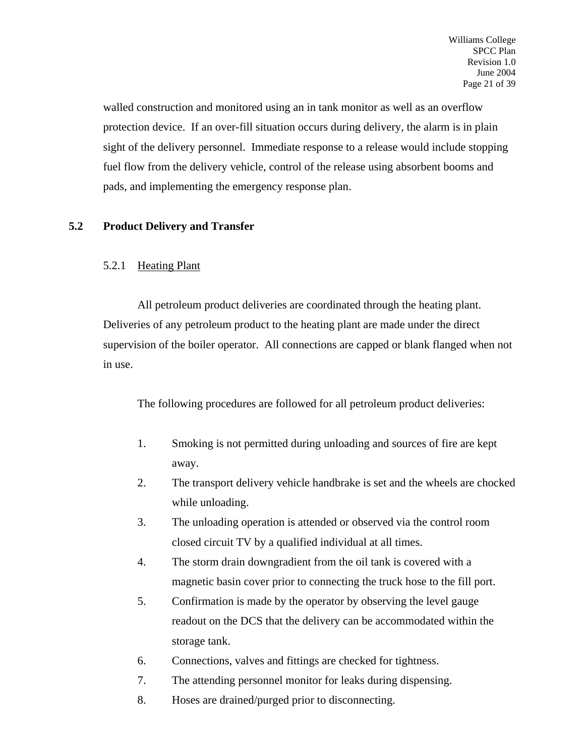walled construction and monitored using an in tank monitor as well as an overflow protection device. If an over-fill situation occurs during delivery, the alarm is in plain sight of the delivery personnel. Immediate response to a release would include stopping fuel flow from the delivery vehicle, control of the release using absorbent booms and pads, and implementing the emergency response plan.

# **5.2 Product Delivery and Transfer**

# 5.2.1 Heating Plant

All petroleum product deliveries are coordinated through the heating plant. Deliveries of any petroleum product to the heating plant are made under the direct supervision of the boiler operator. All connections are capped or blank flanged when not in use.

The following procedures are followed for all petroleum product deliveries:

- 1. Smoking is not permitted during unloading and sources of fire are kept away.
- 2. The transport delivery vehicle handbrake is set and the wheels are chocked while unloading.
- 3. The unloading operation is attended or observed via the control room closed circuit TV by a qualified individual at all times.
- 4. The storm drain downgradient from the oil tank is covered with a magnetic basin cover prior to connecting the truck hose to the fill port.
- 5. Confirmation is made by the operator by observing the level gauge readout on the DCS that the delivery can be accommodated within the storage tank.
- 6. Connections, valves and fittings are checked for tightness.
- 7. The attending personnel monitor for leaks during dispensing.
- 8. Hoses are drained/purged prior to disconnecting.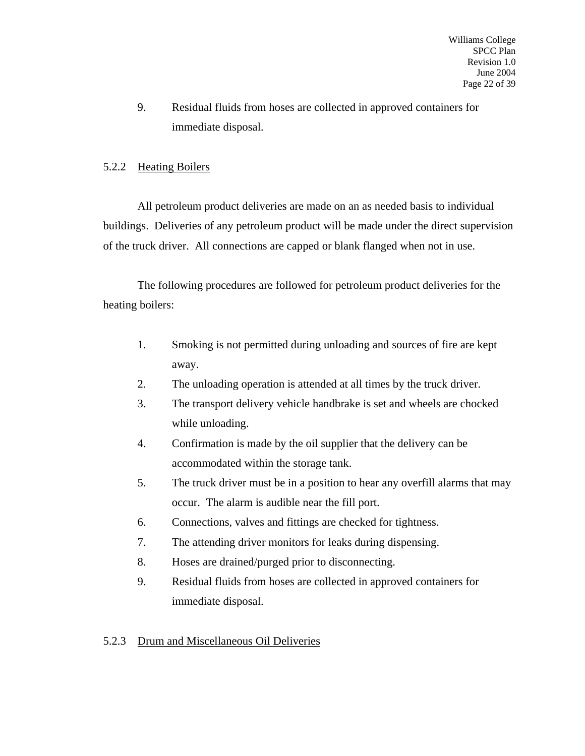9. Residual fluids from hoses are collected in approved containers for immediate disposal.

# 5.2.2 Heating Boilers

 All petroleum product deliveries are made on an as needed basis to individual buildings. Deliveries of any petroleum product will be made under the direct supervision of the truck driver. All connections are capped or blank flanged when not in use.

 The following procedures are followed for petroleum product deliveries for the heating boilers:

- 1. Smoking is not permitted during unloading and sources of fire are kept away.
- 2. The unloading operation is attended at all times by the truck driver.
- 3. The transport delivery vehicle handbrake is set and wheels are chocked while unloading.
- 4. Confirmation is made by the oil supplier that the delivery can be accommodated within the storage tank.
- 5. The truck driver must be in a position to hear any overfill alarms that may occur. The alarm is audible near the fill port.
- 6. Connections, valves and fittings are checked for tightness.
- 7. The attending driver monitors for leaks during dispensing.
- 8. Hoses are drained/purged prior to disconnecting.
- 9. Residual fluids from hoses are collected in approved containers for immediate disposal.

# 5.2.3 Drum and Miscellaneous Oil Deliveries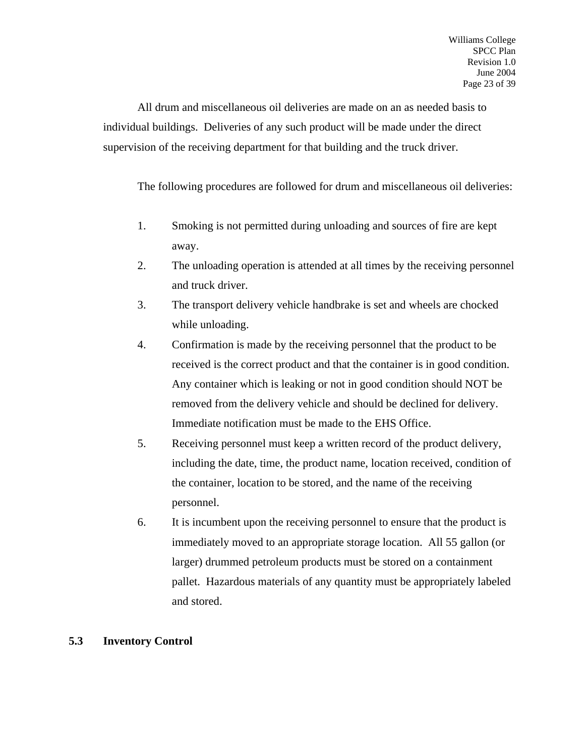All drum and miscellaneous oil deliveries are made on an as needed basis to individual buildings. Deliveries of any such product will be made under the direct supervision of the receiving department for that building and the truck driver.

The following procedures are followed for drum and miscellaneous oil deliveries:

- 1. Smoking is not permitted during unloading and sources of fire are kept away.
- 2. The unloading operation is attended at all times by the receiving personnel and truck driver.
- 3. The transport delivery vehicle handbrake is set and wheels are chocked while unloading.
- 4. Confirmation is made by the receiving personnel that the product to be received is the correct product and that the container is in good condition. Any container which is leaking or not in good condition should NOT be removed from the delivery vehicle and should be declined for delivery. Immediate notification must be made to the EHS Office.
- 5. Receiving personnel must keep a written record of the product delivery, including the date, time, the product name, location received, condition of the container, location to be stored, and the name of the receiving personnel.
- 6. It is incumbent upon the receiving personnel to ensure that the product is immediately moved to an appropriate storage location. All 55 gallon (or larger) drummed petroleum products must be stored on a containment pallet. Hazardous materials of any quantity must be appropriately labeled and stored.

# **5.3 Inventory Control**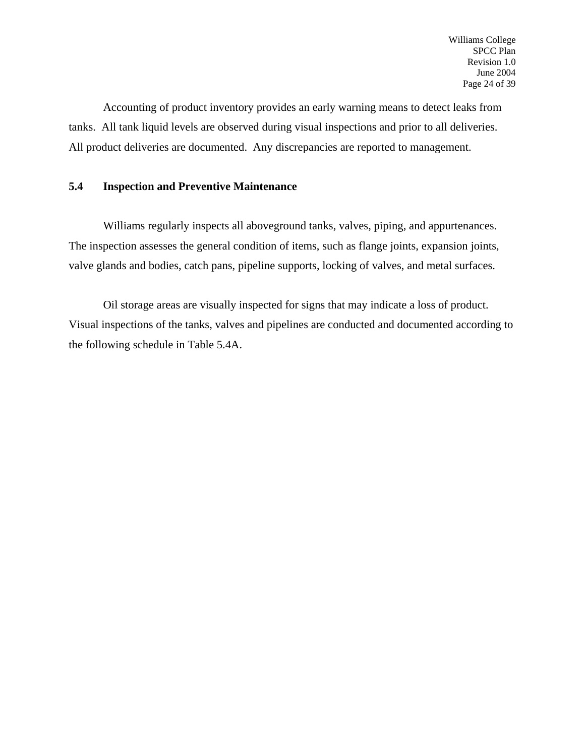Accounting of product inventory provides an early warning means to detect leaks from tanks. All tank liquid levels are observed during visual inspections and prior to all deliveries. All product deliveries are documented. Any discrepancies are reported to management.

# **5.4 Inspection and Preventive Maintenance**

Williams regularly inspects all aboveground tanks, valves, piping, and appurtenances. The inspection assesses the general condition of items, such as flange joints, expansion joints, valve glands and bodies, catch pans, pipeline supports, locking of valves, and metal surfaces.

 Oil storage areas are visually inspected for signs that may indicate a loss of product. Visual inspections of the tanks, valves and pipelines are conducted and documented according to the following schedule in Table 5.4A.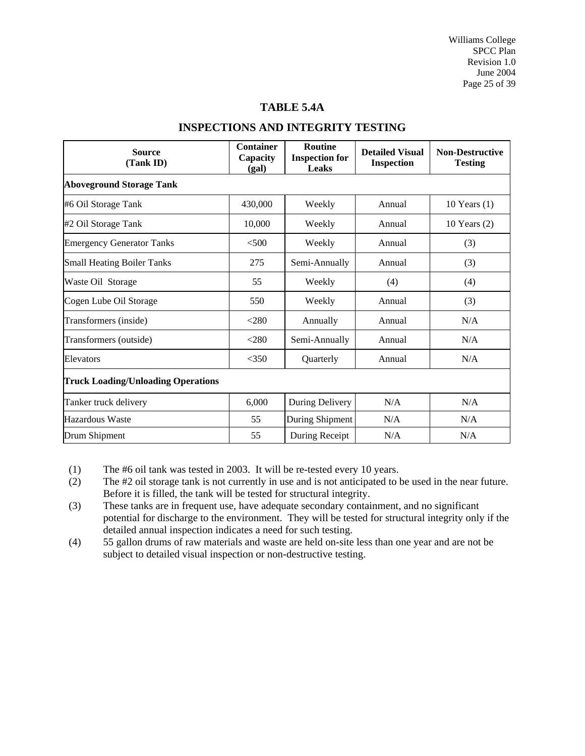Williams College SPCC Plan Revision 1.0 June 2004 Page 25 of 39

#### **TABLE 5.4A**

| <b>Source</b><br>(Tank ID)                | <b>Container</b><br>Capacity<br>(gal) | <b>Routine</b><br><b>Inspection for</b><br>Leaks | <b>Detailed Visual</b><br>Inspection | <b>Non-Destructive</b><br><b>Testing</b> |  |  |  |  |
|-------------------------------------------|---------------------------------------|--------------------------------------------------|--------------------------------------|------------------------------------------|--|--|--|--|
| <b>Aboveground Storage Tank</b>           |                                       |                                                  |                                      |                                          |  |  |  |  |
| #6 Oil Storage Tank                       | 430,000                               | Weekly                                           | Annual                               | 10 Years $(1)$                           |  |  |  |  |
| #2 Oil Storage Tank                       | 10,000                                | Weekly                                           | Annual                               | 10 Years $(2)$                           |  |  |  |  |
| <b>Emergency Generator Tanks</b>          | <500                                  | Weekly                                           | Annual                               | (3)                                      |  |  |  |  |
| <b>Small Heating Boiler Tanks</b>         | 275                                   | Semi-Annually                                    | Annual                               | (3)                                      |  |  |  |  |
| Waste Oil Storage                         | 55                                    | Weekly                                           | (4)                                  | (4)                                      |  |  |  |  |
| Cogen Lube Oil Storage                    | 550                                   | Weekly                                           | Annual                               | (3)                                      |  |  |  |  |
| Transformers (inside)                     | <280                                  | Annually                                         | Annual                               | N/A                                      |  |  |  |  |
| Transformers (outside)                    | < 280                                 | Semi-Annually                                    | Annual                               | N/A                                      |  |  |  |  |
| Elevators                                 | $<$ 350                               | Quarterly                                        | Annual                               | N/A                                      |  |  |  |  |
| <b>Truck Loading/Unloading Operations</b> |                                       |                                                  |                                      |                                          |  |  |  |  |
| Tanker truck delivery                     | 6,000                                 | During Delivery                                  | N/A                                  | N/A                                      |  |  |  |  |
| Hazardous Waste                           | 55                                    | During Shipment                                  | N/A                                  | N/A                                      |  |  |  |  |
| Drum Shipment                             | 55                                    | During Receipt                                   | N/A                                  | N/A                                      |  |  |  |  |

# **INSPECTIONS AND INTEGRITY TESTING**

(1) The #6 oil tank was tested in 2003. It will be re-tested every 10 years.

(2) The #2 oil storage tank is not currently in use and is not anticipated to be used in the near future. Before it is filled, the tank will be tested for structural integrity.

(3) These tanks are in frequent use, have adequate secondary containment, and no significant potential for discharge to the environment. They will be tested for structural integrity only if the detailed annual inspection indicates a need for such testing.

(4) 55 gallon drums of raw materials and waste are held on-site less than one year and are not be subject to detailed visual inspection or non-destructive testing.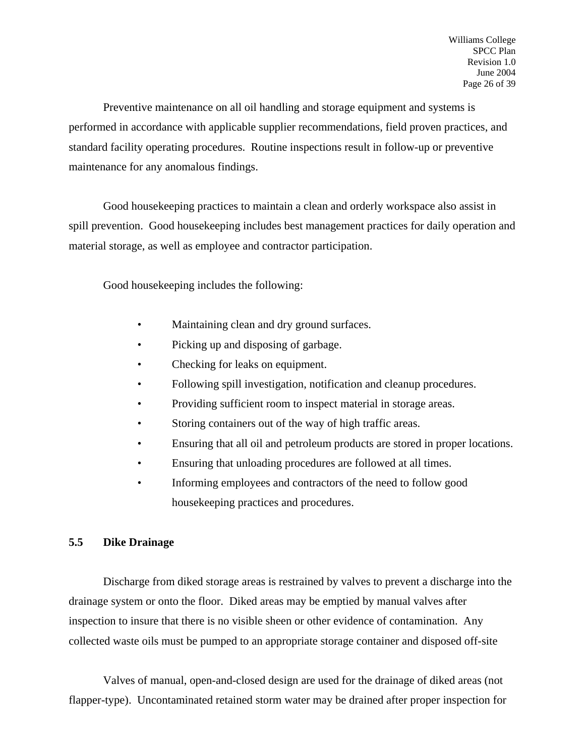Preventive maintenance on all oil handling and storage equipment and systems is performed in accordance with applicable supplier recommendations, field proven practices, and standard facility operating procedures. Routine inspections result in follow-up or preventive maintenance for any anomalous findings.

Good housekeeping practices to maintain a clean and orderly workspace also assist in spill prevention. Good housekeeping includes best management practices for daily operation and material storage, as well as employee and contractor participation.

Good housekeeping includes the following:

- Maintaining clean and dry ground surfaces.
- Picking up and disposing of garbage.
- Checking for leaks on equipment.
- Following spill investigation, notification and cleanup procedures.
- Providing sufficient room to inspect material in storage areas.
- Storing containers out of the way of high traffic areas.
- Ensuring that all oil and petroleum products are stored in proper locations.
- Ensuring that unloading procedures are followed at all times.
- Informing employees and contractors of the need to follow good housekeeping practices and procedures.

# **5.5 Dike Drainage**

 Discharge from diked storage areas is restrained by valves to prevent a discharge into the drainage system or onto the floor. Diked areas may be emptied by manual valves after inspection to insure that there is no visible sheen or other evidence of contamination. Any collected waste oils must be pumped to an appropriate storage container and disposed off-site

 Valves of manual, open-and-closed design are used for the drainage of diked areas (not flapper-type). Uncontaminated retained storm water may be drained after proper inspection for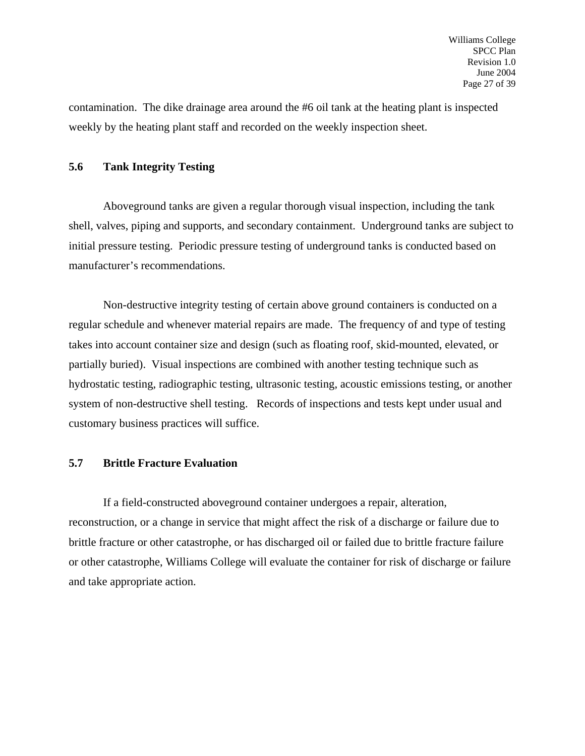contamination. The dike drainage area around the #6 oil tank at the heating plant is inspected weekly by the heating plant staff and recorded on the weekly inspection sheet.

### **5.6 Tank Integrity Testing**

Aboveground tanks are given a regular thorough visual inspection, including the tank shell, valves, piping and supports, and secondary containment. Underground tanks are subject to initial pressure testing. Periodic pressure testing of underground tanks is conducted based on manufacturer's recommendations.

Non-destructive integrity testing of certain above ground containers is conducted on a regular schedule and whenever material repairs are made. The frequency of and type of testing takes into account container size and design (such as floating roof, skid-mounted, elevated, or partially buried). Visual inspections are combined with another testing technique such as hydrostatic testing, radiographic testing, ultrasonic testing, acoustic emissions testing, or another system of non-destructive shell testing. Records of inspections and tests kept under usual and customary business practices will suffice.

# **5.7 Brittle Fracture Evaluation**

If a field-constructed aboveground container undergoes a repair, alteration, reconstruction, or a change in service that might affect the risk of a discharge or failure due to brittle fracture or other catastrophe, or has discharged oil or failed due to brittle fracture failure or other catastrophe, Williams College will evaluate the container for risk of discharge or failure and take appropriate action.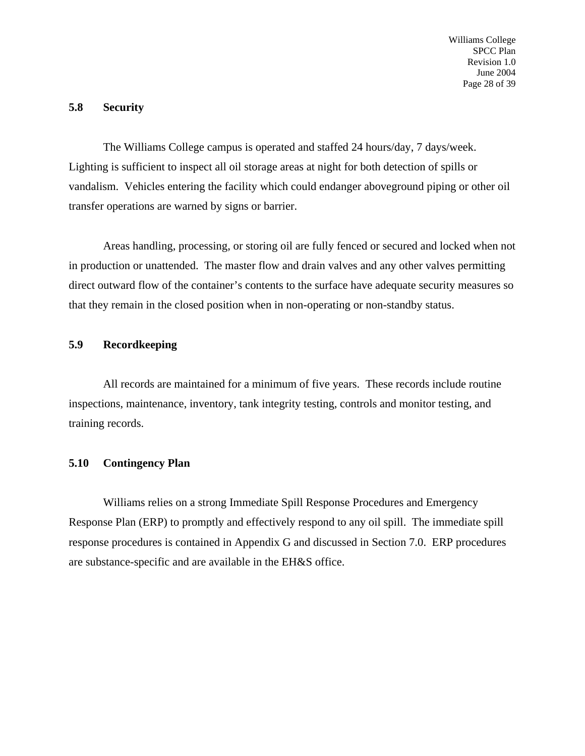### **5.8 Security**

The Williams College campus is operated and staffed 24 hours/day, 7 days/week. Lighting is sufficient to inspect all oil storage areas at night for both detection of spills or vandalism. Vehicles entering the facility which could endanger aboveground piping or other oil transfer operations are warned by signs or barrier.

Areas handling, processing, or storing oil are fully fenced or secured and locked when not in production or unattended. The master flow and drain valves and any other valves permitting direct outward flow of the container's contents to the surface have adequate security measures so that they remain in the closed position when in non-operating or non-standby status.

# **5.9 Recordkeeping**

All records are maintained for a minimum of five years. These records include routine inspections, maintenance, inventory, tank integrity testing, controls and monitor testing, and training records.

# **5.10 Contingency Plan**

Williams relies on a strong Immediate Spill Response Procedures and Emergency Response Plan (ERP) to promptly and effectively respond to any oil spill. The immediate spill response procedures is contained in Appendix G and discussed in Section 7.0. ERP procedures are substance-specific and are available in the EH&S office.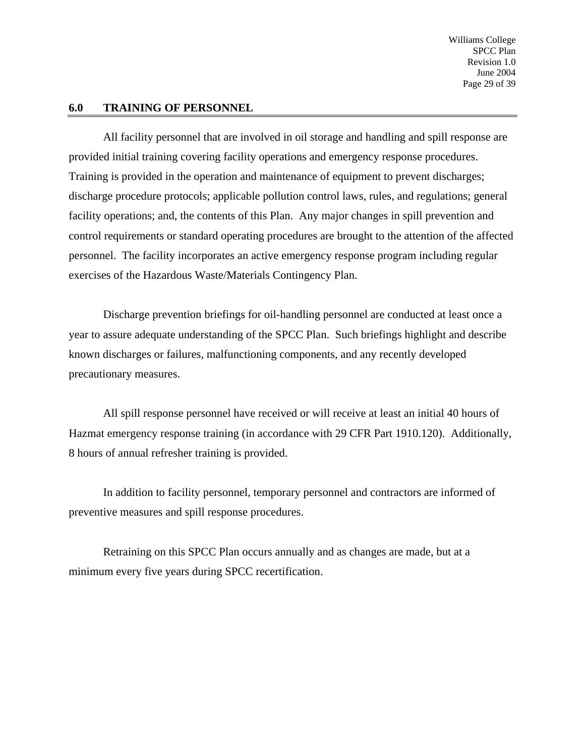# **6.0 TRAINING OF PERSONNEL**

All facility personnel that are involved in oil storage and handling and spill response are provided initial training covering facility operations and emergency response procedures. Training is provided in the operation and maintenance of equipment to prevent discharges; discharge procedure protocols; applicable pollution control laws, rules, and regulations; general facility operations; and, the contents of this Plan. Any major changes in spill prevention and control requirements or standard operating procedures are brought to the attention of the affected personnel. The facility incorporates an active emergency response program including regular exercises of the Hazardous Waste/Materials Contingency Plan.

 Discharge prevention briefings for oil-handling personnel are conducted at least once a year to assure adequate understanding of the SPCC Plan. Such briefings highlight and describe known discharges or failures, malfunctioning components, and any recently developed precautionary measures.

All spill response personnel have received or will receive at least an initial 40 hours of Hazmat emergency response training (in accordance with 29 CFR Part 1910.120). Additionally, 8 hours of annual refresher training is provided.

In addition to facility personnel, temporary personnel and contractors are informed of preventive measures and spill response procedures.

Retraining on this SPCC Plan occurs annually and as changes are made, but at a minimum every five years during SPCC recertification.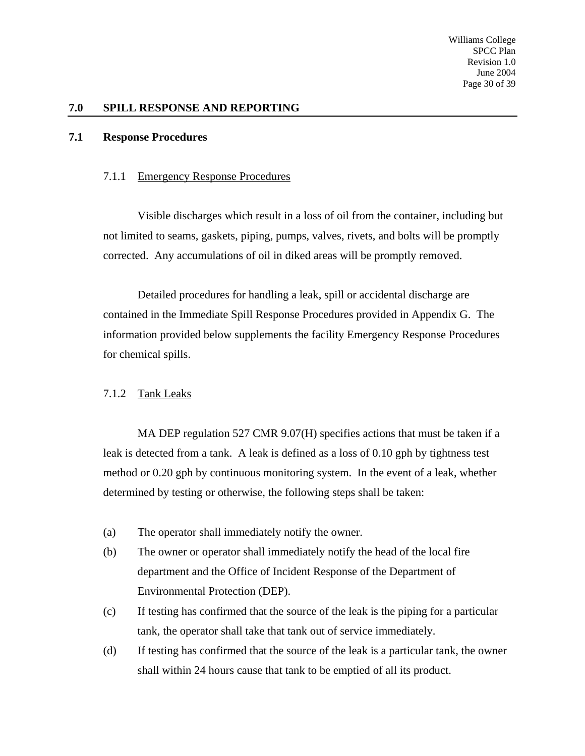### **7.0 SPILL RESPONSE AND REPORTING**

### **7.1 Response Procedures**

#### 7.1.1 Emergency Response Procedures

Visible discharges which result in a loss of oil from the container, including but not limited to seams, gaskets, piping, pumps, valves, rivets, and bolts will be promptly corrected. Any accumulations of oil in diked areas will be promptly removed.

Detailed procedures for handling a leak, spill or accidental discharge are contained in the Immediate Spill Response Procedures provided in Appendix G. The information provided below supplements the facility Emergency Response Procedures for chemical spills.

#### 7.1.2 Tank Leaks

 MA DEP regulation 527 CMR 9.07(H) specifies actions that must be taken if a leak is detected from a tank. A leak is defined as a loss of 0.10 gph by tightness test method or 0.20 gph by continuous monitoring system. In the event of a leak, whether determined by testing or otherwise, the following steps shall be taken:

- (a) The operator shall immediately notify the owner.
- (b) The owner or operator shall immediately notify the head of the local fire department and the Office of Incident Response of the Department of Environmental Protection (DEP).
- (c) If testing has confirmed that the source of the leak is the piping for a particular tank, the operator shall take that tank out of service immediately.
- (d) If testing has confirmed that the source of the leak is a particular tank, the owner shall within 24 hours cause that tank to be emptied of all its product.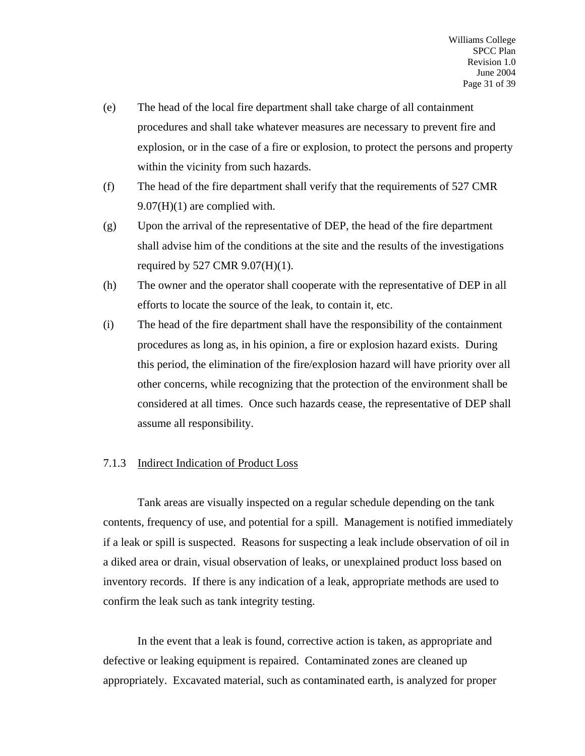- (e) The head of the local fire department shall take charge of all containment procedures and shall take whatever measures are necessary to prevent fire and explosion, or in the case of a fire or explosion, to protect the persons and property within the vicinity from such hazards.
- (f) The head of the fire department shall verify that the requirements of 527 CMR 9.07(H)(1) are complied with.
- (g) Upon the arrival of the representative of DEP, the head of the fire department shall advise him of the conditions at the site and the results of the investigations required by 527 CMR 9.07(H)(1).
- (h) The owner and the operator shall cooperate with the representative of DEP in all efforts to locate the source of the leak, to contain it, etc.
- (i) The head of the fire department shall have the responsibility of the containment procedures as long as, in his opinion, a fire or explosion hazard exists. During this period, the elimination of the fire/explosion hazard will have priority over all other concerns, while recognizing that the protection of the environment shall be considered at all times. Once such hazards cease, the representative of DEP shall assume all responsibility.

#### 7.1.3 Indirect Indication of Product Loss

Tank areas are visually inspected on a regular schedule depending on the tank contents, frequency of use, and potential for a spill. Management is notified immediately if a leak or spill is suspected. Reasons for suspecting a leak include observation of oil in a diked area or drain, visual observation of leaks, or unexplained product loss based on inventory records. If there is any indication of a leak, appropriate methods are used to confirm the leak such as tank integrity testing.

In the event that a leak is found, corrective action is taken, as appropriate and defective or leaking equipment is repaired. Contaminated zones are cleaned up appropriately. Excavated material, such as contaminated earth, is analyzed for proper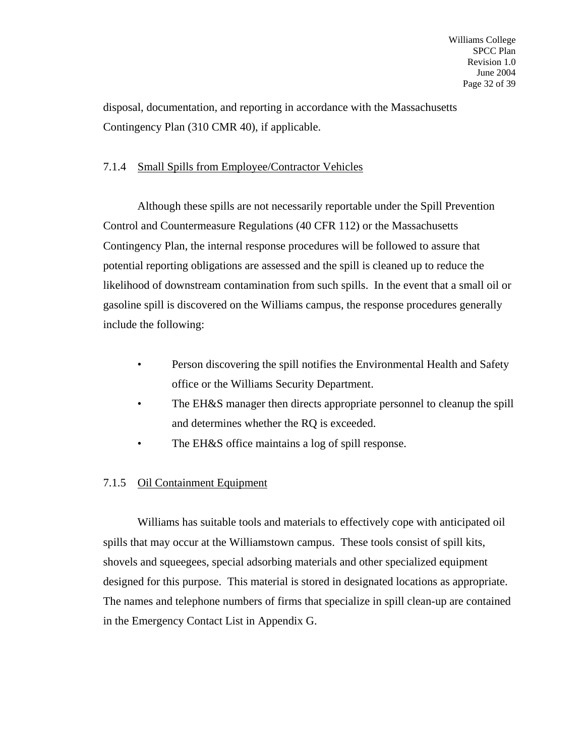disposal, documentation, and reporting in accordance with the Massachusetts Contingency Plan (310 CMR 40), if applicable.

## 7.1.4 Small Spills from Employee/Contractor Vehicles

Although these spills are not necessarily reportable under the Spill Prevention Control and Countermeasure Regulations (40 CFR 112) or the Massachusetts Contingency Plan, the internal response procedures will be followed to assure that potential reporting obligations are assessed and the spill is cleaned up to reduce the likelihood of downstream contamination from such spills. In the event that a small oil or gasoline spill is discovered on the Williams campus, the response procedures generally include the following:

- Person discovering the spill notifies the Environmental Health and Safety office or the Williams Security Department.
- The EH&S manager then directs appropriate personnel to cleanup the spill and determines whether the RQ is exceeded.
- The EH&S office maintains a log of spill response.

# 7.1.5 Oil Containment Equipment

Williams has suitable tools and materials to effectively cope with anticipated oil spills that may occur at the Williamstown campus. These tools consist of spill kits, shovels and squeegees, special adsorbing materials and other specialized equipment designed for this purpose. This material is stored in designated locations as appropriate. The names and telephone numbers of firms that specialize in spill clean-up are contained in the Emergency Contact List in Appendix G.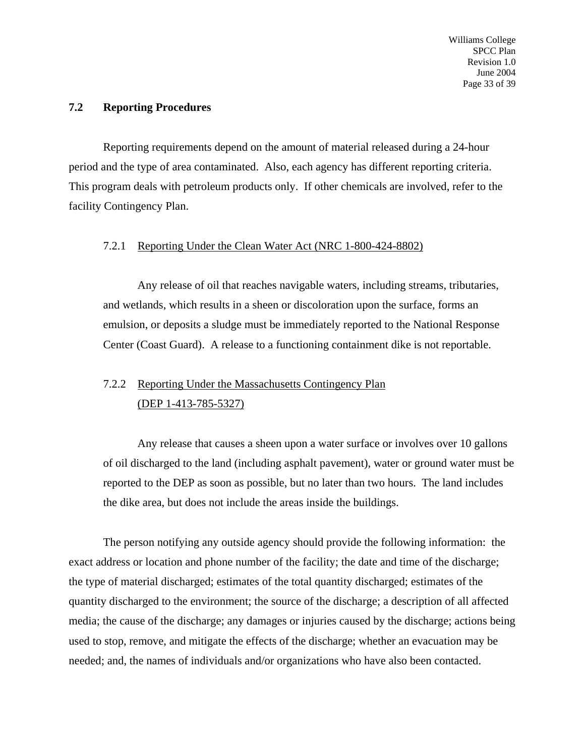### **7.2 Reporting Procedures**

Reporting requirements depend on the amount of material released during a 24-hour period and the type of area contaminated. Also, each agency has different reporting criteria. This program deals with petroleum products only. If other chemicals are involved, refer to the facility Contingency Plan.

## 7.2.1 Reporting Under the Clean Water Act (NRC 1-800-424-8802)

Any release of oil that reaches navigable waters, including streams, tributaries, and wetlands, which results in a sheen or discoloration upon the surface, forms an emulsion, or deposits a sludge must be immediately reported to the National Response Center (Coast Guard). A release to a functioning containment dike is not reportable.

# 7.2.2 Reporting Under the Massachusetts Contingency Plan (DEP 1-413-785-5327)

Any release that causes a sheen upon a water surface or involves over 10 gallons of oil discharged to the land (including asphalt pavement), water or ground water must be reported to the DEP as soon as possible, but no later than two hours. The land includes the dike area, but does not include the areas inside the buildings.

 The person notifying any outside agency should provide the following information: the exact address or location and phone number of the facility; the date and time of the discharge; the type of material discharged; estimates of the total quantity discharged; estimates of the quantity discharged to the environment; the source of the discharge; a description of all affected media; the cause of the discharge; any damages or injuries caused by the discharge; actions being used to stop, remove, and mitigate the effects of the discharge; whether an evacuation may be needed; and, the names of individuals and/or organizations who have also been contacted.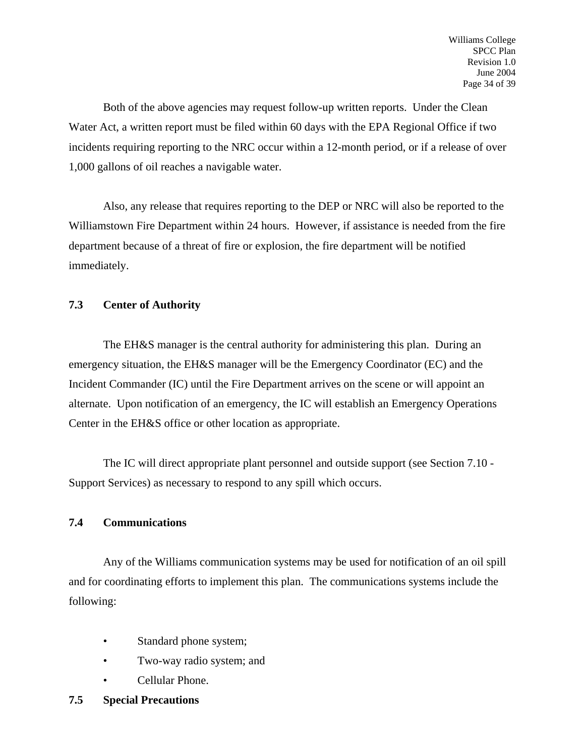Both of the above agencies may request follow-up written reports. Under the Clean Water Act, a written report must be filed within 60 days with the EPA Regional Office if two incidents requiring reporting to the NRC occur within a 12-month period, or if a release of over 1,000 gallons of oil reaches a navigable water.

Also, any release that requires reporting to the DEP or NRC will also be reported to the Williamstown Fire Department within 24 hours. However, if assistance is needed from the fire department because of a threat of fire or explosion, the fire department will be notified immediately.

# **7.3 Center of Authority**

The EH&S manager is the central authority for administering this plan. During an emergency situation, the EH&S manager will be the Emergency Coordinator (EC) and the Incident Commander (IC) until the Fire Department arrives on the scene or will appoint an alternate. Upon notification of an emergency, the IC will establish an Emergency Operations Center in the EH&S office or other location as appropriate.

The IC will direct appropriate plant personnel and outside support (see Section 7.10 - Support Services) as necessary to respond to any spill which occurs.

# **7.4 Communications**

Any of the Williams communication systems may be used for notification of an oil spill and for coordinating efforts to implement this plan. The communications systems include the following:

- Standard phone system;
- Two-way radio system; and
- Cellular Phone.
- **7.5 Special Precautions**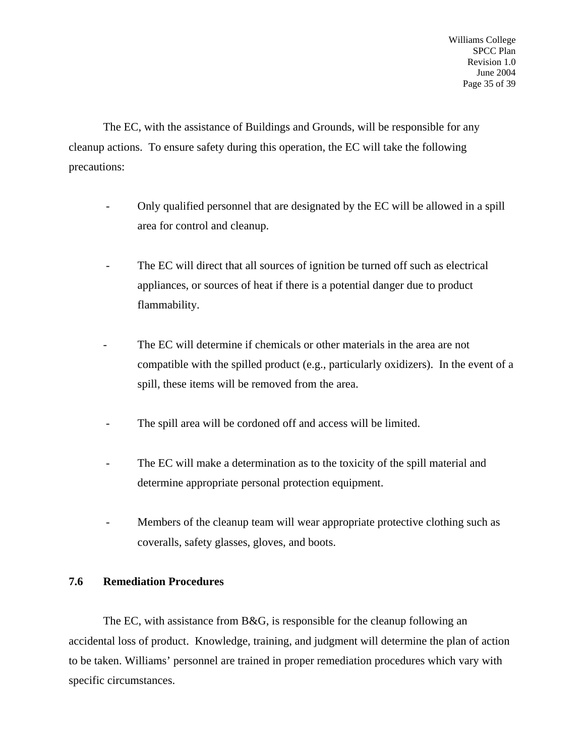The EC, with the assistance of Buildings and Grounds, will be responsible for any cleanup actions. To ensure safety during this operation, the EC will take the following precautions:

- Only qualified personnel that are designated by the EC will be allowed in a spill area for control and cleanup.
- The EC will direct that all sources of ignition be turned off such as electrical appliances, or sources of heat if there is a potential danger due to product flammability.
- The EC will determine if chemicals or other materials in the area are not compatible with the spilled product (e.g., particularly oxidizers). In the event of a spill, these items will be removed from the area.
- The spill area will be cordoned off and access will be limited.
- The EC will make a determination as to the toxicity of the spill material and determine appropriate personal protection equipment.
- Members of the cleanup team will wear appropriate protective clothing such as coveralls, safety glasses, gloves, and boots.

# **7.6 Remediation Procedures**

The EC, with assistance from  $B\&G$ , is responsible for the cleanup following an accidental loss of product. Knowledge, training, and judgment will determine the plan of action to be taken. Williams' personnel are trained in proper remediation procedures which vary with specific circumstances.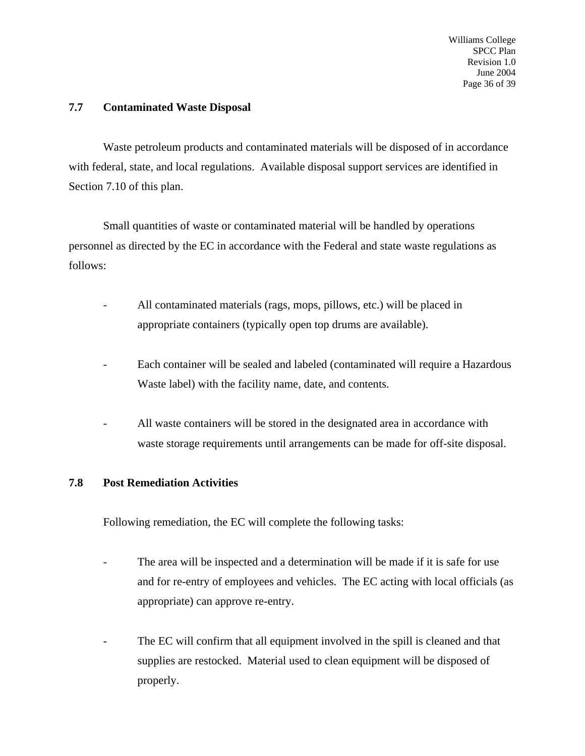## **7.7 Contaminated Waste Disposal**

Waste petroleum products and contaminated materials will be disposed of in accordance with federal, state, and local regulations. Available disposal support services are identified in Section 7.10 of this plan.

Small quantities of waste or contaminated material will be handled by operations personnel as directed by the EC in accordance with the Federal and state waste regulations as follows:

- All contaminated materials (rags, mops, pillows, etc.) will be placed in appropriate containers (typically open top drums are available).
- Each container will be sealed and labeled (contaminated will require a Hazardous Waste label) with the facility name, date, and contents.
- All waste containers will be stored in the designated area in accordance with waste storage requirements until arrangements can be made for off-site disposal.

## **7.8 Post Remediation Activities**

Following remediation, the EC will complete the following tasks:

- The area will be inspected and a determination will be made if it is safe for use and for re-entry of employees and vehicles. The EC acting with local officials (as appropriate) can approve re-entry.
- The EC will confirm that all equipment involved in the spill is cleaned and that supplies are restocked. Material used to clean equipment will be disposed of properly.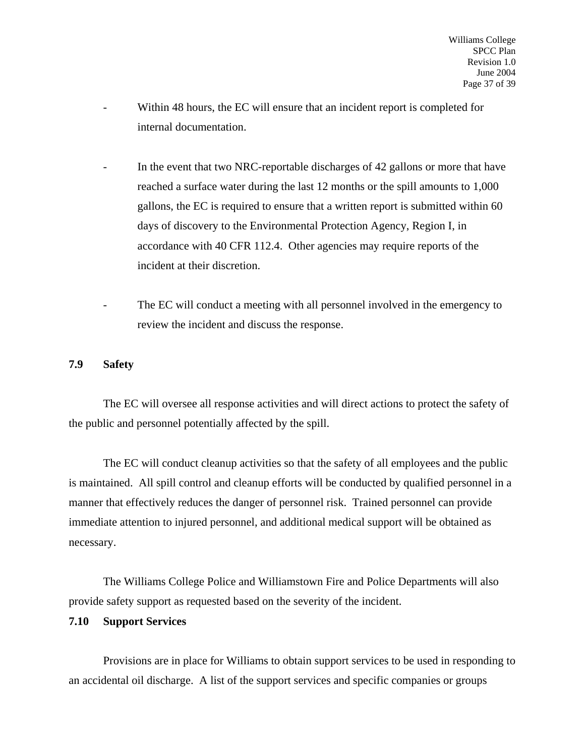- Within 48 hours, the EC will ensure that an incident report is completed for internal documentation.
- In the event that two NRC-reportable discharges of 42 gallons or more that have reached a surface water during the last 12 months or the spill amounts to 1,000 gallons, the EC is required to ensure that a written report is submitted within 60 days of discovery to the Environmental Protection Agency, Region I, in accordance with 40 CFR 112.4. Other agencies may require reports of the incident at their discretion.
- The EC will conduct a meeting with all personnel involved in the emergency to review the incident and discuss the response.

## **7.9 Safety**

The EC will oversee all response activities and will direct actions to protect the safety of the public and personnel potentially affected by the spill.

The EC will conduct cleanup activities so that the safety of all employees and the public is maintained. All spill control and cleanup efforts will be conducted by qualified personnel in a manner that effectively reduces the danger of personnel risk. Trained personnel can provide immediate attention to injured personnel, and additional medical support will be obtained as necessary.

The Williams College Police and Williamstown Fire and Police Departments will also provide safety support as requested based on the severity of the incident.

### **7.10 Support Services**

Provisions are in place for Williams to obtain support services to be used in responding to an accidental oil discharge. A list of the support services and specific companies or groups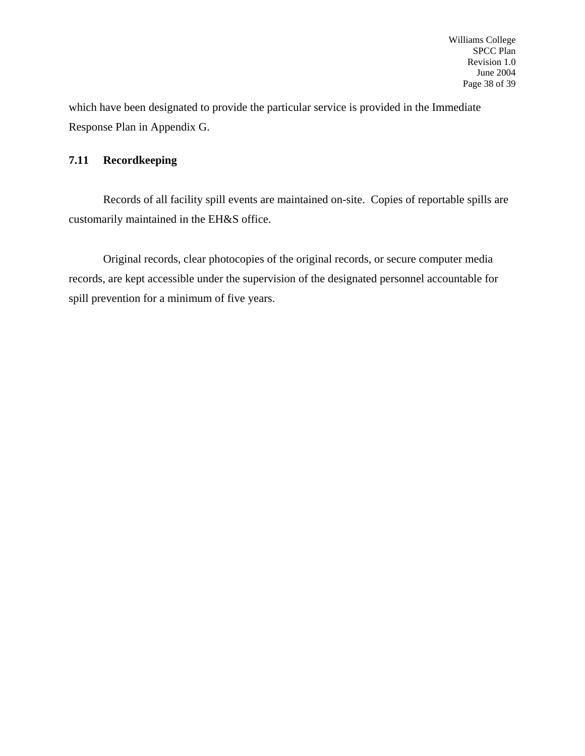which have been designated to provide the particular service is provided in the Immediate Response Plan in Appendix G.

# **7.11 Recordkeeping**

Records of all facility spill events are maintained on-site. Copies of reportable spills are customarily maintained in the EH&S office.

Original records, clear photocopies of the original records, or secure computer media records, are kept accessible under the supervision of the designated personnel accountable for spill prevention for a minimum of five years.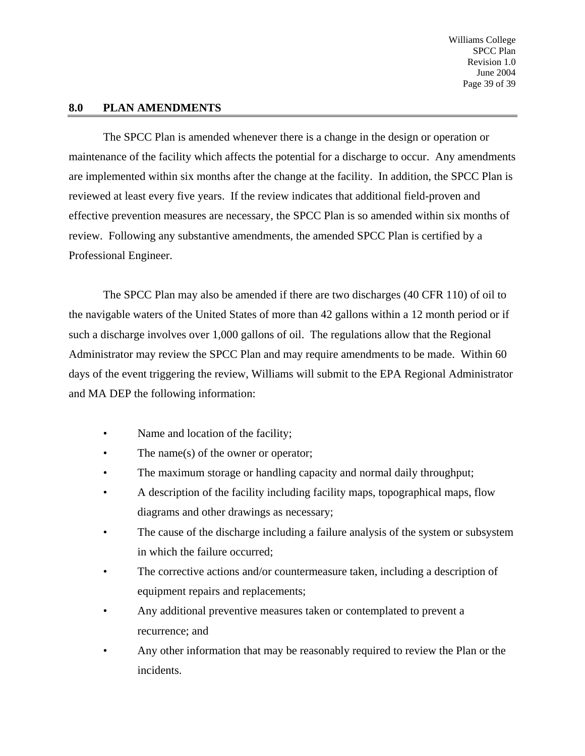## **8.0 PLAN AMENDMENTS**

The SPCC Plan is amended whenever there is a change in the design or operation or maintenance of the facility which affects the potential for a discharge to occur. Any amendments are implemented within six months after the change at the facility. In addition, the SPCC Plan is reviewed at least every five years. If the review indicates that additional field-proven and effective prevention measures are necessary, the SPCC Plan is so amended within six months of review. Following any substantive amendments, the amended SPCC Plan is certified by a Professional Engineer.

The SPCC Plan may also be amended if there are two discharges (40 CFR 110) of oil to the navigable waters of the United States of more than 42 gallons within a 12 month period or if such a discharge involves over 1,000 gallons of oil. The regulations allow that the Regional Administrator may review the SPCC Plan and may require amendments to be made. Within 60 days of the event triggering the review, Williams will submit to the EPA Regional Administrator and MA DEP the following information:

- Name and location of the facility;
- The name(s) of the owner or operator;
- The maximum storage or handling capacity and normal daily throughput;
- A description of the facility including facility maps, topographical maps, flow diagrams and other drawings as necessary;
- The cause of the discharge including a failure analysis of the system or subsystem in which the failure occurred;
- The corrective actions and/or countermeasure taken, including a description of equipment repairs and replacements;
- Any additional preventive measures taken or contemplated to prevent a recurrence; and
- Any other information that may be reasonably required to review the Plan or the incidents.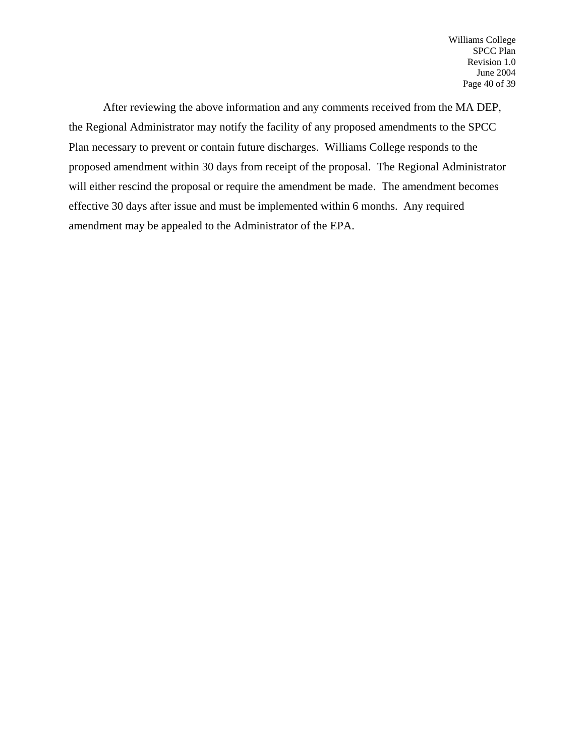After reviewing the above information and any comments received from the MA DEP, the Regional Administrator may notify the facility of any proposed amendments to the SPCC Plan necessary to prevent or contain future discharges. Williams College responds to the proposed amendment within 30 days from receipt of the proposal. The Regional Administrator will either rescind the proposal or require the amendment be made. The amendment becomes effective 30 days after issue and must be implemented within 6 months. Any required amendment may be appealed to the Administrator of the EPA.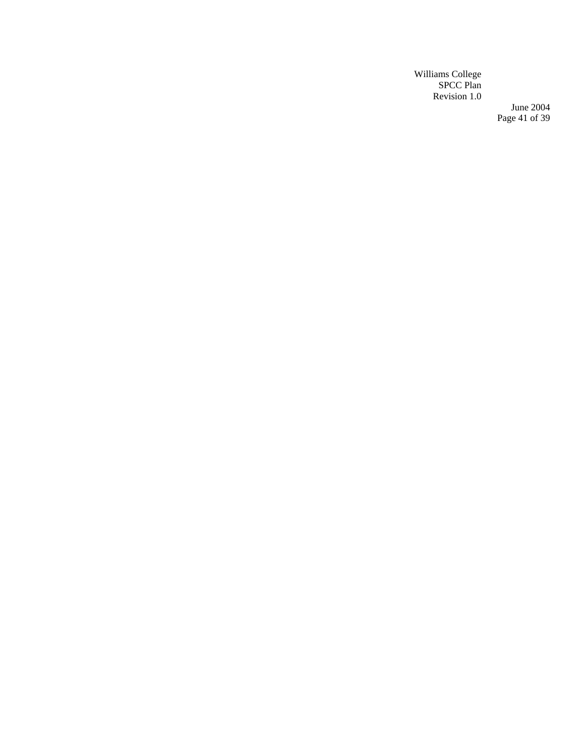Williams College SPCC Plan Revision 1.0

June 2004 Page 41 of 39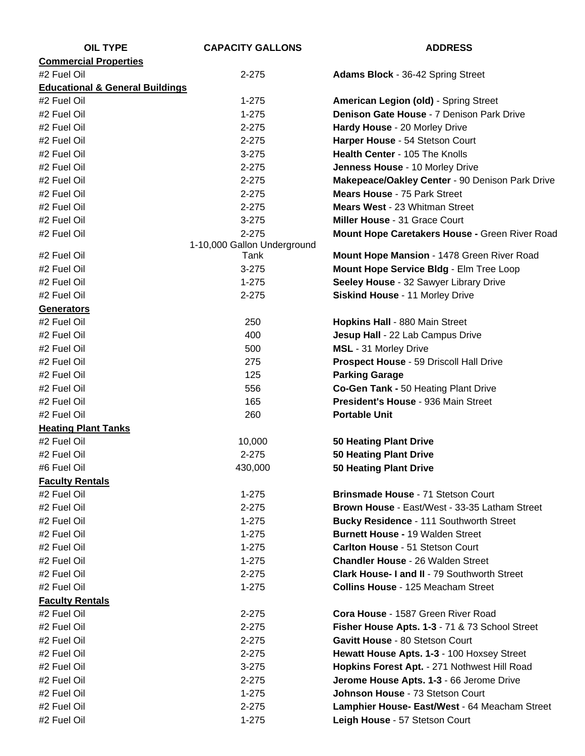| <b>OIL TYPE</b>                            | <b>CAPACITY GALLONS</b>     | <b>ADDRESS</b>                                       |
|--------------------------------------------|-----------------------------|------------------------------------------------------|
| <b>Commercial Properties</b>               |                             |                                                      |
| #2 Fuel Oil                                | $2 - 275$                   | Adams Block - 36-42 Spring Street                    |
| <b>Educational &amp; General Buildings</b> |                             |                                                      |
| #2 Fuel Oil                                | $1 - 275$                   | <b>American Legion (old) - Spring Street</b>         |
| #2 Fuel Oil                                | $1 - 275$                   | Denison Gate House - 7 Denison Park Drive            |
| #2 Fuel Oil                                | 2-275                       | Hardy House - 20 Morley Drive                        |
| #2 Fuel Oil                                | $2 - 275$                   | Harper House - 54 Stetson Court                      |
| #2 Fuel Oil                                | $3 - 275$                   | Health Center - 105 The Knolls                       |
| #2 Fuel Oil                                | 2-275                       | Jenness House - 10 Morley Drive                      |
| #2 Fuel Oil                                | $2 - 275$                   | Makepeace/Oakley Center - 90 Denison Park Drive      |
| #2 Fuel Oil                                | $2 - 275$                   | <b>Mears House - 75 Park Street</b>                  |
| #2 Fuel Oil                                | $2 - 275$                   | <b>Mears West - 23 Whitman Street</b>                |
| #2 Fuel Oil                                | 3-275                       | Miller House - 31 Grace Court                        |
| #2 Fuel Oil                                | $2 - 275$                   | Mount Hope Caretakers House - Green River Road       |
|                                            | 1-10,000 Gallon Underground |                                                      |
| #2 Fuel Oil                                | Tank                        | Mount Hope Mansion - 1478 Green River Road           |
| #2 Fuel Oil                                | $3 - 275$                   | Mount Hope Service Bldg - Elm Tree Loop              |
| #2 Fuel Oil                                | $1 - 275$                   | Seeley House - 32 Sawyer Library Drive               |
| #2 Fuel Oil                                | $2 - 275$                   | Siskind House - 11 Morley Drive                      |
| <b>Generators</b>                          |                             |                                                      |
| #2 Fuel Oil                                | 250                         | Hopkins Hall - 880 Main Street                       |
| #2 Fuel Oil                                | 400                         | Jesup Hall - 22 Lab Campus Drive                     |
| #2 Fuel Oil                                | 500                         | MSL - 31 Morley Drive                                |
| #2 Fuel Oil                                | 275                         | Prospect House - 59 Driscoll Hall Drive              |
| #2 Fuel Oil                                | 125                         | <b>Parking Garage</b>                                |
| #2 Fuel Oil                                | 556                         | Co-Gen Tank - 50 Heating Plant Drive                 |
| #2 Fuel Oil                                | 165                         | President's House - 936 Main Street                  |
| #2 Fuel Oil                                | 260                         | <b>Portable Unit</b>                                 |
| <b>Heating Plant Tanks</b>                 |                             |                                                      |
| #2 Fuel Oil                                | 10,000                      | <b>50 Heating Plant Drive</b>                        |
| #2 Fuel Oil                                | $2 - 275$                   | 50 Heating Plant Drive                               |
| #6 Fuel Oil                                | 430,000                     | <b>50 Heating Plant Drive</b>                        |
| <b>Faculty Rentals</b>                     |                             |                                                      |
| #2 Fuel Oil                                | $1 - 275$                   | <b>Brinsmade House - 71 Stetson Court</b>            |
| #2 Fuel Oil                                | $2 - 275$                   | <b>Brown House - East/West - 33-35 Latham Street</b> |
| #2 Fuel Oil                                | $1 - 275$                   | <b>Bucky Residence - 111 Southworth Street</b>       |
| #2 Fuel Oil                                | $1 - 275$                   | <b>Burnett House - 19 Walden Street</b>              |
| #2 Fuel Oil                                | $1 - 275$                   | Carlton House - 51 Stetson Court                     |
| #2 Fuel Oil                                | $1 - 275$                   | <b>Chandler House - 26 Walden Street</b>             |
| #2 Fuel Oil                                | 2-275                       | <b>Clark House-I and II - 79 Southworth Street</b>   |
| #2 Fuel Oil                                | $1 - 275$                   | <b>Collins House - 125 Meacham Street</b>            |
| <b>Faculty Rentals</b>                     |                             |                                                      |
| #2 Fuel Oil                                | 2-275                       | Cora House - 1587 Green River Road                   |
| #2 Fuel Oil                                | 2-275                       | Fisher House Apts. 1-3 - 71 & 73 School Street       |
| #2 Fuel Oil                                | 2-275                       | <b>Gavitt House - 80 Stetson Court</b>               |
| #2 Fuel Oil                                | 2-275                       | Hewatt House Apts. 1-3 - 100 Hoxsey Street           |
| #2 Fuel Oil                                | $3 - 275$                   | Hopkins Forest Apt. - 271 Nothwest Hill Road         |
| #2 Fuel Oil                                | 2-275                       | Jerome House Apts. 1-3 - 66 Jerome Drive             |
| #2 Fuel Oil                                | $1 - 275$                   | Johnson House - 73 Stetson Court                     |
| #2 Fuel Oil                                | 2-275                       | Lamphier House- East/West - 64 Meacham Street        |
| #2 Fuel Oil                                | $1 - 275$                   | Leigh House - 57 Stetson Court                       |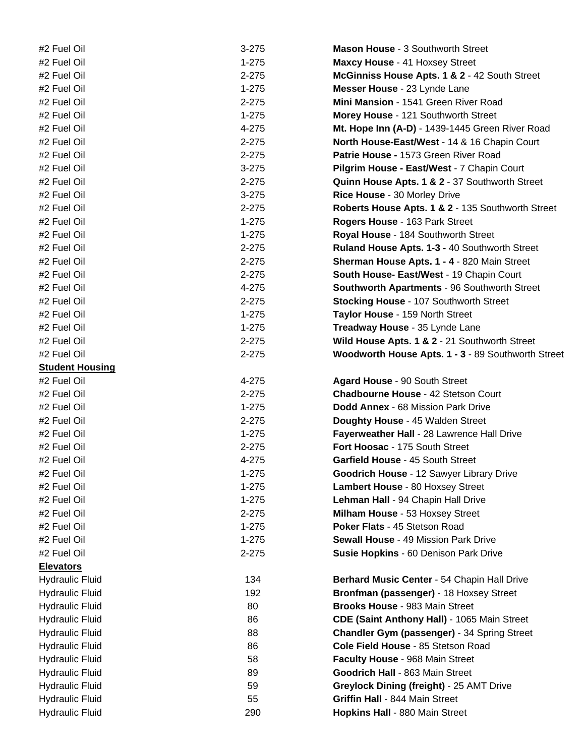| #2 Fuel Oil            | $3 - 275$ | <b>Mason House - 3 Southworth Street</b>            |
|------------------------|-----------|-----------------------------------------------------|
| #2 Fuel Oil            | $1 - 275$ | Maxcy House - 41 Hoxsey Street                      |
| #2 Fuel Oil            | $2 - 275$ | McGinniss House Apts. 1 & 2 - 42 South Street       |
| #2 Fuel Oil            | $1 - 275$ | Messer House - 23 Lynde Lane                        |
| #2 Fuel Oil            | 2-275     | Mini Mansion - 1541 Green River Road                |
| #2 Fuel Oil            | $1 - 275$ | Morey House - 121 Southworth Street                 |
| #2 Fuel Oil            | 4-275     | Mt. Hope Inn (A-D) - 1439-1445 Green River Road     |
| #2 Fuel Oil            | $2 - 275$ | North House-East/West - 14 & 16 Chapin Court        |
| #2 Fuel Oil            | 2-275     | Patrie House - 1573 Green River Road                |
| #2 Fuel Oil            | $3 - 275$ | Pilgrim House - East/West - 7 Chapin Court          |
| #2 Fuel Oil            | $2 - 275$ | Quinn House Apts. 1 & 2 - 37 Southworth Street      |
| #2 Fuel Oil            | $3 - 275$ | Rice House - 30 Morley Drive                        |
| #2 Fuel Oil            | $2 - 275$ | Roberts House Apts. 1 & 2 - 135 Southworth Street   |
| #2 Fuel Oil            | $1 - 275$ | Rogers House - 163 Park Street                      |
| #2 Fuel Oil            | $1 - 275$ | Royal House - 184 Southworth Street                 |
| #2 Fuel Oil            | $2 - 275$ | Ruland House Apts. 1-3 - 40 Southworth Street       |
| #2 Fuel Oil            | $2 - 275$ | Sherman House Apts. 1 - 4 - 820 Main Street         |
| #2 Fuel Oil            | 2-275     | South House- East/West - 19 Chapin Court            |
| #2 Fuel Oil            | 4-275     | <b>Southworth Apartments - 96 Southworth Street</b> |
| #2 Fuel Oil            | $2 - 275$ | <b>Stocking House - 107 Southworth Street</b>       |
| #2 Fuel Oil            | $1 - 275$ | Taylor House - 159 North Street                     |
| #2 Fuel Oil            | $1 - 275$ | Treadway House - 35 Lynde Lane                      |
| #2 Fuel Oil            | $2 - 275$ | Wild House Apts. 1 & 2 - 21 Southworth Street       |
| #2 Fuel Oil            | 2-275     | Woodworth House Apts. 1 - 3 - 89 Southworth Street  |
| <b>Student Housing</b> |           |                                                     |
| #2 Fuel Oil            | 4-275     | Agard House - 90 South Street                       |
| #2 Fuel Oil            | 2-275     | <b>Chadbourne House - 42 Stetson Court</b>          |
| #2 Fuel Oil            | $1 - 275$ | Dodd Annex - 68 Mission Park Drive                  |
| #2 Fuel Oil            | $2 - 275$ | Doughty House - 45 Walden Street                    |
| #2 Fuel Oil            | $1 - 275$ | Fayerweather Hall - 28 Lawrence Hall Drive          |
| #2 Fuel Oil            | 2-275     | Fort Hoosac - 175 South Street                      |
| #2 Fuel Oil            | 4-275     | Garfield House - 45 South Street                    |
| #2 Fuel Oil            | $1 - 275$ | Goodrich House - 12 Sawyer Library Drive            |
| #2 Fuel Oil            | $1 - 275$ | Lambert House - 80 Hoxsey Street                    |
| #2 Fuel Oil            | $1 - 275$ | Lehman Hall - 94 Chapin Hall Drive                  |
| #2 Fuel Oil            | 2-275     | Milham House - 53 Hoxsey Street                     |
| #2 Fuel Oil            | $1 - 275$ | Poker Flats - 45 Stetson Road                       |
| #2 Fuel Oil            | $1 - 275$ | <b>Sewall House - 49 Mission Park Drive</b>         |
| #2 Fuel Oil            | 2-275     | <b>Susie Hopkins - 60 Denison Park Drive</b>        |
| <b>Elevators</b>       |           |                                                     |
| <b>Hydraulic Fluid</b> | 134       | Berhard Music Center - 54 Chapin Hall Drive         |
| <b>Hydraulic Fluid</b> | 192       | Bronfman (passenger) - 18 Hoxsey Street             |
| <b>Hydraulic Fluid</b> | 80        | Brooks House - 983 Main Street                      |
| <b>Hydraulic Fluid</b> | 86        | CDE (Saint Anthony Hall) - 1065 Main Street         |
| <b>Hydraulic Fluid</b> | 88        | <b>Chandler Gym (passenger) - 34 Spring Street</b>  |
| <b>Hydraulic Fluid</b> | 86        | Cole Field House - 85 Stetson Road                  |
| <b>Hydraulic Fluid</b> | 58        | Faculty House - 968 Main Street                     |
| <b>Hydraulic Fluid</b> | 89        | Goodrich Hall - 863 Main Street                     |
| <b>Hydraulic Fluid</b> | 59        | <b>Greylock Dining (freight) - 25 AMT Drive</b>     |
| <b>Hydraulic Fluid</b> | 55        | Griffin Hall - 844 Main Street                      |
| <b>Hydraulic Fluid</b> | 290       | Hopkins Hall - 880 Main Street                      |
|                        |           |                                                     |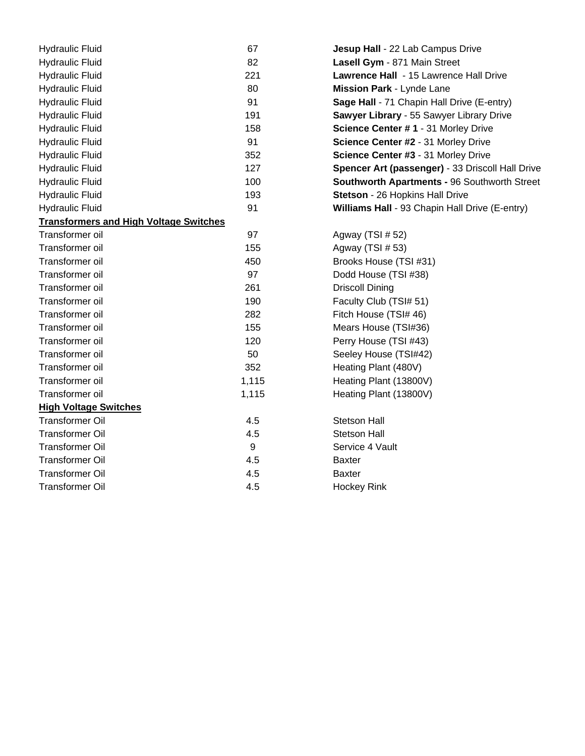| <b>Hydraulic Fluid</b>                        | 67    | Jesup Hall - 22 Lab Campus Drive                 |
|-----------------------------------------------|-------|--------------------------------------------------|
| <b>Hydraulic Fluid</b>                        | 82    | Lasell Gym - 871 Main Street                     |
| <b>Hydraulic Fluid</b>                        | 221   | Lawrence Hall - 15 Lawrence Hall Drive           |
| <b>Hydraulic Fluid</b>                        | 80    | Mission Park - Lynde Lane                        |
| <b>Hydraulic Fluid</b>                        | 91    | Sage Hall - 71 Chapin Hall Drive (E-entry)       |
| <b>Hydraulic Fluid</b>                        | 191   | Sawyer Library - 55 Sawyer Library Drive         |
| <b>Hydraulic Fluid</b>                        | 158   | Science Center # 1 - 31 Morley Drive             |
| <b>Hydraulic Fluid</b>                        | 91    | Science Center #2 - 31 Morley Drive              |
| <b>Hydraulic Fluid</b>                        | 352   | Science Center #3 - 31 Morley Drive              |
| <b>Hydraulic Fluid</b>                        | 127   | Spencer Art (passenger) - 33 Driscoll Hall Drive |
| <b>Hydraulic Fluid</b>                        | 100   | Southworth Apartments - 96 Southworth Street     |
| <b>Hydraulic Fluid</b>                        | 193   | Stetson - 26 Hopkins Hall Drive                  |
| <b>Hydraulic Fluid</b>                        | 91    | Williams Hall - 93 Chapin Hall Drive (E-entry)   |
| <b>Transformers and High Voltage Switches</b> |       |                                                  |
| Transformer oil                               | 97    | Agway (TSI # 52)                                 |
| Transformer oil                               | 155   | Agway (TSI # 53)                                 |
| Transformer oil                               | 450   | Brooks House (TSI #31)                           |
| Transformer oil                               | 97    | Dodd House (TSI #38)                             |
| Transformer oil                               | 261   | <b>Driscoll Dining</b>                           |
| Transformer oil                               | 190   | Faculty Club (TSI# 51)                           |
| Transformer oil                               | 282   | Fitch House (TSI# 46)                            |
| Transformer oil                               | 155   | Mears House (TSI#36)                             |
| Transformer oil                               | 120   | Perry House (TSI #43)                            |
| Transformer oil                               | 50    | Seeley House (TSI#42)                            |
| Transformer oil                               | 352   | Heating Plant (480V)                             |
| Transformer oil                               | 1,115 | Heating Plant (13800V)                           |
| Transformer oil                               | 1,115 | Heating Plant (13800V)                           |
| <b>High Voltage Switches</b>                  |       |                                                  |
| <b>Transformer Oil</b>                        | 4.5   | <b>Stetson Hall</b>                              |
| <b>Transformer Oil</b>                        | 4.5   | <b>Stetson Hall</b>                              |
| <b>Transformer Oil</b>                        | 9     | Service 4 Vault                                  |
| <b>Transformer Oil</b>                        | 4.5   | <b>Baxter</b>                                    |
| <b>Transformer Oil</b>                        | 4.5   | <b>Baxter</b>                                    |
| <b>Transformer Oil</b>                        | 4.5   | <b>Hockey Rink</b>                               |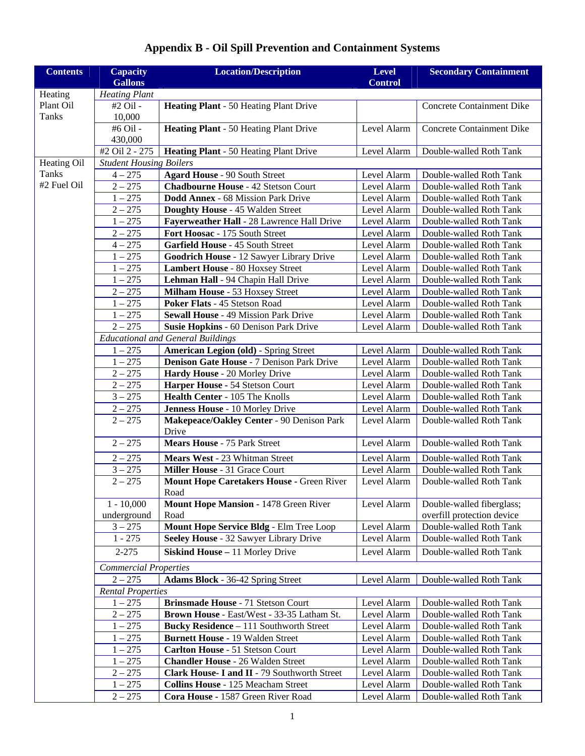# **Appendix B - Oil Spill Prevention and Containment Systems**

| <b>Contents</b>      | <b>Capacity</b>                                  | <b>Location/Description</b><br><b>Level</b>                                               |                            | <b>Secondary Containment</b>                       |
|----------------------|--------------------------------------------------|-------------------------------------------------------------------------------------------|----------------------------|----------------------------------------------------|
|                      | <b>Gallons</b>                                   |                                                                                           | <b>Control</b>             |                                                    |
| Heating              | <b>Heating Plant</b>                             |                                                                                           |                            |                                                    |
| Plant Oil            | #2 Oil -                                         | Heating Plant - 50 Heating Plant Drive                                                    |                            | <b>Concrete Containment Dike</b>                   |
| <b>Tanks</b>         | 10,000                                           |                                                                                           |                            |                                                    |
|                      | #6 Oil -                                         | <b>Heating Plant - 50 Heating Plant Drive</b>                                             | Level Alarm                | <b>Concrete Containment Dike</b>                   |
|                      | 430,000                                          |                                                                                           |                            |                                                    |
|                      | #2 Oil 2 - 275<br><b>Student Housing Boilers</b> | Heating Plant - 50 Heating Plant Drive                                                    | Level Alarm                | Double-walled Roth Tank                            |
| Heating Oil<br>Tanks | $4 - 275$                                        | <b>Agard House - 90 South Street</b>                                                      | Level Alarm                | Double-walled Roth Tank                            |
| #2 Fuel Oil          | $2 - 275$                                        | <b>Chadbourne House - 42 Stetson Court</b>                                                | Level Alarm                | Double-walled Roth Tank                            |
|                      | $1 - 275$                                        | <b>Dodd Annex - 68 Mission Park Drive</b>                                                 | Level Alarm                | Double-walled Roth Tank                            |
|                      | $2 - 275$                                        | Doughty House - 45 Walden Street                                                          | Level Alarm                | Double-walled Roth Tank                            |
|                      | $1 - 275$                                        | Fayerweather Hall - 28 Lawrence Hall Drive                                                | Level Alarm                | Double-walled Roth Tank                            |
|                      | $2 - 275$                                        | Fort Hoosac - 175 South Street                                                            | Level Alarm                | Double-walled Roth Tank                            |
|                      | $4 - 275$                                        | Garfield House - 45 South Street                                                          | Level Alarm                | Double-walled Roth Tank                            |
|                      | $1 - 275$                                        | Goodrich House - 12 Sawyer Library Drive                                                  | Level Alarm                | Double-walled Roth Tank                            |
|                      | $1 - 275$                                        | Lambert House - 80 Hoxsey Street                                                          | Level Alarm                | Double-walled Roth Tank                            |
|                      | $1 - 275$                                        | Lehman Hall - 94 Chapin Hall Drive                                                        | Level Alarm                | Double-walled Roth Tank                            |
|                      | $2 - 275$                                        | Milham House - 53 Hoxsey Street                                                           | Level Alarm                | Double-walled Roth Tank                            |
|                      | $1 - 275$                                        | Poker Flats - 45 Stetson Road                                                             | Level Alarm                | Double-walled Roth Tank                            |
|                      | $1 - 275$                                        | <b>Sewall House - 49 Mission Park Drive</b>                                               | Level Alarm                | Double-walled Roth Tank                            |
|                      | $2 - 275$                                        | Susie Hopkins - 60 Denison Park Drive                                                     | Level Alarm                | Double-walled Roth Tank                            |
|                      |                                                  | <b>Educational and General Buildings</b>                                                  |                            |                                                    |
|                      | $1 - 275$                                        | <b>American Legion (old) - Spring Street</b>                                              | Level Alarm                | Double-walled Roth Tank                            |
|                      | $1 - 275$                                        | Denison Gate House - 7 Denison Park Drive                                                 | Level Alarm                | Double-walled Roth Tank                            |
|                      | $2 - 275$                                        | Hardy House - 20 Morley Drive                                                             | Level Alarm                | Double-walled Roth Tank                            |
|                      | $2 - 275$                                        | Harper House - 54 Stetson Court                                                           | Level Alarm                | Double-walled Roth Tank                            |
|                      | $3 - 275$                                        | Health Center - 105 The Knolls                                                            | Level Alarm                | Double-walled Roth Tank                            |
|                      | $2 - 275$                                        | Jenness House - 10 Morley Drive                                                           | Level Alarm                | Double-walled Roth Tank                            |
|                      | $2 - 275$                                        | Makepeace/Oakley Center - 90 Denison Park<br>Drive                                        | Level Alarm                | Double-walled Roth Tank                            |
|                      | $2 - 275$                                        | <b>Mears House - 75 Park Street</b>                                                       | Level Alarm                | Double-walled Roth Tank                            |
|                      | $2 - 275$                                        | <b>Mears West - 23 Whitman Street</b>                                                     | Level Alarm                | Double-walled Roth Tank                            |
|                      | $3 - 275$                                        | Miller House - 31 Grace Court                                                             | Level Alarm                | Double-walled Roth Tank                            |
|                      | $2 - 275$                                        | <b>Mount Hope Caretakers House - Green River</b><br>Road                                  | Level Alarm                | Double-walled Roth Tank                            |
|                      | $1 - 10,000$                                     | Mount Hope Mansion - 1478 Green River                                                     | Level Alarm                | Double-walled fiberglass;                          |
|                      | underground                                      | Road                                                                                      |                            | overfill protection device                         |
|                      | $3 - 275$                                        | Mount Hope Service Bldg - Elm Tree Loop                                                   | Level Alarm                | Double-walled Roth Tank                            |
|                      | $1 - 275$                                        | Seeley House - 32 Sawyer Library Drive                                                    | Level Alarm                | Double-walled Roth Tank                            |
|                      | $2 - 275$                                        | Siskind House - 11 Morley Drive                                                           | Level Alarm                | Double-walled Roth Tank                            |
|                      | <b>Commercial Properties</b>                     |                                                                                           |                            |                                                    |
|                      | $2 - 275$                                        | <b>Adams Block - 36-42 Spring Street</b>                                                  | Level Alarm                | Double-walled Roth Tank                            |
|                      | <b>Rental Properties</b>                         |                                                                                           |                            |                                                    |
|                      | $1 - 275$                                        | Brinsmade House - 71 Stetson Court                                                        | Level Alarm                | Double-walled Roth Tank                            |
|                      | $2 - 275$                                        | Brown House - East/West - 33-35 Latham St.                                                | Level Alarm                | Double-walled Roth Tank                            |
|                      | $1 - 275$                                        | Bucky Residence - 111 Southworth Street                                                   | Level Alarm                | Double-walled Roth Tank                            |
|                      | $1 - 275$                                        | <b>Burnett House - 19 Walden Street</b>                                                   | Level Alarm                | Double-walled Roth Tank                            |
|                      | $1 - 275$                                        | Carlton House - 51 Stetson Court                                                          | Level Alarm                | Double-walled Roth Tank                            |
|                      | $1 - 275$                                        | <b>Chandler House - 26 Walden Street</b>                                                  | Level Alarm                | Double-walled Roth Tank                            |
|                      | $2 - 275$<br>$1 - 275$                           | Clark House- I and II - 79 Southworth Street<br><b>Collins House - 125 Meacham Street</b> | Level Alarm<br>Level Alarm | Double-walled Roth Tank<br>Double-walled Roth Tank |
|                      | $2 - 275$                                        | Cora House - 1587 Green River Road                                                        | Level Alarm                | Double-walled Roth Tank                            |
|                      |                                                  |                                                                                           |                            |                                                    |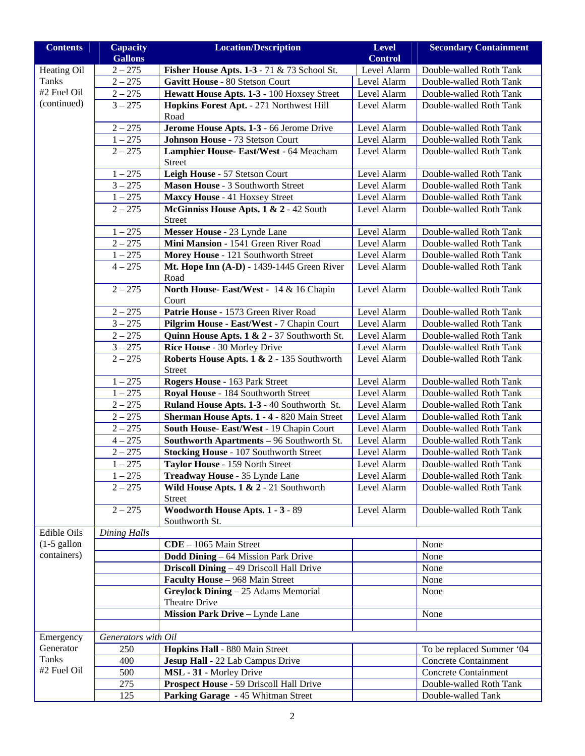| <b>Contents</b>    | <b>Capacity</b>     | <b>Location/Description</b>                                 | <b>Level</b>   | <b>Secondary Containment</b> |
|--------------------|---------------------|-------------------------------------------------------------|----------------|------------------------------|
|                    | <b>Gallons</b>      |                                                             | <b>Control</b> |                              |
| Heating Oil        | $2 - 275$           | Fisher House Apts. 1-3 - 71 & 73 School St.                 | Level Alarm    | Double-walled Roth Tank      |
| <b>Tanks</b>       | $2 - 275$           | <b>Gavitt House - 80 Stetson Court</b>                      | Level Alarm    | Double-walled Roth Tank      |
| #2 Fuel Oil        | $2 - 275$           | Hewatt House Apts. 1-3 - 100 Hoxsey Street                  | Level Alarm    | Double-walled Roth Tank      |
| (continued)        | $3 - 275$           | Hopkins Forest Apt. - 271 Northwest Hill<br>Road            | Level Alarm    | Double-walled Roth Tank      |
|                    | $2 - 275$           | Jerome House Apts. 1-3 - 66 Jerome Drive                    | Level Alarm    | Double-walled Roth Tank      |
|                    | $1 - 275$           | <b>Johnson House - 73 Stetson Court</b>                     | Level Alarm    | Double-walled Roth Tank      |
|                    | $2 - 275$           | Lamphier House- East/West - 64 Meacham<br><b>Street</b>     | Level Alarm    | Double-walled Roth Tank      |
|                    | $1 - 275$           | Leigh House - 57 Stetson Court                              | Level Alarm    | Double-walled Roth Tank      |
|                    | $3 - 275$           | Mason House - 3 Southworth Street                           | Level Alarm    | Double-walled Roth Tank      |
|                    | $1 - 275$           | Maxcy House - 41 Hoxsey Street                              | Level Alarm    | Double-walled Roth Tank      |
|                    | $2 - 275$           | McGinniss House Apts. 1 & 2 - 42 South<br><b>Street</b>     | Level Alarm    | Double-walled Roth Tank      |
|                    | $1 - 275$           | Messer House - 23 Lynde Lane                                | Level Alarm    | Double-walled Roth Tank      |
|                    | $2 - 275$           | Mini Mansion - 1541 Green River Road                        | Level Alarm    | Double-walled Roth Tank      |
|                    | $1 - 275$           | Morey House - 121 Southworth Street                         | Level Alarm    | Double-walled Roth Tank      |
|                    | $4 - 275$           | Mt. Hope Inn (A-D) - 1439-1445 Green River<br>Road          | Level Alarm    | Double-walled Roth Tank      |
|                    | $2 - 275$           | North House-East/West - 14 & 16 Chapin<br>Court             | Level Alarm    | Double-walled Roth Tank      |
|                    | $2 - 275$           | Patrie House - 1573 Green River Road                        | Level Alarm    | Double-walled Roth Tank      |
|                    | $3 - 275$           | Pilgrim House - East/West - 7 Chapin Court                  | Level Alarm    | Double-walled Roth Tank      |
|                    | $2 - 275$           | Quinn House Apts. 1 & 2 - 37 Southworth St.                 | Level Alarm    | Double-walled Roth Tank      |
|                    | $3 - 275$           | Rice House - 30 Morley Drive                                | Level Alarm    | Double-walled Roth Tank      |
|                    | $2 - 275$           | Roberts House Apts. 1 & 2 - 135 Southworth<br><b>Street</b> | Level Alarm    | Double-walled Roth Tank      |
|                    | $1 - 275$           | Rogers House - 163 Park Street                              | Level Alarm    | Double-walled Roth Tank      |
|                    | $1 - 275$           | Royal House - 184 Southworth Street                         | Level Alarm    | Double-walled Roth Tank      |
|                    | $2 - 275$           | Ruland House Apts. 1-3 - 40 Southworth St.                  | Level Alarm    | Double-walled Roth Tank      |
|                    | $2 - 275$           | Sherman House Apts. 1 - 4 - 820 Main Street                 | Level Alarm    | Double-walled Roth Tank      |
|                    | $2 - 275$           | South House- East/West - 19 Chapin Court                    | Level Alarm    | Double-walled Roth Tank      |
|                    | $4 - 275$           | Southworth Apartments - 96 Southworth St.                   | Level Alarm    | Double-walled Roth Tank      |
|                    | $2 - 275$           | <b>Stocking House - 107 Southworth Street</b>               | Level Alarm    | Double-walled Roth Tank      |
|                    | $1 - 275$           | Taylor House - 159 North Street                             | Level Alarm    | Double-walled Roth Tank      |
|                    | $1 - 275$           | Treadway House - 35 Lynde Lane                              | Level Alarm    | Double-walled Roth Tank      |
|                    | $2 - 275$           | Wild House Apts. $1 & 2 - 21$ Southworth<br>Street          | Level Alarm    | Double-walled Roth Tank      |
|                    | $2 - 275$           | Woodworth House Apts. 1 - 3 - 89<br>Southworth St.          | Level Alarm    | Double-walled Roth Tank      |
| <b>Edible Oils</b> | <b>Dining Halls</b> |                                                             |                |                              |
| $(1-5)$ gallon     |                     | CDE - 1065 Main Street                                      |                | None                         |
| containers)        |                     | Dodd Dining - 64 Mission Park Drive                         |                | None                         |
|                    |                     | <b>Driscoll Dining - 49 Driscoll Hall Drive</b>             |                | None                         |
|                    |                     | Faculty House - 968 Main Street                             |                | None                         |
|                    |                     | Greylock Dining - 25 Adams Memorial<br>Theatre Drive        |                | None                         |
|                    |                     | <b>Mission Park Drive - Lynde Lane</b>                      |                | None                         |
|                    |                     |                                                             |                |                              |
| Emergency          | Generators with Oil |                                                             |                |                              |
| Generator          | 250                 | Hopkins Hall - 880 Main Street                              |                | To be replaced Summer '04    |
| <b>Tanks</b>       | 400                 | Jesup Hall - 22 Lab Campus Drive                            |                | <b>Concrete Containment</b>  |
| #2 Fuel Oil        | 500                 | MSL - 31 - Morley Drive                                     |                | <b>Concrete Containment</b>  |
|                    | 275                 | Prospect House - 59 Driscoll Hall Drive                     |                | Double-walled Roth Tank      |
|                    | 125                 | Parking Garage - 45 Whitman Street                          |                | Double-walled Tank           |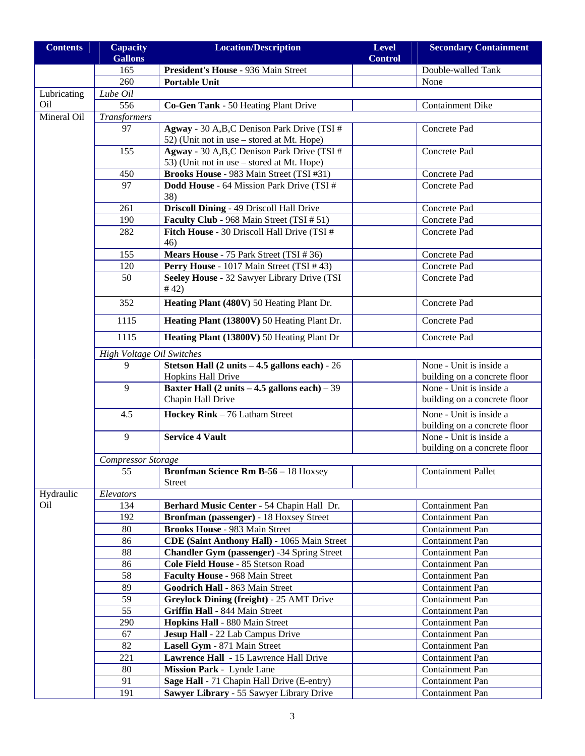| <b>Contents</b> | <b>Capacity</b>           | <b>Location/Description</b>                                      | <b>Level</b>   | <b>Secondary Containment</b>                            |  |  |
|-----------------|---------------------------|------------------------------------------------------------------|----------------|---------------------------------------------------------|--|--|
|                 | <b>Gallons</b>            |                                                                  | <b>Control</b> |                                                         |  |  |
|                 | 165                       | President's House - 936 Main Street                              |                | Double-walled Tank                                      |  |  |
|                 | 260                       | <b>Portable Unit</b>                                             |                | None                                                    |  |  |
| Lubricating     | Lube Oil                  |                                                                  |                |                                                         |  |  |
| Oil             | 556                       | Co-Gen Tank - 50 Heating Plant Drive                             |                | <b>Containment Dike</b>                                 |  |  |
| Mineral Oil     | <b>Transformers</b>       |                                                                  |                |                                                         |  |  |
|                 | 97                        | Agway - 30 A,B,C Denison Park Drive (TSI #                       |                | Concrete Pad                                            |  |  |
|                 |                           | 52) (Unit not in use – stored at Mt. Hope)                       |                |                                                         |  |  |
|                 | 155                       | Agway - 30 A,B,C Denison Park Drive (TSI #                       |                | Concrete Pad                                            |  |  |
|                 |                           | 53) (Unit not in use – stored at Mt. Hope)                       |                |                                                         |  |  |
|                 | 450                       | Brooks House - 983 Main Street (TSI #31)                         |                | Concrete Pad                                            |  |  |
|                 | 97                        | Dodd House - 64 Mission Park Drive (TSI #<br>38)                 |                | Concrete Pad                                            |  |  |
|                 | 261                       | Driscoll Dining - 49 Driscoll Hall Drive                         |                | Concrete Pad                                            |  |  |
|                 | 190                       | Faculty Club - 968 Main Street (TSI # 51)                        |                | Concrete Pad                                            |  |  |
|                 | 282                       | Fitch House - 30 Driscoll Hall Drive (TSI #                      |                | Concrete Pad                                            |  |  |
|                 |                           | 46)                                                              |                |                                                         |  |  |
|                 | 155                       | <b>Mears House - 75 Park Street (TSI #36)</b>                    |                | Concrete Pad                                            |  |  |
|                 | 120                       | Perry House - 1017 Main Street (TSI #43)                         |                | <b>Concrete Pad</b>                                     |  |  |
|                 | 50                        | Seeley House - 32 Sawyer Library Drive (TSI                      |                | Concrete Pad                                            |  |  |
|                 |                           | #42)                                                             |                |                                                         |  |  |
|                 | 352                       | Heating Plant (480V) 50 Heating Plant Dr.                        |                | Concrete Pad                                            |  |  |
|                 | 1115                      | Heating Plant (13800V) 50 Heating Plant Dr.                      |                | Concrete Pad                                            |  |  |
|                 | 1115                      | Heating Plant (13800V) 50 Heating Plant Dr                       |                | Concrete Pad                                            |  |  |
|                 | High Voltage Oil Switches |                                                                  |                |                                                         |  |  |
|                 | 9                         | Stetson Hall $(2 \text{ units} - 4.5 \text{ gallons each}) - 26$ |                | None - Unit is inside a                                 |  |  |
|                 |                           | Hopkins Hall Drive                                               |                | building on a concrete floor                            |  |  |
|                 | 9                         | Baxter Hall $(2 \text{ units} - 4.5 \text{ gallons each}) - 39$  |                | None - Unit is inside a                                 |  |  |
|                 |                           | Chapin Hall Drive                                                |                | building on a concrete floor                            |  |  |
|                 | 4.5                       | Hockey Rink - 76 Latham Street                                   |                | None - Unit is inside a<br>building on a concrete floor |  |  |
|                 | 9                         | <b>Service 4 Vault</b>                                           |                | None - Unit is inside a                                 |  |  |
|                 |                           |                                                                  |                | building on a concrete floor                            |  |  |
|                 | Compressor Storage        |                                                                  |                |                                                         |  |  |
|                 | 55                        | <b>Bronfman Science Rm B-56 - 18 Hoxsey</b>                      |                | <b>Containment Pallet</b>                               |  |  |
|                 |                           | Street                                                           |                |                                                         |  |  |
| Hydraulic       | Elevators                 |                                                                  |                |                                                         |  |  |
| Oil             | 134                       | Berhard Music Center - 54 Chapin Hall Dr.                        |                | Containment Pan                                         |  |  |
|                 | 192                       | Bronfman (passenger) - 18 Hoxsey Street                          |                | <b>Containment Pan</b>                                  |  |  |
|                 | 80                        | <b>Brooks House - 983 Main Street</b>                            |                | <b>Containment Pan</b>                                  |  |  |
|                 | 86                        | <b>CDE (Saint Anthony Hall) - 1065 Main Street</b>               |                | Containment Pan                                         |  |  |
|                 | 88                        | <b>Chandler Gym (passenger) -34 Spring Street</b>                |                | <b>Containment Pan</b>                                  |  |  |
|                 | 86                        | Cole Field House - 85 Stetson Road                               |                | Containment Pan                                         |  |  |
|                 | 58                        | Faculty House - 968 Main Street                                  |                | Containment Pan                                         |  |  |
|                 | 89                        | Goodrich Hall - 863 Main Street                                  |                | Containment Pan                                         |  |  |
|                 | 59                        | <b>Greylock Dining (freight) - 25 AMT Drive</b>                  |                | Containment Pan                                         |  |  |
|                 | 55                        | Griffin Hall - 844 Main Street                                   |                | <b>Containment Pan</b>                                  |  |  |
|                 | 290                       | Hopkins Hall - 880 Main Street                                   |                | Containment Pan                                         |  |  |
|                 | 67                        | Jesup Hall - 22 Lab Campus Drive                                 |                | Containment Pan                                         |  |  |
|                 | $\overline{82}$           | Lasell Gym - 871 Main Street                                     |                | Containment Pan                                         |  |  |
|                 | 221                       | Lawrence Hall - 15 Lawrence Hall Drive                           |                | Containment Pan                                         |  |  |
|                 | 80                        | Mission Park - Lynde Lane                                        |                | Containment Pan                                         |  |  |
|                 | 91                        | Sage Hall - 71 Chapin Hall Drive (E-entry)                       |                | Containment Pan                                         |  |  |
|                 | 191                       | Sawyer Library - 55 Sawyer Library Drive                         |                | Containment Pan                                         |  |  |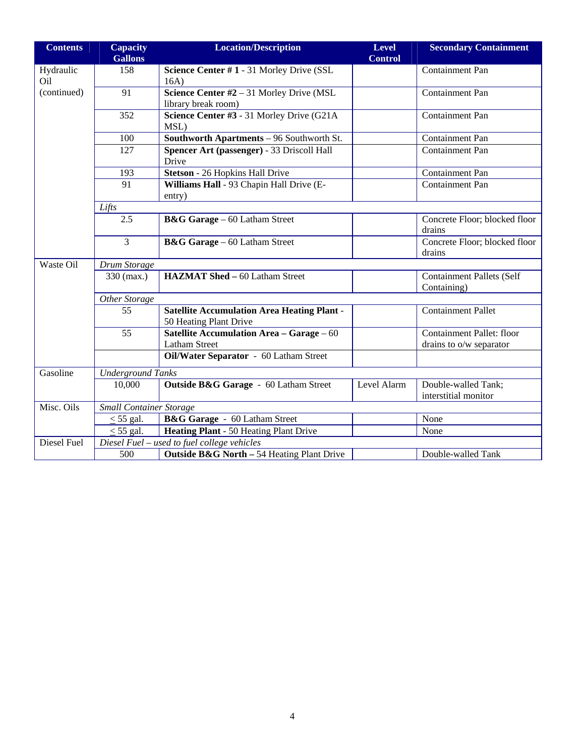| <b>Contents</b>    | <b>Capacity</b><br><b>Gallons</b> | <b>Location/Description</b>                                                  | <b>Level</b><br><b>Control</b> | <b>Secondary Containment</b>                         |
|--------------------|-----------------------------------|------------------------------------------------------------------------------|--------------------------------|------------------------------------------------------|
| Hydraulic<br>Oil   | 158                               | Science Center #1 - 31 Morley Drive (SSL<br>16A)                             |                                | Containment Pan                                      |
| (continued)        | 91                                | Science Center $#2 - 31$ Morley Drive (MSL<br>library break room)            |                                | Containment Pan                                      |
|                    | 352                               | Science Center #3 - 31 Morley Drive (G21A<br>MSL)                            |                                | Containment Pan                                      |
|                    | 100                               | Southworth Apartments - 96 Southworth St.                                    |                                | Containment Pan                                      |
|                    | 127                               | Spencer Art (passenger) - 33 Driscoll Hall<br>Drive                          |                                | Containment Pan                                      |
|                    | 193                               | Stetson - 26 Hopkins Hall Drive                                              |                                | Containment Pan                                      |
|                    | $\overline{91}$                   | Williams Hall - 93 Chapin Hall Drive (E-<br>entry)                           |                                | <b>Containment Pan</b>                               |
|                    | Lifts                             |                                                                              |                                |                                                      |
|                    | $\overline{2.5}$                  | <b>B&amp;G Garage</b> – 60 Latham Street                                     |                                | Concrete Floor; blocked floor<br>drains              |
|                    | $\overline{3}$                    | <b>B&amp;G Garage - 60 Latham Street</b>                                     |                                | Concrete Floor; blocked floor<br>drains              |
| Waste Oil          | Drum Storage                      |                                                                              |                                |                                                      |
|                    | 330 (max.)                        | HAZMAT Shed - 60 Latham Street                                               |                                | <b>Containment Pallets (Self</b><br>Containing)      |
|                    | Other Storage                     |                                                                              |                                |                                                      |
|                    | 55                                | <b>Satellite Accumulation Area Heating Plant -</b><br>50 Heating Plant Drive |                                | <b>Containment Pallet</b>                            |
|                    | 55                                | Satellite Accumulation Area - Garage - 60<br><b>Latham Street</b>            |                                | Containment Pallet: floor<br>drains to o/w separator |
|                    |                                   | Oil/Water Separator - 60 Latham Street                                       |                                |                                                      |
| Gasoline           | <b>Underground Tanks</b>          |                                                                              |                                |                                                      |
|                    | 10,000                            | Outside B&G Garage - 60 Latham Street                                        | Level Alarm                    | Double-walled Tank;<br>interstitial monitor          |
| Misc. Oils         | <b>Small Container Storage</b>    |                                                                              |                                |                                                      |
|                    | $\leq$ 55 gal.                    | <b>B&amp;G Garage - 60 Latham Street</b>                                     |                                | None                                                 |
|                    | $\leq$ 55 gal.                    | Heating Plant - 50 Heating Plant Drive                                       |                                | None                                                 |
| <b>Diesel Fuel</b> |                                   | Diesel Fuel - used to fuel college vehicles                                  |                                |                                                      |
|                    | 500                               | <b>Outside B&amp;G North - 54 Heating Plant Drive</b>                        |                                | Double-walled Tank                                   |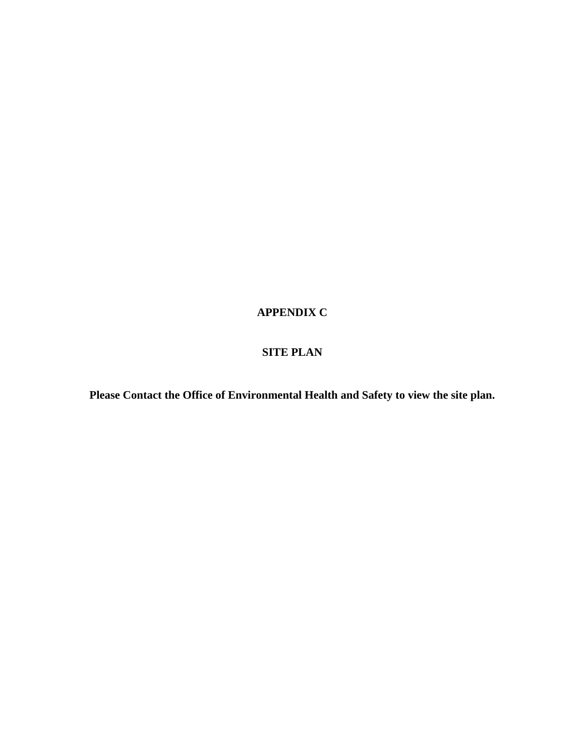# **APPENDIX C**

# **SITE PLAN**

**Please Contact the Office of Environmental Health and Safety to view the site plan.**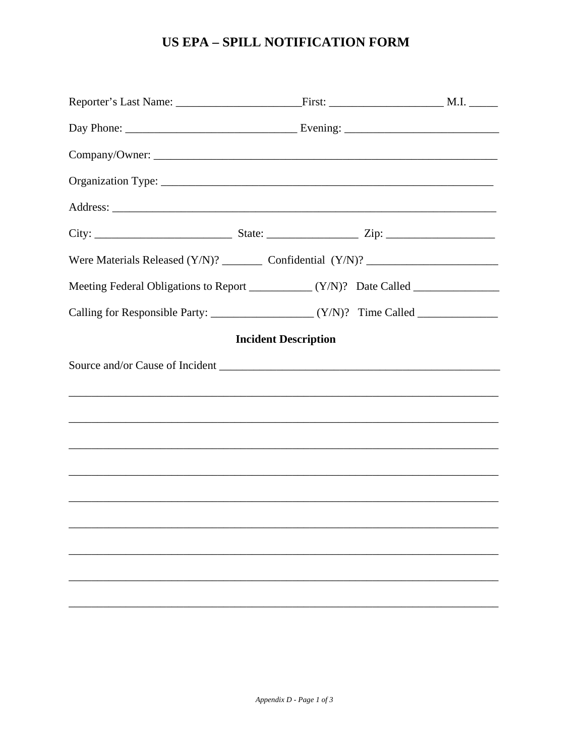# **US EPA - SPILL NOTIFICATION FORM**

| Meeting Federal Obligations to Report ___________ (Y/N)? Date Called ___________  |                             |  |
|-----------------------------------------------------------------------------------|-----------------------------|--|
|                                                                                   |                             |  |
|                                                                                   | <b>Incident Description</b> |  |
|                                                                                   |                             |  |
|                                                                                   |                             |  |
|                                                                                   |                             |  |
|                                                                                   |                             |  |
| ,我们也不能在这里的人,我们也不能在这里的人,我们也不能在这里的人,我们也不能在这里的人,我们也不能在这里的人,我们也不能在这里的人,我们也不能在这里的人,我们也 |                             |  |
|                                                                                   |                             |  |
|                                                                                   |                             |  |
|                                                                                   |                             |  |
|                                                                                   |                             |  |
|                                                                                   |                             |  |
|                                                                                   |                             |  |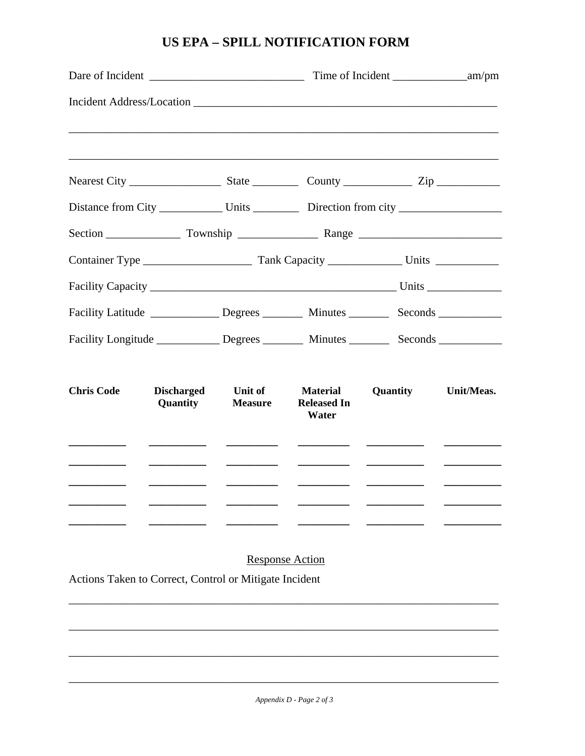# **US EPA - SPILL NOTIFICATION FORM**

|                                                        |                                      |                                                                                                                                                                                                                                                              | Facility Latitude ________________ Degrees __________ Minutes __________ Seconds __________________ |                                                                                                                                      |            |
|--------------------------------------------------------|--------------------------------------|--------------------------------------------------------------------------------------------------------------------------------------------------------------------------------------------------------------------------------------------------------------|-----------------------------------------------------------------------------------------------------|--------------------------------------------------------------------------------------------------------------------------------------|------------|
|                                                        |                                      |                                                                                                                                                                                                                                                              | Facility Longitude _____________ Degrees _________ Minutes _________ Seconds ___________            |                                                                                                                                      |            |
| <b>Chris Code</b>                                      | <b>Discharged</b><br><b>Quantity</b> | Unit of<br><b>Measure</b>                                                                                                                                                                                                                                    | <b>Material</b><br><b>Released In</b><br>Water                                                      | Quantity<br><u> Alexandro Alexandro de Alexandro Alexandro de Alexandro de Alexandro de Alexandro de Alexandro de Alexandro de A</u> | Unit/Meas. |
|                                                        |                                      | <u> Alexandro Alexandro Alexandro Alexandro Alexandro Alexandro Alexandro Alexandro Alexandro Alexandro Alexandro Alexandro Alexandro Alexandro Alexandro Alexandro Alexandro Alexandro Alexandro Alexandro Alexandro Alexandro </u><br>____________________ |                                                                                                     |                                                                                                                                      |            |
| Actions Taken to Correct, Control or Mitigate Incident |                                      |                                                                                                                                                                                                                                                              | <b>Response Action</b>                                                                              |                                                                                                                                      |            |

 $\overline{\phantom{a}}$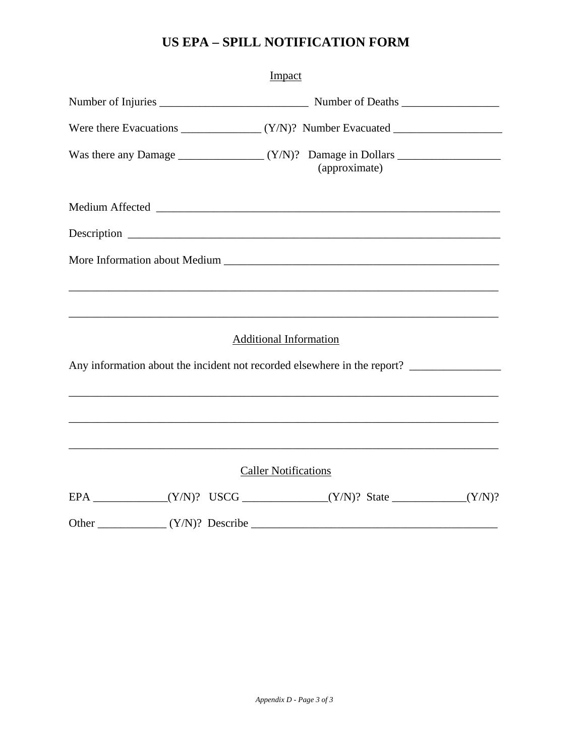# **US EPA – SPILL NOTIFICATION FORM**

| Impact                                                                                               |
|------------------------------------------------------------------------------------------------------|
|                                                                                                      |
|                                                                                                      |
| (approximate)                                                                                        |
|                                                                                                      |
|                                                                                                      |
|                                                                                                      |
| <b>Additional Information</b>                                                                        |
| Any information about the incident not recorded elsewhere in the report? ___________________________ |
| <b>Caller Notifications</b>                                                                          |
| EPA $(N/N)$ ? USCG $(N)$ (Y/N)? State $(N)$ .                                                        |
|                                                                                                      |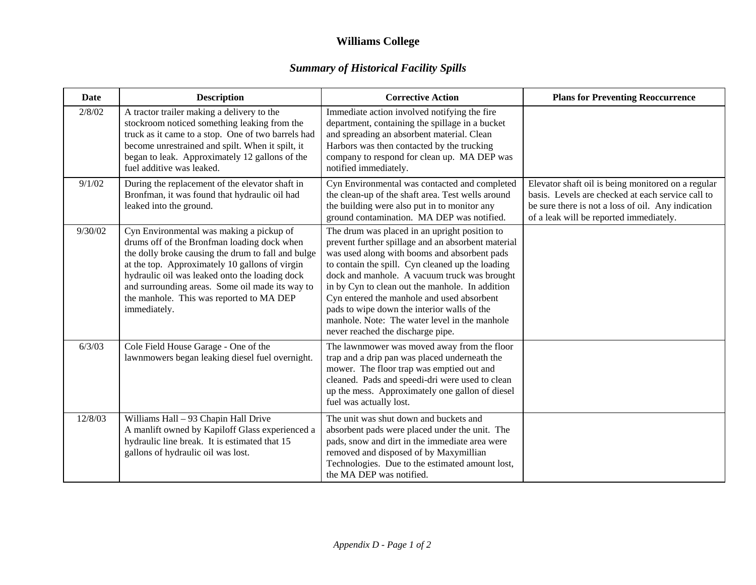# **Williams College**

# *Summary of Historical Facility Spills*

| Date    | <b>Description</b>                                                                                                                                                                                                                                                                                                                                               | <b>Corrective Action</b>                                                                                                                                                                                                                                                                                                                                                                                                                                                                      | <b>Plans for Preventing Reoccurrence</b>                                                                                                                                                                 |
|---------|------------------------------------------------------------------------------------------------------------------------------------------------------------------------------------------------------------------------------------------------------------------------------------------------------------------------------------------------------------------|-----------------------------------------------------------------------------------------------------------------------------------------------------------------------------------------------------------------------------------------------------------------------------------------------------------------------------------------------------------------------------------------------------------------------------------------------------------------------------------------------|----------------------------------------------------------------------------------------------------------------------------------------------------------------------------------------------------------|
| 2/8/02  | A tractor trailer making a delivery to the<br>stockroom noticed something leaking from the<br>truck as it came to a stop. One of two barrels had<br>become unrestrained and spilt. When it spilt, it<br>began to leak. Approximately 12 gallons of the<br>fuel additive was leaked.                                                                              | Immediate action involved notifying the fire<br>department, containing the spillage in a bucket<br>and spreading an absorbent material. Clean<br>Harbors was then contacted by the trucking<br>company to respond for clean up. MA DEP was<br>notified immediately.                                                                                                                                                                                                                           |                                                                                                                                                                                                          |
| 9/1/02  | During the replacement of the elevator shaft in<br>Bronfman, it was found that hydraulic oil had<br>leaked into the ground.                                                                                                                                                                                                                                      | Cyn Environmental was contacted and completed<br>the clean-up of the shaft area. Test wells around<br>the building were also put in to monitor any<br>ground contamination. MA DEP was notified.                                                                                                                                                                                                                                                                                              | Elevator shaft oil is being monitored on a regular<br>basis. Levels are checked at each service call to<br>be sure there is not a loss of oil. Any indication<br>of a leak will be reported immediately. |
| 9/30/02 | Cyn Environmental was making a pickup of<br>drums off of the Bronfman loading dock when<br>the dolly broke causing the drum to fall and bulge<br>at the top. Approximately 10 gallons of virgin<br>hydraulic oil was leaked onto the loading dock<br>and surrounding areas. Some oil made its way to<br>the manhole. This was reported to MA DEP<br>immediately. | The drum was placed in an upright position to<br>prevent further spillage and an absorbent material<br>was used along with booms and absorbent pads<br>to contain the spill. Cyn cleaned up the loading<br>dock and manhole. A vacuum truck was brought<br>in by Cyn to clean out the manhole. In addition<br>Cyn entered the manhole and used absorbent<br>pads to wipe down the interior walls of the<br>manhole. Note: The water level in the manhole<br>never reached the discharge pipe. |                                                                                                                                                                                                          |
| 6/3/03  | Cole Field House Garage - One of the<br>lawnmowers began leaking diesel fuel overnight.                                                                                                                                                                                                                                                                          | The lawnmower was moved away from the floor<br>trap and a drip pan was placed underneath the<br>mower. The floor trap was emptied out and<br>cleaned. Pads and speedi-dri were used to clean<br>up the mess. Approximately one gallon of diesel<br>fuel was actually lost.                                                                                                                                                                                                                    |                                                                                                                                                                                                          |
| 12/8/03 | Williams Hall - 93 Chapin Hall Drive<br>A manlift owned by Kapiloff Glass experienced a<br>hydraulic line break. It is estimated that 15<br>gallons of hydraulic oil was lost.                                                                                                                                                                                   | The unit was shut down and buckets and<br>absorbent pads were placed under the unit. The<br>pads, snow and dirt in the immediate area were<br>removed and disposed of by Maxymillian<br>Technologies. Due to the estimated amount lost,<br>the MA DEP was notified.                                                                                                                                                                                                                           |                                                                                                                                                                                                          |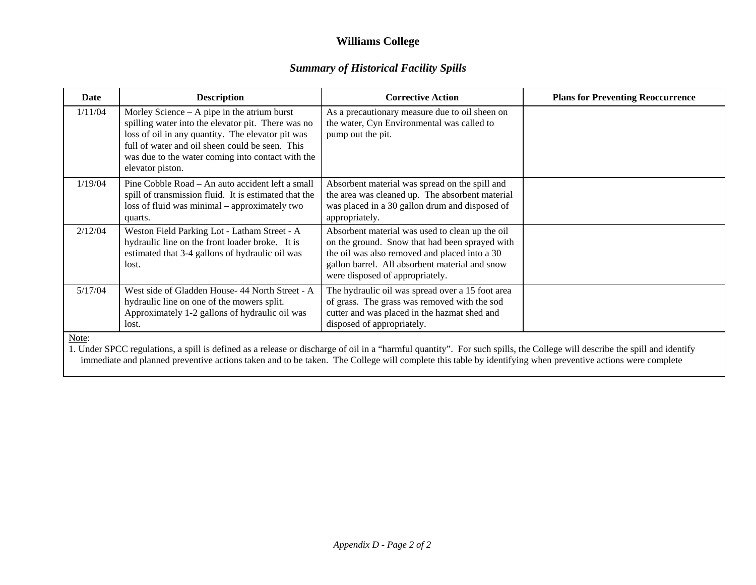# **Williams College**

# *Summary of Historical Facility Spills*

| Date    | <b>Description</b>                                                                                                                                                                                                                                                                   | <b>Corrective Action</b>                                                                                                                                                                                                                                                                                                               | <b>Plans for Preventing Reoccurrence</b> |  |  |  |  |
|---------|--------------------------------------------------------------------------------------------------------------------------------------------------------------------------------------------------------------------------------------------------------------------------------------|----------------------------------------------------------------------------------------------------------------------------------------------------------------------------------------------------------------------------------------------------------------------------------------------------------------------------------------|------------------------------------------|--|--|--|--|
| 1/11/04 | Morley Science $-$ A pipe in the atrium burst<br>spilling water into the elevator pit. There was no<br>loss of oil in any quantity. The elevator pit was<br>full of water and oil sheen could be seen. This<br>was due to the water coming into contact with the<br>elevator piston. | As a precautionary measure due to oil sheen on<br>the water, Cyn Environmental was called to<br>pump out the pit.                                                                                                                                                                                                                      |                                          |  |  |  |  |
| 1/19/04 | Pine Cobble Road – An auto accident left a small<br>spill of transmission fluid. It is estimated that the<br>loss of fluid was minimal – approximately two<br>quarts.                                                                                                                | Absorbent material was spread on the spill and<br>the area was cleaned up. The absorbent material<br>was placed in a 30 gallon drum and disposed of<br>appropriately.                                                                                                                                                                  |                                          |  |  |  |  |
| 2/12/04 | Weston Field Parking Lot - Latham Street - A<br>hydraulic line on the front loader broke. It is<br>estimated that 3-4 gallons of hydraulic oil was<br>lost.                                                                                                                          | Absorbent material was used to clean up the oil<br>on the ground. Snow that had been sprayed with<br>the oil was also removed and placed into a 30<br>gallon barrel. All absorbent material and snow<br>were disposed of appropriately.                                                                                                |                                          |  |  |  |  |
| 5/17/04 | West side of Gladden House- 44 North Street - A<br>hydraulic line on one of the mowers split.<br>Approximately 1-2 gallons of hydraulic oil was<br>lost.                                                                                                                             | The hydraulic oil was spread over a 15 foot area<br>of grass. The grass was removed with the sod<br>cutter and was placed in the hazmat shed and<br>disposed of appropriately.                                                                                                                                                         |                                          |  |  |  |  |
| Note:   |                                                                                                                                                                                                                                                                                      | 1. Under SPCC regulations, a spill is defined as a release or discharge of oil in a "harmful quantity". For such spills, the College will describe the spill and identify<br>immediate and planned preventive actions taken and to be taken. The College will complete this table by identifying when preventive actions were complete |                                          |  |  |  |  |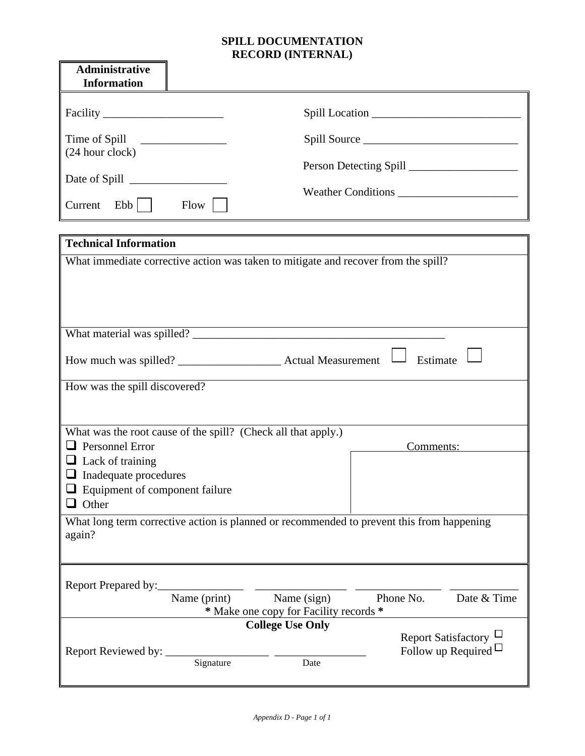# **SPILL DOCUMENTATION RECORD (INTERNAL)**

| <b>Administrative</b><br><b>Information</b>                   |                                                                                           |
|---------------------------------------------------------------|-------------------------------------------------------------------------------------------|
|                                                               |                                                                                           |
| Time of Spill _______________<br>(24 hour clock)              | Spill Source                                                                              |
|                                                               |                                                                                           |
| Current Ebb     Flow                                          |                                                                                           |
| <b>Technical Information</b>                                  |                                                                                           |
|                                                               | What immediate corrective action was taken to mitigate and recover from the spill?        |
|                                                               |                                                                                           |
|                                                               | Estimate                                                                                  |
| How was the spill discovered?                                 |                                                                                           |
| What was the root cause of the spill? (Check all that apply.) |                                                                                           |
| $\Box$ Personnel Error<br>$\Box$ Lack of training             | Comments:                                                                                 |
| $\Box$ Inadequate procedures                                  |                                                                                           |
| $\Box$ Equipment of component failure<br>Other                |                                                                                           |
| again?                                                        | What long term corrective action is planned or recommended to prevent this from happening |
| Report Prepared by:                                           |                                                                                           |
| Name (print)                                                  | Name (sign)<br>Phone No.<br>Date & Time<br>* Make one copy for Facility records *         |
|                                                               | <b>College Use Only</b>                                                                   |
|                                                               | Report Satisfactory $\Box$                                                                |
| Report Reviewed by:<br>Signature                              | Follow up Required $\Box$<br>Date                                                         |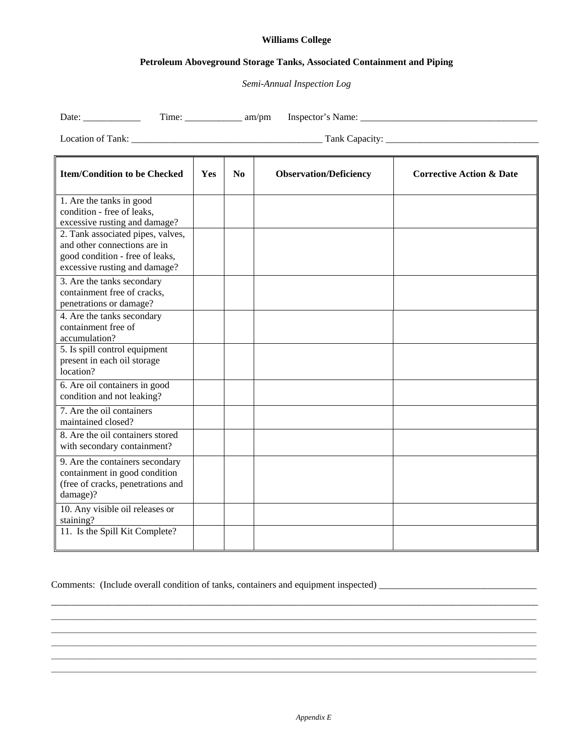#### **Williams College**

#### **Petroleum Aboveground Storage Tanks, Associated Containment and Piping**

### *Semi-Annual Inspection Log*

Date: \_\_\_\_\_\_\_\_\_\_\_\_ Time: \_\_\_\_\_\_\_\_\_\_\_\_ am/pm Inspector's Name: \_\_\_\_\_\_\_\_\_\_\_\_\_\_\_\_\_\_\_\_\_\_\_\_\_\_\_\_\_\_\_\_\_\_\_\_\_

Location of Tank: \_\_\_\_\_\_\_\_\_\_\_\_\_\_\_\_\_\_\_\_\_\_\_\_\_\_\_\_\_\_\_\_\_\_\_\_\_\_\_\_ Tank Capacity: \_\_\_\_\_\_\_\_\_\_\_\_\_\_\_\_\_\_\_\_\_\_\_\_\_\_\_\_\_\_\_\_

| <b>Item/Condition to be Checked</b>                                                                                                   | <b>Yes</b> | No | <b>Observation/Deficiency</b> | <b>Corrective Action &amp; Date</b> |
|---------------------------------------------------------------------------------------------------------------------------------------|------------|----|-------------------------------|-------------------------------------|
| 1. Are the tanks in good<br>condition - free of leaks,<br>excessive rusting and damage?                                               |            |    |                               |                                     |
| 2. Tank associated pipes, valves,<br>and other connections are in<br>good condition - free of leaks,<br>excessive rusting and damage? |            |    |                               |                                     |
| 3. Are the tanks secondary<br>containment free of cracks,<br>penetrations or damage?                                                  |            |    |                               |                                     |
| 4. Are the tanks secondary<br>containment free of<br>accumulation?                                                                    |            |    |                               |                                     |
| 5. Is spill control equipment<br>present in each oil storage<br>location?                                                             |            |    |                               |                                     |
| 6. Are oil containers in good<br>condition and not leaking?                                                                           |            |    |                               |                                     |
| 7. Are the oil containers<br>maintained closed?                                                                                       |            |    |                               |                                     |
| 8. Are the oil containers stored<br>with secondary containment?                                                                       |            |    |                               |                                     |
| 9. Are the containers secondary<br>containment in good condition<br>(free of cracks, penetrations and<br>damage)?                     |            |    |                               |                                     |
| 10. Any visible oil releases or<br>staining?                                                                                          |            |    |                               |                                     |
| 11. Is the Spill Kit Complete?                                                                                                        |            |    |                               |                                     |

Comments: (Include overall condition of tanks, containers and equipment inspected) \_\_\_\_\_\_\_\_\_\_\_\_\_\_\_\_\_\_\_\_\_\_\_\_\_\_\_\_\_\_\_\_\_

\_\_\_\_\_\_\_\_\_\_\_\_\_\_\_\_\_\_\_\_\_\_\_\_\_\_\_\_\_\_\_\_\_\_\_\_\_\_\_\_\_\_\_\_\_\_\_\_\_\_\_\_\_\_\_\_\_\_\_\_\_\_\_\_\_\_\_\_\_\_\_\_\_\_\_\_\_\_\_\_\_\_\_\_\_\_\_\_\_\_\_\_\_\_\_\_\_\_\_\_\_\_ \_\_\_\_\_\_\_\_\_\_\_\_\_\_\_\_\_\_\_\_\_\_\_\_\_\_\_\_\_\_\_\_\_\_\_\_\_\_\_\_\_\_\_\_\_\_\_\_\_\_\_\_\_\_\_\_\_\_\_\_\_\_\_\_\_\_\_\_\_\_\_\_\_\_\_\_\_\_\_\_\_\_\_\_\_\_\_\_\_\_\_\_\_\_\_\_\_\_\_\_\_\_\_\_\_\_\_\_\_\_\_\_\_\_\_\_\_\_\_\_\_\_\_\_\_\_\_ \_\_\_\_\_\_\_\_\_\_\_\_\_\_\_\_\_\_\_\_\_\_\_\_\_\_\_\_\_\_\_\_\_\_\_\_\_\_\_\_\_\_\_\_\_\_\_\_\_\_\_\_\_\_\_\_\_\_\_\_\_\_\_\_\_\_\_\_\_\_\_\_\_\_\_\_\_\_\_\_\_\_\_\_\_\_\_\_\_\_\_\_\_\_\_\_\_\_\_\_\_\_\_\_\_\_\_\_\_\_\_\_\_\_\_\_\_\_\_\_\_\_\_\_\_\_\_ \_\_\_\_\_\_\_\_\_\_\_\_\_\_\_\_\_\_\_\_\_\_\_\_\_\_\_\_\_\_\_\_\_\_\_\_\_\_\_\_\_\_\_\_\_\_\_\_\_\_\_\_\_\_\_\_\_\_\_\_\_\_\_\_\_\_\_\_\_\_\_\_\_\_\_\_\_\_\_\_\_\_\_\_\_\_\_\_\_\_\_\_\_\_\_\_\_\_\_\_\_\_\_\_\_\_\_\_\_\_\_\_\_\_\_\_\_\_\_\_\_\_\_\_\_\_\_ \_\_\_\_\_\_\_\_\_\_\_\_\_\_\_\_\_\_\_\_\_\_\_\_\_\_\_\_\_\_\_\_\_\_\_\_\_\_\_\_\_\_\_\_\_\_\_\_\_\_\_\_\_\_\_\_\_\_\_\_\_\_\_\_\_\_\_\_\_\_\_\_\_\_\_\_\_\_\_\_\_\_\_\_\_\_\_\_\_\_\_\_\_\_\_\_\_\_\_\_\_\_\_\_\_\_\_\_\_\_\_\_\_\_\_\_\_\_\_\_\_\_\_\_\_\_\_ \_\_\_\_\_\_\_\_\_\_\_\_\_\_\_\_\_\_\_\_\_\_\_\_\_\_\_\_\_\_\_\_\_\_\_\_\_\_\_\_\_\_\_\_\_\_\_\_\_\_\_\_\_\_\_\_\_\_\_\_\_\_\_\_\_\_\_\_\_\_\_\_\_\_\_\_\_\_\_\_\_\_\_\_\_\_\_\_\_\_\_\_\_\_\_\_\_\_\_\_\_\_\_\_\_\_\_\_\_\_\_\_\_\_\_\_\_\_\_\_\_\_\_\_\_\_\_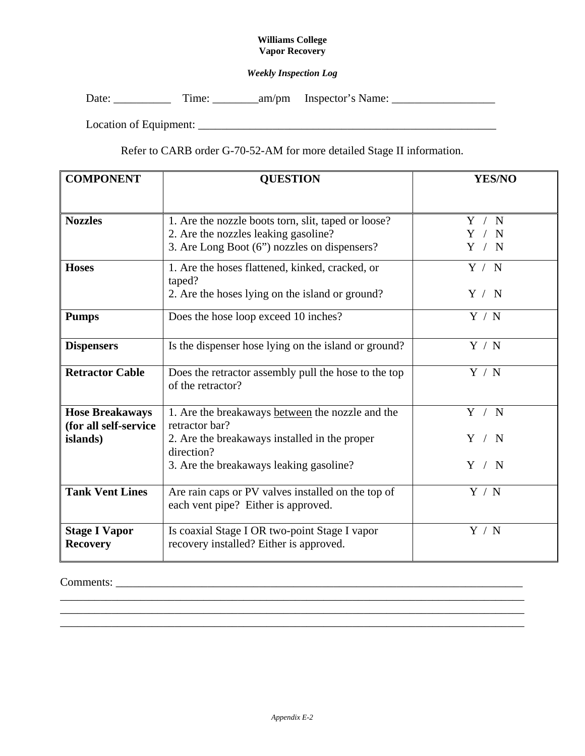### **Williams College Vapor Recovery**

### *Weekly Inspection Log*

Date: \_\_\_\_\_\_\_\_\_\_ Time: \_\_\_\_\_\_\_\_am/pm Inspector's Name: \_\_\_\_\_\_\_\_\_\_\_\_\_\_\_\_\_\_

Location of Equipment: \_\_\_\_\_\_\_\_\_\_\_\_\_\_\_\_\_\_\_\_\_\_\_\_\_\_\_\_\_\_\_\_\_\_\_\_\_\_\_\_\_\_\_\_\_\_\_\_\_\_\_\_

Refer to CARB order G-70-52-AM for more detailed Stage II information.

| <b>COMPONENT</b>                                | <b>QUESTION</b>                                                                           | YES/NO |
|-------------------------------------------------|-------------------------------------------------------------------------------------------|--------|
|                                                 |                                                                                           |        |
| <b>Nozzles</b>                                  | 1. Are the nozzle boots torn, slit, taped or loose?                                       | Y / N  |
|                                                 | 2. Are the nozzles leaking gasoline?                                                      | Y / N  |
|                                                 | 3. Are Long Boot (6") nozzles on dispensers?                                              | Y / N  |
| <b>Hoses</b>                                    | 1. Are the hoses flattened, kinked, cracked, or<br>taped?                                 | Y / N  |
|                                                 | 2. Are the hoses lying on the island or ground?                                           | Y / N  |
| <b>Pumps</b>                                    | Does the hose loop exceed 10 inches?                                                      | Y / N  |
| <b>Dispensers</b>                               | Is the dispenser hose lying on the island or ground?                                      | Y / N  |
| <b>Retractor Cable</b>                          | Does the retractor assembly pull the hose to the top<br>of the retractor?                 | Y / N  |
| <b>Hose Breakaways</b><br>(for all self-service | 1. Are the breakaways between the nozzle and the<br>retractor bar?                        | Y / N  |
| islands)                                        | 2. Are the breakaways installed in the proper<br>direction?                               | Y / N  |
|                                                 | 3. Are the breakaways leaking gasoline?                                                   | Y / N  |
| <b>Tank Vent Lines</b>                          | Are rain caps or PV valves installed on the top of<br>each vent pipe? Either is approved. | Y / N  |
| <b>Stage I Vapor</b>                            | Is coaxial Stage I OR two-point Stage I vapor                                             | Y / N  |
| <b>Recovery</b>                                 | recovery installed? Either is approved.                                                   |        |

Comments: \_\_\_\_\_\_\_\_\_\_\_\_\_\_\_\_\_\_\_\_\_\_\_\_\_\_\_\_\_\_\_\_\_\_\_\_\_\_\_\_\_\_\_\_\_\_\_\_\_\_\_\_\_\_\_\_\_\_\_\_\_\_\_\_\_\_\_\_\_\_\_

\_\_\_\_\_\_\_\_\_\_\_\_\_\_\_\_\_\_\_\_\_\_\_\_\_\_\_\_\_\_\_\_\_\_\_\_\_\_\_\_\_\_\_\_\_\_\_\_\_\_\_\_\_\_\_\_\_\_\_\_\_\_\_\_\_\_\_\_\_\_\_\_\_\_\_\_\_\_\_\_\_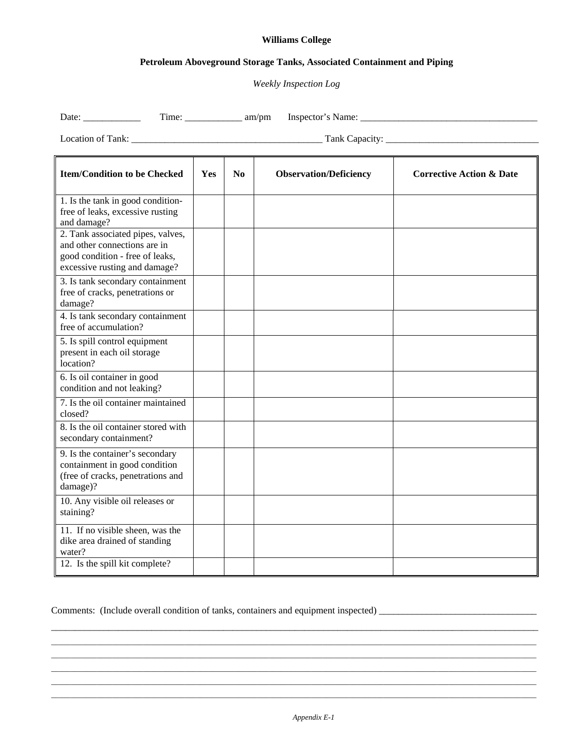#### **Williams College**

#### **Petroleum Aboveground Storage Tanks, Associated Containment and Piping**

### *Weekly Inspection Log*

Date: \_\_\_\_\_\_\_\_\_\_\_\_ Time: \_\_\_\_\_\_\_\_\_\_\_\_ am/pm Inspector's Name: \_\_\_\_\_\_\_\_\_\_\_\_\_\_\_\_\_\_\_\_\_\_\_\_\_\_\_\_\_\_\_\_\_\_\_\_\_

Location of Tank: \_\_\_\_\_\_\_\_\_\_\_\_\_\_\_\_\_\_\_\_\_\_\_\_\_\_\_\_\_\_\_\_\_\_\_\_\_\_\_\_ Tank Capacity: \_\_\_\_\_\_\_\_\_\_\_\_\_\_\_\_\_\_\_\_\_\_\_\_\_\_\_\_\_\_\_\_

| <b>Item/Condition to be Checked</b>                                                                                                   | Yes | No | <b>Observation/Deficiency</b> | <b>Corrective Action &amp; Date</b> |
|---------------------------------------------------------------------------------------------------------------------------------------|-----|----|-------------------------------|-------------------------------------|
| 1. Is the tank in good condition-<br>free of leaks, excessive rusting<br>and damage?                                                  |     |    |                               |                                     |
| 2. Tank associated pipes, valves,<br>and other connections are in<br>good condition - free of leaks,<br>excessive rusting and damage? |     |    |                               |                                     |
| 3. Is tank secondary containment<br>free of cracks, penetrations or<br>damage?                                                        |     |    |                               |                                     |
| 4. Is tank secondary containment<br>free of accumulation?                                                                             |     |    |                               |                                     |
| 5. Is spill control equipment<br>present in each oil storage<br>location?                                                             |     |    |                               |                                     |
| 6. Is oil container in good<br>condition and not leaking?                                                                             |     |    |                               |                                     |
| 7. Is the oil container maintained<br>closed?                                                                                         |     |    |                               |                                     |
| 8. Is the oil container stored with<br>secondary containment?                                                                         |     |    |                               |                                     |
| 9. Is the container's secondary<br>containment in good condition<br>(free of cracks, penetrations and<br>damage)?                     |     |    |                               |                                     |
| 10. Any visible oil releases or<br>staining?                                                                                          |     |    |                               |                                     |
| 11. If no visible sheen, was the<br>dike area drained of standing<br>water?                                                           |     |    |                               |                                     |
| 12. Is the spill kit complete?                                                                                                        |     |    |                               |                                     |

Comments: (Include overall condition of tanks, containers and equipment inspected) \_\_\_\_\_\_\_\_\_\_\_\_\_\_\_\_\_\_\_\_\_\_\_\_\_\_\_\_\_\_\_\_\_

\_\_\_\_\_\_\_\_\_\_\_\_\_\_\_\_\_\_\_\_\_\_\_\_\_\_\_\_\_\_\_\_\_\_\_\_\_\_\_\_\_\_\_\_\_\_\_\_\_\_\_\_\_\_\_\_\_\_\_\_\_\_\_\_\_\_\_\_\_\_\_\_\_\_\_\_\_\_\_\_\_\_\_\_\_\_\_\_\_\_\_\_\_\_\_\_\_\_\_\_\_\_ \_\_\_\_\_\_\_\_\_\_\_\_\_\_\_\_\_\_\_\_\_\_\_\_\_\_\_\_\_\_\_\_\_\_\_\_\_\_\_\_\_\_\_\_\_\_\_\_\_\_\_\_\_\_\_\_\_\_\_\_\_\_\_\_\_\_\_\_\_\_\_\_\_\_\_\_\_\_\_\_\_\_\_\_\_\_\_\_\_\_\_\_\_\_\_\_\_\_\_\_\_\_\_\_\_\_\_\_\_\_\_\_\_\_\_\_\_\_\_\_\_\_\_\_\_\_\_ \_\_\_\_\_\_\_\_\_\_\_\_\_\_\_\_\_\_\_\_\_\_\_\_\_\_\_\_\_\_\_\_\_\_\_\_\_\_\_\_\_\_\_\_\_\_\_\_\_\_\_\_\_\_\_\_\_\_\_\_\_\_\_\_\_\_\_\_\_\_\_\_\_\_\_\_\_\_\_\_\_\_\_\_\_\_\_\_\_\_\_\_\_\_\_\_\_\_\_\_\_\_\_\_\_\_\_\_\_\_\_\_\_\_\_\_\_\_\_\_\_\_\_\_\_\_\_ \_\_\_\_\_\_\_\_\_\_\_\_\_\_\_\_\_\_\_\_\_\_\_\_\_\_\_\_\_\_\_\_\_\_\_\_\_\_\_\_\_\_\_\_\_\_\_\_\_\_\_\_\_\_\_\_\_\_\_\_\_\_\_\_\_\_\_\_\_\_\_\_\_\_\_\_\_\_\_\_\_\_\_\_\_\_\_\_\_\_\_\_\_\_\_\_\_\_\_\_\_\_\_\_\_\_\_\_\_\_\_\_\_\_\_\_\_\_\_\_\_\_\_\_\_\_\_ \_\_\_\_\_\_\_\_\_\_\_\_\_\_\_\_\_\_\_\_\_\_\_\_\_\_\_\_\_\_\_\_\_\_\_\_\_\_\_\_\_\_\_\_\_\_\_\_\_\_\_\_\_\_\_\_\_\_\_\_\_\_\_\_\_\_\_\_\_\_\_\_\_\_\_\_\_\_\_\_\_\_\_\_\_\_\_\_\_\_\_\_\_\_\_\_\_\_\_\_\_\_\_\_\_\_\_\_\_\_\_\_\_\_\_\_\_\_\_\_\_\_\_\_\_\_\_ \_\_\_\_\_\_\_\_\_\_\_\_\_\_\_\_\_\_\_\_\_\_\_\_\_\_\_\_\_\_\_\_\_\_\_\_\_\_\_\_\_\_\_\_\_\_\_\_\_\_\_\_\_\_\_\_\_\_\_\_\_\_\_\_\_\_\_\_\_\_\_\_\_\_\_\_\_\_\_\_\_\_\_\_\_\_\_\_\_\_\_\_\_\_\_\_\_\_\_\_\_\_\_\_\_\_\_\_\_\_\_\_\_\_\_\_\_\_\_\_\_\_\_\_\_\_\_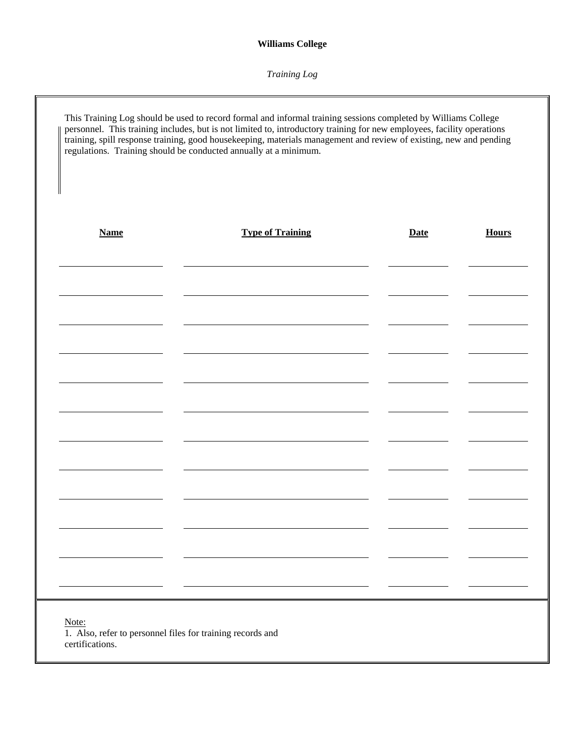## **Williams College**

*Training Log* 

| regulations. Training should be conducted annually at a minimum. |                         |             |              |  |  |
|------------------------------------------------------------------|-------------------------|-------------|--------------|--|--|
| <b>Name</b>                                                      | <b>Type of Training</b> | <b>Date</b> | <b>Hours</b> |  |  |
|                                                                  |                         |             |              |  |  |
|                                                                  |                         |             |              |  |  |
|                                                                  |                         |             |              |  |  |
|                                                                  |                         |             |              |  |  |
|                                                                  |                         |             |              |  |  |
|                                                                  |                         |             |              |  |  |
|                                                                  |                         |             |              |  |  |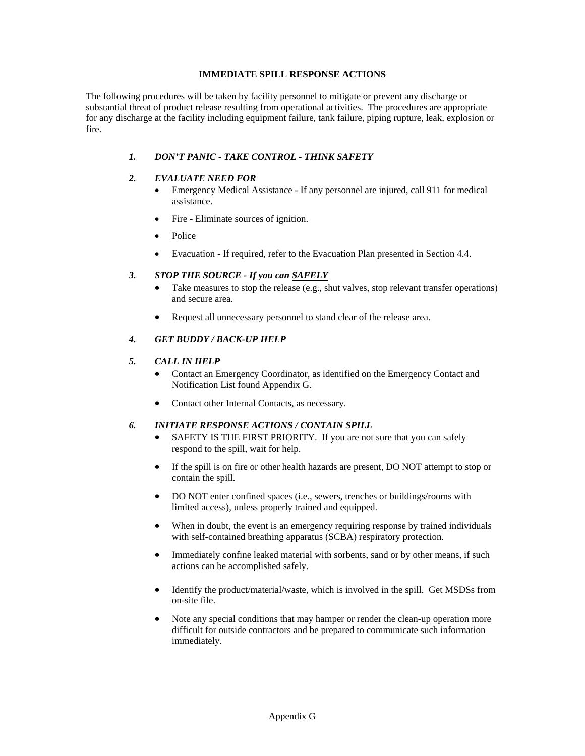#### **IMMEDIATE SPILL RESPONSE ACTIONS**

The following procedures will be taken by facility personnel to mitigate or prevent any discharge or substantial threat of product release resulting from operational activities. The procedures are appropriate for any discharge at the facility including equipment failure, tank failure, piping rupture, leak, explosion or fire.

#### *1. DON'T PANIC - TAKE CONTROL - THINK SAFETY*

#### *2. EVALUATE NEED FOR*

- Emergency Medical Assistance If any personnel are injured, call 911 for medical assistance.
- Fire Eliminate sources of ignition.
- Police
- Evacuation If required, refer to the Evacuation Plan presented in Section 4.4.

#### *3. STOP THE SOURCE - If you can SAFELY*

- Take measures to stop the release (e.g., shut valves, stop relevant transfer operations) and secure area.
- Request all unnecessary personnel to stand clear of the release area.

#### *4. GET BUDDY / BACK-UP HELP*

#### *5. CALL IN HELP*

- Contact an Emergency Coordinator, as identified on the Emergency Contact and Notification List found Appendix G.
- Contact other Internal Contacts, as necessary.

#### *6. INITIATE RESPONSE ACTIONS / CONTAIN SPILL*

- SAFETY IS THE FIRST PRIORITY. If you are not sure that you can safely respond to the spill, wait for help.
- If the spill is on fire or other health hazards are present, DO NOT attempt to stop or contain the spill.
- DO NOT enter confined spaces (i.e., sewers, trenches or buildings/rooms with limited access), unless properly trained and equipped.
- When in doubt, the event is an emergency requiring response by trained individuals with self-contained breathing apparatus (SCBA) respiratory protection.
- Immediately confine leaked material with sorbents, sand or by other means, if such actions can be accomplished safely.
- Identify the product/material/waste, which is involved in the spill. Get MSDSs from on-site file.
- Note any special conditions that may hamper or render the clean-up operation more difficult for outside contractors and be prepared to communicate such information immediately.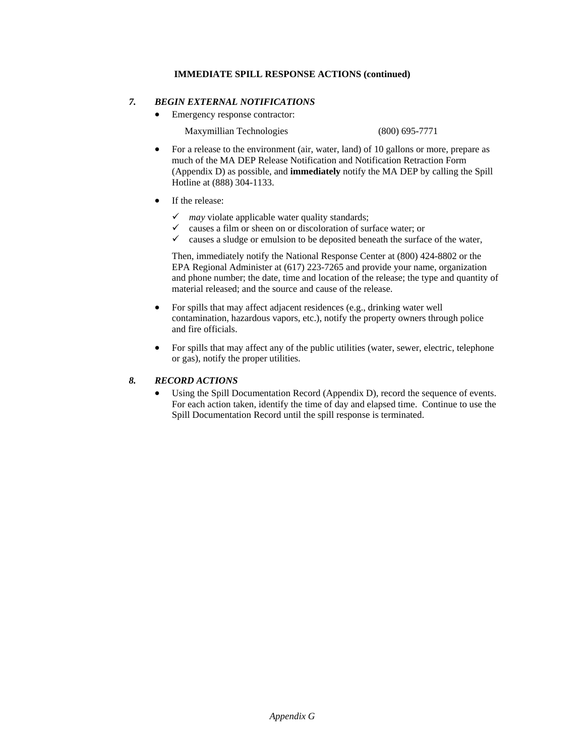#### **IMMEDIATE SPILL RESPONSE ACTIONS (continued)**

#### *7. BEGIN EXTERNAL NOTIFICATIONS*

• Emergency response contractor:

Maxymillian Technologies (800) 695-7771

- For a release to the environment (air, water, land) of 10 gallons or more, prepare as much of the MA DEP Release Notification and Notification Retraction Form (Appendix D) as possible, and **immediately** notify the MA DEP by calling the Spill Hotline at (888) 304-1133.
- If the release:
	- $\mathcal{P}$  *may* violate applicable water quality standards;
	- $\checkmark$  causes a film or sheen on or discoloration of surface water; or
	- $\checkmark$  causes a sludge or emulsion to be deposited beneath the surface of the water,

Then, immediately notify the National Response Center at (800) 424-8802 or the EPA Regional Administer at (617) 223-7265 and provide your name, organization and phone number; the date, time and location of the release; the type and quantity of material released; and the source and cause of the release.

- For spills that may affect adjacent residences (e.g., drinking water well contamination, hazardous vapors, etc.), notify the property owners through police and fire officials.
- For spills that may affect any of the public utilities (water, sewer, electric, telephone or gas), notify the proper utilities.

#### *8. RECORD ACTIONS*

• Using the Spill Documentation Record (Appendix D), record the sequence of events. For each action taken, identify the time of day and elapsed time. Continue to use the Spill Documentation Record until the spill response is terminated.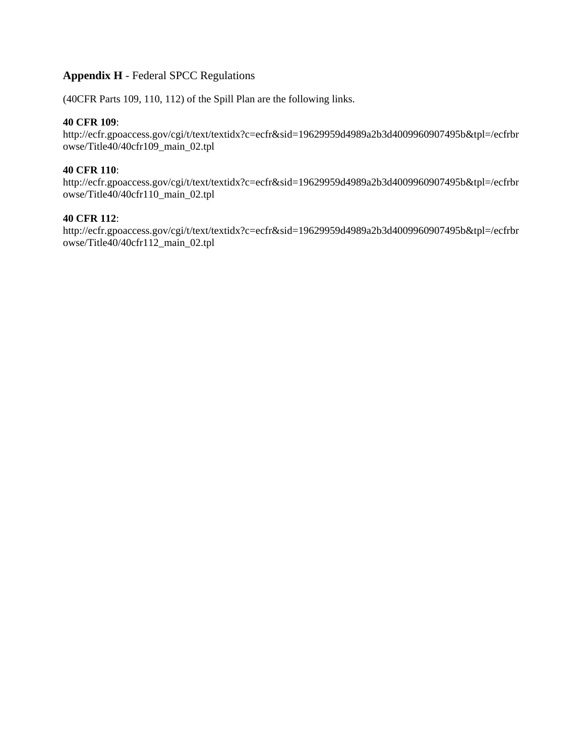# **Appendix H** - Federal SPCC Regulations

(40CFR Parts 109, 110, 112) of the Spill Plan are the following links.

### **40 CFR 109**:

http://ecfr.gpoaccess.gov/cgi/t/text/textidx?c=ecfr&sid=19629959d4989a2b3d4009960907495b&tpl=/ecfrbr owse/Title40/40cfr109\_main\_02.tpl

### **40 CFR 110**:

http://ecfr.gpoaccess.gov/cgi/t/text/textidx?c=ecfr&sid=19629959d4989a2b3d4009960907495b&tpl=/ecfrbr owse/Title40/40cfr110\_main\_02.tpl

### **40 CFR 112**:

http://ecfr.gpoaccess.gov/cgi/t/text/textidx?c=ecfr&sid=19629959d4989a2b3d4009960907495b&tpl=/ecfrbr owse/Title40/40cfr112\_main\_02.tpl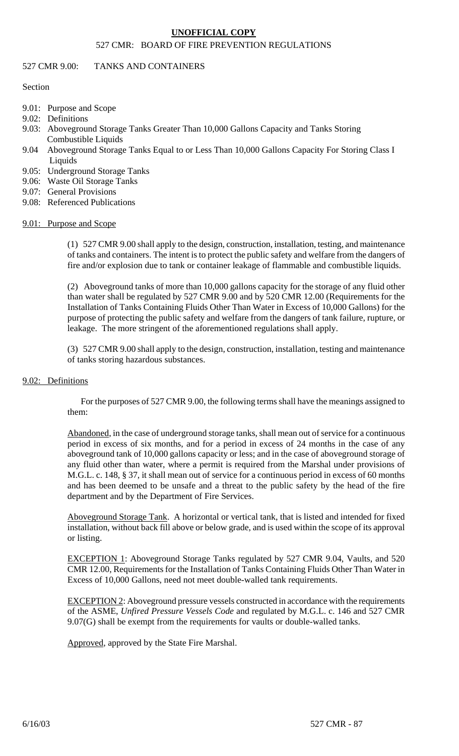# **UNOFFICIAL COPY**

## 527 CMR: BOARD OF FIRE PREVENTION REGULATIONS

# 527 CMR 9.00: TANKS AND CONTAINERS

# Section

- 9.01: Purpose and Scope
- 9.02: Definitions
- 9.03: Aboveground Storage Tanks Greater Than 10,000 Gallons Capacity and Tanks Storing Combustible Liquids
- 9.04 Aboveground Storage Tanks Equal to or Less Than 10,000 Gallons Capacity For Storing Class I Liquids
- 9.05: Underground Storage Tanks
- 9.06: Waste Oil Storage Tanks
- 9.07: General Provisions
- 9.08: Referenced Publications

## 9.01: Purpose and Scope

(1) 527 CMR 9.00 shall apply to the design, construction, installation, testing, and maintenance of tanks and containers. The intent is to protect the public safety and welfare from the dangers of fire and/or explosion due to tank or container leakage of flammable and combustible liquids.

(2) Aboveground tanks of more than 10,000 gallons capacity for the storage of any fluid other than water shall be regulated by 527 CMR 9.00 and by 520 CMR 12.00 (Requirements for the Installation of Tanks Containing Fluids Other Than Water in Excess of 10,000 Gallons) for the purpose of protecting the public safety and welfare from the dangers of tank failure, rupture, or leakage. The more stringent of the aforementioned regulations shall apply.

(3) 527 CMR 9.00 shall apply to the design, construction, installation, testing and maintenance of tanks storing hazardous substances.

## 9.02: Definitions

For the purposes of 527 CMR 9.00, the following terms shall have the meanings assigned to them:

Abandoned, in the case of underground storage tanks, shall mean out of service for a continuous period in excess of six months, and for a period in excess of 24 months in the case of any aboveground tank of 10,000 gallons capacity or less; and in the case of aboveground storage of any fluid other than water, where a permit is required from the Marshal under provisions of M.G.L. c. 148, § 37, it shall mean out of service for a continuous period in excess of 60 months and has been deemed to be unsafe and a threat to the public safety by the head of the fire department and by the Department of Fire Services.

Aboveground Storage Tank. A horizontal or vertical tank, that is listed and intended for fixed installation, without back fill above or below grade, and is used within the scope of its approval or listing.

EXCEPTION 1: Aboveground Storage Tanks regulated by 527 CMR 9.04, Vaults, and 520 CMR 12.00, Requirements for the Installation of Tanks Containing Fluids Other Than Water in Excess of 10,000 Gallons, need not meet double-walled tank requirements.

EXCEPTION 2: Aboveground pressure vessels constructed in accordance with the requirements of the ASME, *Unfired Pressure Vessels Code* and regulated by M.G.L. c. 146 and 527 CMR 9.07(G) shall be exempt from the requirements for vaults or double-walled tanks.

Approved, approved by the State Fire Marshal.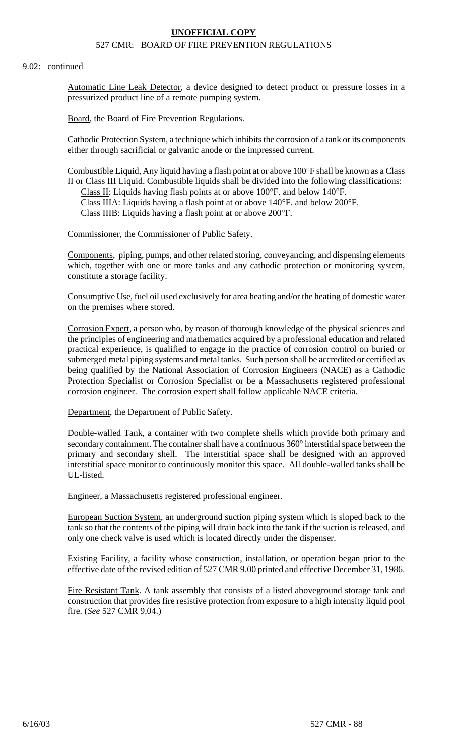### 9.02: continued

Automatic Line Leak Detector, a device designed to detect product or pressure losses in a pressurized product line of a remote pumping system.

Board, the Board of Fire Prevention Regulations.

Cathodic Protection System, a technique which inhibits the corrosion of a tank or its components either through sacrificial or galvanic anode or the impressed current.

Combustible Liquid, Any liquid having a flash point at or above 100°F shall be known as a Class II or Class III Liquid. Combustible liquids shall be divided into the following classifications: Class II: Liquids having flash points at or above 100°F. and below 140°F. Class IIIA: Liquids having a flash point at or above 140°F. and below 200°F. Class IIIB: Liquids having a flash point at or above 200°F.

Commissioner, the Commissioner of Public Safety.

Components, piping, pumps, and other related storing, conveyancing, and dispensing elements which, together with one or more tanks and any cathodic protection or monitoring system, constitute a storage facility.

Consumptive Use, fuel oil used exclusively for area heating and/or the heating of domestic water on the premises where stored.

Corrosion Expert, a person who, by reason of thorough knowledge of the physical sciences and the principles of engineering and mathematics acquired by a professional education and related practical experience, is qualified to engage in the practice of corrosion control on buried or submerged metal piping systems and metal tanks. Such person shall be accredited or certified as being qualified by the National Association of Corrosion Engineers (NACE) as a Cathodic Protection Specialist or Corrosion Specialist or be a Massachusetts registered professional corrosion engineer. The corrosion expert shall follow applicable NACE criteria.

Department, the Department of Public Safety.

Double-walled Tank, a container with two complete shells which provide both primary and secondary containment. The container shall have a continuous 360° interstitial space between the primary and secondary shell. The interstitial space shall be designed with an approved interstitial space monitor to continuously monitor this space. All double-walled tanks shall be UL-listed.

Engineer, a Massachusetts registered professional engineer.

European Suction System, an underground suction piping system which is sloped back to the tank so that the contents of the piping will drain back into the tank if the suction is released, and only one check valve is used which is located directly under the dispenser.

Existing Facility, a facility whose construction, installation, or operation began prior to the effective date of the revised edition of 527 CMR 9.00 printed and effective December 31, 1986.

Fire Resistant Tank. A tank assembly that consists of a listed aboveground storage tank and construction that provides fire resistive protection from exposure to a high intensity liquid pool fire. (*See* 527 CMR 9.04.)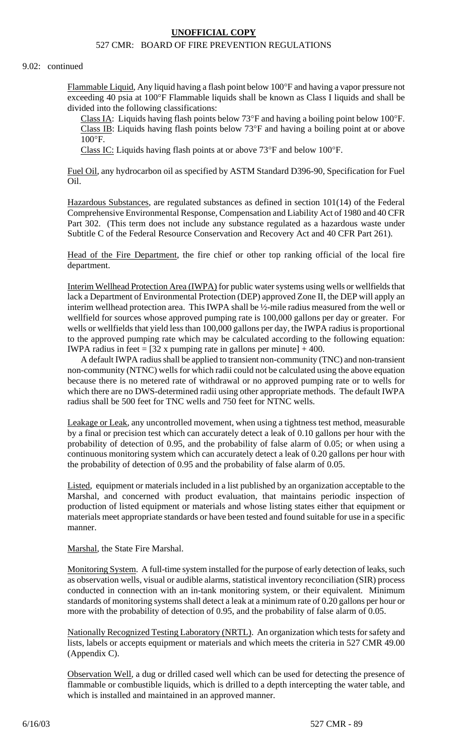## 9.02: continued

Flammable Liquid, Any liquid having a flash point below 100°F and having a vapor pressure not exceeding 40 psia at 100°F Flammable liquids shall be known as Class I liquids and shall be divided into the following classifications:

Class IA: Liquids having flash points below 73°F and having a boiling point below 100°F. Class IB: Liquids having flash points below 73°F and having a boiling point at or above 100°F.

Class IC: Liquids having flash points at or above 73°F and below 100°F.

Fuel Oil, any hydrocarbon oil as specified by ASTM Standard D396-90, Specification for Fuel Oil.

Hazardous Substances, are regulated substances as defined in section 101(14) of the Federal Comprehensive Environmental Response, Compensation and Liability Act of 1980 and 40 CFR Part 302. (This term does not include any substance regulated as a hazardous waste under Subtitle C of the Federal Resource Conservation and Recovery Act and 40 CFR Part 261).

Head of the Fire Department, the fire chief or other top ranking official of the local fire department.

Interim Wellhead Protection Area (IWPA) for public water systems using wells or wellfields that lack a Department of Environmental Protection (DEP) approved Zone II, the DEP will apply an interim wellhead protection area. This IWPA shall be ½-mile radius measured from the well or wellfield for sources whose approved pumping rate is 100,000 gallons per day or greater. For wells or wellfields that yield less than 100,000 gallons per day, the IWPA radius is proportional to the approved pumping rate which may be calculated according to the following equation: IWPA radius in feet =  $[32 \times \text{pumping rate in gallons per minute}] + 400$ .

A default IWPA radius shall be applied to transient non-community (TNC) and non-transient non-community (NTNC) wells for which radii could not be calculated using the above equation because there is no metered rate of withdrawal or no approved pumping rate or to wells for which there are no DWS-determined radii using other appropriate methods. The default IWPA radius shall be 500 feet for TNC wells and 750 feet for NTNC wells.

Leakage or Leak, any uncontrolled movement, when using a tightness test method, measurable by a final or precision test which can accurately detect a leak of 0.10 gallons per hour with the probability of detection of 0.95, and the probability of false alarm of 0.05; or when using a continuous monitoring system which can accurately detect a leak of 0.20 gallons per hour with the probability of detection of 0.95 and the probability of false alarm of 0.05.

Listed, equipment or materials included in a list published by an organization acceptable to the Marshal, and concerned with product evaluation, that maintains periodic inspection of production of listed equipment or materials and whose listing states either that equipment or materials meet appropriate standards or have been tested and found suitable for use in a specific manner.

Marshal, the State Fire Marshal.

Monitoring System. A full-time system installed for the purpose of early detection of leaks, such as observation wells, visual or audible alarms, statistical inventory reconciliation (SIR) process conducted in connection with an in-tank monitoring system, or their equivalent. Minimum standards of monitoring systems shall detect a leak at a minimum rate of 0.20 gallons per hour or more with the probability of detection of 0.95, and the probability of false alarm of 0.05.

Nationally Recognized Testing Laboratory (NRTL). An organization which tests for safety and lists, labels or accepts equipment or materials and which meets the criteria in 527 CMR 49.00 (Appendix C).

Observation Well, a dug or drilled cased well which can be used for detecting the presence of flammable or combustible liquids, which is drilled to a depth intercepting the water table, and which is installed and maintained in an approved manner.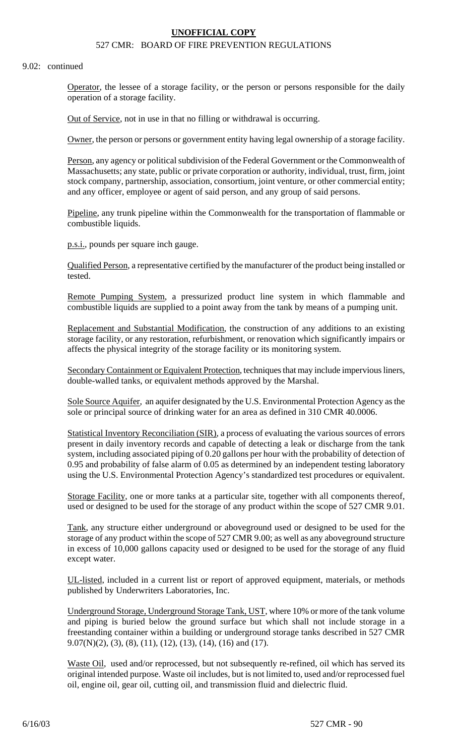### 9.02: continued

Operator, the lessee of a storage facility, or the person or persons responsible for the daily operation of a storage facility.

Out of Service, not in use in that no filling or withdrawal is occurring.

Owner, the person or persons or government entity having legal ownership of a storage facility.

Person, any agency or political subdivision of the Federal Government or the Commonwealth of Massachusetts; any state, public or private corporation or authority, individual, trust, firm, joint stock company, partnership, association, consortium, joint venture, or other commercial entity; and any officer, employee or agent of said person, and any group of said persons.

Pipeline, any trunk pipeline within the Commonwealth for the transportation of flammable or combustible liquids.

p.s.i., pounds per square inch gauge.

Qualified Person, a representative certified by the manufacturer of the product being installed or tested.

Remote Pumping System, a pressurized product line system in which flammable and combustible liquids are supplied to a point away from the tank by means of a pumping unit.

Replacement and Substantial Modification, the construction of any additions to an existing storage facility, or any restoration, refurbishment, or renovation which significantly impairs or affects the physical integrity of the storage facility or its monitoring system.

Secondary Containment or Equivalent Protection, techniques that may include impervious liners, double-walled tanks, or equivalent methods approved by the Marshal.

Sole Source Aquifer, an aquifer designated by the U.S. Environmental Protection Agency as the sole or principal source of drinking water for an area as defined in 310 CMR 40.0006.

Statistical Inventory Reconciliation (SIR), a process of evaluating the various sources of errors present in daily inventory records and capable of detecting a leak or discharge from the tank system, including associated piping of 0.20 gallons per hour with the probability of detection of 0.95 and probability of false alarm of 0.05 as determined by an independent testing laboratory using the U.S. Environmental Protection Agency's standardized test procedures or equivalent.

Storage Facility, one or more tanks at a particular site, together with all components thereof, used or designed to be used for the storage of any product within the scope of 527 CMR 9.01.

Tank, any structure either underground or aboveground used or designed to be used for the storage of any product within the scope of 527 CMR 9.00; as well as any aboveground structure in excess of 10,000 gallons capacity used or designed to be used for the storage of any fluid except water.

UL-listed, included in a current list or report of approved equipment, materials, or methods published by Underwriters Laboratories, Inc.

Underground Storage, Underground Storage Tank, UST, where 10% or more of the tank volume and piping is buried below the ground surface but which shall not include storage in a freestanding container within a building or underground storage tanks described in 527 CMR 9.07(N)(2), (3), (8), (11), (12), (13), (14), (16) and (17).

Waste Oil, used and/or reprocessed, but not subsequently re-refined, oil which has served its original intended purpose. Waste oil includes, but is not limited to, used and/or reprocessed fuel oil, engine oil, gear oil, cutting oil, and transmission fluid and dielectric fluid.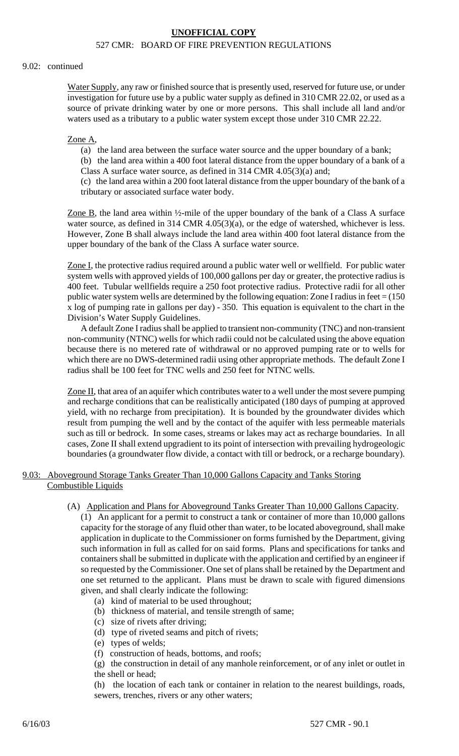## 9.02: continued

Water Supply, any raw or finished source that is presently used, reserved for future use, or under investigation for future use by a public water supply as defined in 310 CMR 22.02, or used as a source of private drinking water by one or more persons. This shall include all land and/or waters used as a tributary to a public water system except those under 310 CMR 22.22.

Zone A,

(a) the land area between the surface water source and the upper boundary of a bank;

(b) the land area within a 400 foot lateral distance from the upper boundary of a bank of a Class A surface water source, as defined in 314 CMR 4.05(3)(a) and;

(c) the land area within a 200 foot lateral distance from the upper boundary of the bank of a tributary or associated surface water body.

Zone B, the land area within  $\frac{1}{2}$ -mile of the upper boundary of the bank of a Class A surface water source, as defined in 314 CMR 4.05(3)(a), or the edge of watershed, whichever is less. However, Zone B shall always include the land area within 400 foot lateral distance from the upper boundary of the bank of the Class A surface water source.

Zone I, the protective radius required around a public water well or wellfield. For public water system wells with approved yields of 100,000 gallons per day or greater, the protective radius is 400 feet. Tubular wellfields require a 250 foot protective radius. Protective radii for all other public water system wells are determined by the following equation: Zone I radius in feet  $= (150$ x log of pumping rate in gallons per day) - 350. This equation is equivalent to the chart in the Division's Water Supply Guidelines.

A default Zone I radius shall be applied to transient non-community (TNC) and non-transient non-community (NTNC) wells for which radii could not be calculated using the above equation because there is no metered rate of withdrawal or no approved pumping rate or to wells for which there are no DWS-determined radii using other appropriate methods. The default Zone I radius shall be 100 feet for TNC wells and 250 feet for NTNC wells.

Zone II, that area of an aquifer which contributes water to a well under the most severe pumping and recharge conditions that can be realistically anticipated (180 days of pumping at approved yield, with no recharge from precipitation). It is bounded by the groundwater divides which result from pumping the well and by the contact of the aquifer with less permeable materials such as till or bedrock. In some cases, streams or lakes may act as recharge boundaries. In all cases, Zone II shall extend upgradient to its point of intersection with prevailing hydrogeologic boundaries (a groundwater flow divide, a contact with till or bedrock, or a recharge boundary).

## 9.03: Aboveground Storage Tanks Greater Than 10,000 Gallons Capacity and Tanks Storing Combustible Liquids

## (A) Application and Plans for Aboveground Tanks Greater Than 10,000 Gallons Capacity.

(1) An applicant for a permit to construct a tank or container of more than 10,000 gallons capacity for the storage of any fluid other than water, to be located aboveground, shall make application in duplicate to the Commissioner on forms furnished by the Department, giving such information in full as called for on said forms. Plans and specifications for tanks and containers shall be submitted in duplicate with the application and certified by an engineer if so requested by the Commissioner. One set of plans shall be retained by the Department and one set returned to the applicant. Plans must be drawn to scale with figured dimensions given, and shall clearly indicate the following:

- (a) kind of material to be used throughout;
- (b) thickness of material, and tensile strength of same;
- (c) size of rivets after driving;
- (d) type of riveted seams and pitch of rivets;
- (e) types of welds;
- (f) construction of heads, bottoms, and roofs;

(g) the construction in detail of any manhole reinforcement, or of any inlet or outlet in the shell or head;

(h) the location of each tank or container in relation to the nearest buildings, roads, sewers, trenches, rivers or any other waters;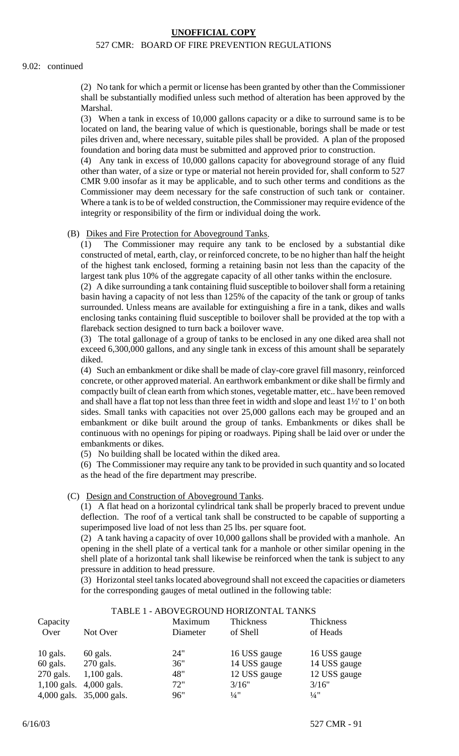#### 9.02: continued

(2) No tank for which a permit or license has been granted by other than the Commissioner shall be substantially modified unless such method of alteration has been approved by the Marshal.

(3) When a tank in excess of 10,000 gallons capacity or a dike to surround same is to be located on land, the bearing value of which is questionable, borings shall be made or test piles driven and, where necessary, suitable piles shall be provided. A plan of the proposed foundation and boring data must be submitted and approved prior to construction.

(4) Any tank in excess of 10,000 gallons capacity for aboveground storage of any fluid other than water, of a size or type or material not herein provided for, shall conform to 527 CMR 9.00 insofar as it may be applicable, and to such other terms and conditions as the Commissioner may deem necessary for the safe construction of such tank or container. Where a tank is to be of welded construction, the Commissioner may require evidence of the integrity or responsibility of the firm or individual doing the work.

## (B) Dikes and Fire Protection for Aboveground Tanks.

(1) The Commissioner may require any tank to be enclosed by a substantial dike constructed of metal, earth, clay, or reinforced concrete, to be no higher than half the height of the highest tank enclosed, forming a retaining basin not less than the capacity of the largest tank plus 10% of the aggregate capacity of all other tanks within the enclosure.

(2) A dike surrounding a tank containing fluid susceptible to boilover shall form a retaining basin having a capacity of not less than 125% of the capacity of the tank or group of tanks surrounded. Unless means are available for extinguishing a fire in a tank, dikes and walls enclosing tanks containing fluid susceptible to boilover shall be provided at the top with a flareback section designed to turn back a boilover wave.

(3) The total gallonage of a group of tanks to be enclosed in any one diked area shall not exceed 6,300,000 gallons, and any single tank in excess of this amount shall be separately diked.

(4) Such an embankment or dike shall be made of clay-core gravel fill masonry, reinforced concrete, or other approved material. An earthwork embankment or dike shall be firmly and compactly built of clean earth from which stones, vegetable matter, etc.. have been removed and shall have a flat top not less than three feet in width and slope and least 1½' to 1' on both sides. Small tanks with capacities not over 25,000 gallons each may be grouped and an embankment or dike built around the group of tanks. Embankments or dikes shall be continuous with no openings for piping or roadways. Piping shall be laid over or under the embankments or dikes.

(5) No building shall be located within the diked area.

(6) The Commissioner may require any tank to be provided in such quantity and so located as the head of the fire department may prescribe.

## (C) Design and Construction of Aboveground Tanks.

(1) A flat head on a horizontal cylindrical tank shall be properly braced to prevent undue deflection. The roof of a vertical tank shall be constructed to be capable of supporting a superimposed live load of not less than 25 lbs. per square foot.

(2) A tank having a capacity of over 10,000 gallons shall be provided with a manhole. An opening in the shell plate of a vertical tank for a manhole or other similar opening in the shell plate of a horizontal tank shall likewise be reinforced when the tank is subject to any pressure in addition to head pressure.

(3) Horizontal steel tanks located aboveground shall not exceed the capacities or diameters for the corresponding gauges of metal outlined in the following table:

| Capacity<br>Over | Not Over                 | Maximum<br>Diameter | Thickness<br>of Shell | <b>Thickness</b><br>of Heads |
|------------------|--------------------------|---------------------|-----------------------|------------------------------|
| $10$ gals.       | $60$ gals.               | 24"                 | 16 USS gauge          | 16 USS gauge                 |
| $60$ gals.       | $270$ gals.              | 36"                 | 14 USS gauge          | 14 USS gauge                 |
| $270$ gals.      | $1,100$ gals.            | 48"                 | 12 USS gauge          | 12 USS gauge                 |
|                  | 1,100 gals. 4,000 gals.  | 72"                 | 3/16"                 | 3/16"                        |
|                  | 4,000 gals. 35,000 gals. | 96"                 | $\frac{1}{4}$ "       | $\frac{1}{4}$ "              |

## TABLE 1 - ABOVEGROUND HORIZONTAL TANKS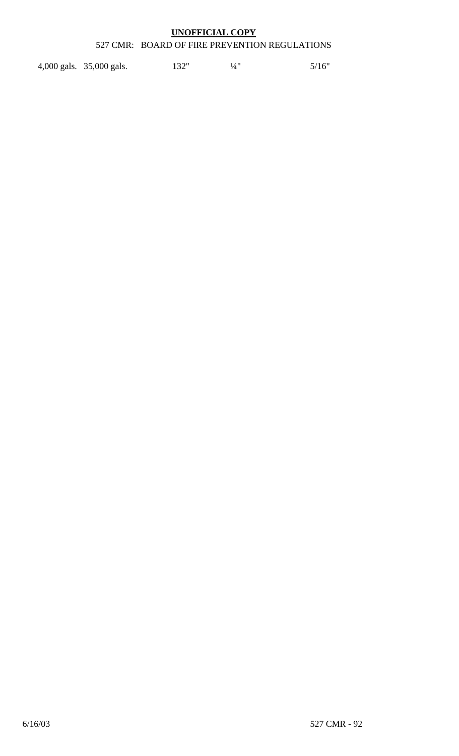| 4,000 gals. 35,000 gals. | 132" | $\frac{1}{4}$ " | 5/16" |
|--------------------------|------|-----------------|-------|
|                          |      |                 |       |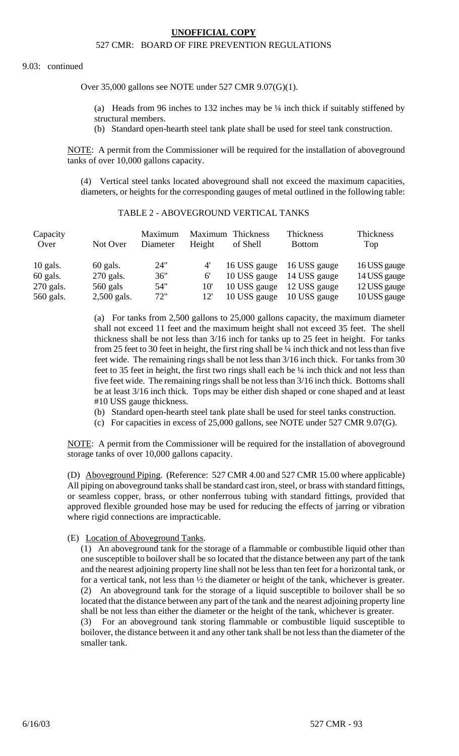#### 527 CMR: BOARD OF FIRE PREVENTION REGULATIONS

#### 9.03: continued

Over 35,000 gallons see NOTE under 527 CMR 9.07(G)(1).

- (a) Heads from 96 inches to 132 inches may be ¼ inch thick if suitably stiffened by structural members.
- (b) Standard open-hearth steel tank plate shall be used for steel tank construction.

NOTE: A permit from the Commissioner will be required for the installation of aboveground tanks of over 10,000 gallons capacity.

(4) Vertical steel tanks located aboveground shall not exceed the maximum capacities, diameters, or heights for the corresponding gauges of metal outlined in the following table:

| Capacity<br>Over | Not Over    | <b>Maximum</b><br>Diameter | Maximum<br>Height | Thickness<br>of Shell | Thickness<br><b>Bottom</b> | Thickness<br>Top |
|------------------|-------------|----------------------------|-------------------|-----------------------|----------------------------|------------------|
| $10$ gals.       | $60$ gals.  | 24"                        | 4'                | 16 USS gauge          | 16 USS gauge               | 16 USS gauge     |
| $60$ gals.       | $270$ gals. | 36"                        | 6'                | 10 USS gauge          | 14 USS gauge               | 14 USS gauge     |
| $270$ gals.      | $560$ gals  | 54"                        | 10'               | 10 USS gauge          | 12 USS gauge               | 12 USS gauge     |
| 560 gals.        | 2,500 gals. | 72"                        | 12'               | 10 USS gauge          | 10 USS gauge               | 10 USS gauge     |

#### TABLE 2 - ABOVEGROUND VERTICAL TANKS

(a) For tanks from 2,500 gallons to 25,000 gallons capacity, the maximum diameter shall not exceed 11 feet and the maximum height shall not exceed 35 feet. The shell thickness shall be not less than 3/16 inch for tanks up to 25 feet in height. For tanks from 25 feet to 30 feet in height, the first ring shall be  $\frac{1}{4}$  inch thick and not less than five feet wide. The remaining rings shall be not less than 3/16 inch thick. For tanks from 30 feet to 35 feet in height, the first two rings shall each be  $\frac{1}{4}$  inch thick and not less than five feet wide. The remaining rings shall be not less than 3/16 inch thick. Bottoms shall be at least 3/16 inch thick. Tops may be either dish shaped or cone shaped and at least #10 USS gauge thickness.

- (b) Standard open-hearth steel tank plate shall be used for steel tanks construction.
- (c) For capacities in excess of 25,000 gallons, see NOTE under 527 CMR 9.07(G).

NOTE: A permit from the Commissioner will be required for the installation of aboveground storage tanks of over 10,000 gallons capacity.

(D) Aboveground Piping. (Reference: 527 CMR 4.00 and 527 CMR 15.00 where applicable) All piping on aboveground tanks shall be standard cast iron, steel, or brass with standard fittings, or seamless copper, brass, or other nonferrous tubing with standard fittings, provided that approved flexible grounded hose may be used for reducing the effects of jarring or vibration where rigid connections are impracticable.

(E) Location of Aboveground Tanks.

(1) An aboveground tank for the storage of a flammable or combustible liquid other than one susceptible to boilover shall be so located that the distance between any part of the tank and the nearest adjoining property line shall not be less than ten feet for a horizontal tank, or for a vertical tank, not less than ½ the diameter or height of the tank, whichever is greater. (2) An aboveground tank for the storage of a liquid susceptible to boilover shall be so located that the distance between any part of the tank and the nearest adjoining property line shall be not less than either the diameter or the height of the tank, whichever is greater.

(3) For an aboveground tank storing flammable or combustible liquid susceptible to boilover, the distance between it and any other tank shall be not less than the diameter of the smaller tank.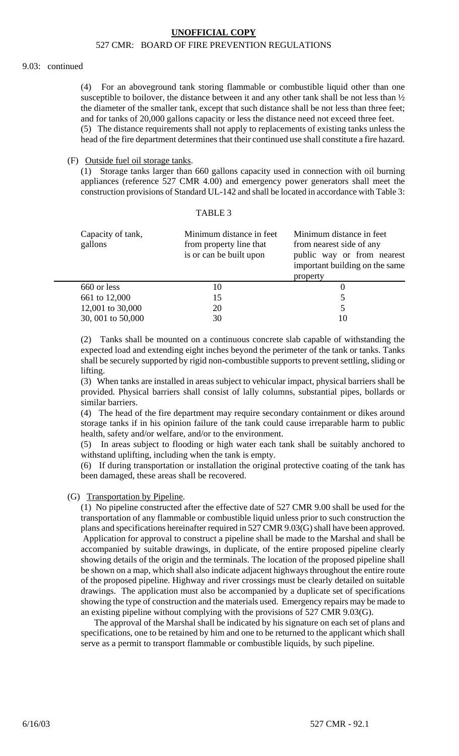#### 9.03: continued

(4) For an aboveground tank storing flammable or combustible liquid other than one susceptible to boilover, the distance between it and any other tank shall be not less than  $\frac{1}{2}$ the diameter of the smaller tank, except that such distance shall be not less than three feet; and for tanks of 20,000 gallons capacity or less the distance need not exceed three feet. (5) The distance requirements shall not apply to replacements of existing tanks unless the head of the fire department determines that their continued use shall constitute a fire hazard.

## (F) Outside fuel oil storage tanks.

(1) Storage tanks larger than 660 gallons capacity used in connection with oil burning appliances (reference 527 CMR 4.00) and emergency power generators shall meet the construction provisions of Standard UL-142 and shall be located in accordance with Table 3:

| TABLE 3 |
|---------|
|         |

| Capacity of tank,<br>gallons | Minimum distance in feet<br>from property line that<br>is or can be built upon | Minimum distance in feet<br>from nearest side of any<br>public way or from nearest<br>important building on the same<br>property |
|------------------------------|--------------------------------------------------------------------------------|----------------------------------------------------------------------------------------------------------------------------------|
| 660 or less                  | 10                                                                             |                                                                                                                                  |
| 661 to 12,000                | 15                                                                             |                                                                                                                                  |
| 12,001 to 30,000             | 20                                                                             | 5                                                                                                                                |
| 30,001 to 50,000             | 30                                                                             | 10                                                                                                                               |

(2) Tanks shall be mounted on a continuous concrete slab capable of withstanding the expected load and extending eight inches beyond the perimeter of the tank or tanks. Tanks shall be securely supported by rigid non-combustible supports to prevent settling, sliding or lifting.

(3) When tanks are installed in areas subject to vehicular impact, physical barriers shall be provided. Physical barriers shall consist of lally columns, substantial pipes, bollards or similar barriers.

(4) The head of the fire department may require secondary containment or dikes around storage tanks if in his opinion failure of the tank could cause irreparable harm to public health, safety and/or welfare, and/or to the environment.

(5) In areas subject to flooding or high water each tank shall be suitably anchored to withstand uplifting, including when the tank is empty.

(6) If during transportation or installation the original protective coating of the tank has been damaged, these areas shall be recovered.

(G) Transportation by Pipeline.

(1) No pipeline constructed after the effective date of 527 CMR 9.00 shall be used for the transportation of any flammable or combustible liquid unless prior to such construction the plans and specifications hereinafter required in 527 CMR 9.03(G) shall have been approved. Application for approval to construct a pipeline shall be made to the Marshal and shall be accompanied by suitable drawings, in duplicate, of the entire proposed pipeline clearly showing details of the origin and the terminals. The location of the proposed pipeline shall be shown on a map, which shall also indicate adjacent highways throughout the entire route of the proposed pipeline. Highway and river crossings must be clearly detailed on suitable drawings. The application must also be accompanied by a duplicate set of specifications showing the type of construction and the materials used. Emergency repairs may be made to an existing pipeline without complying with the provisions of 527 CMR 9.03(G).

The approval of the Marshal shall be indicated by his signature on each set of plans and specifications, one to be retained by him and one to be returned to the applicant which shall serve as a permit to transport flammable or combustible liquids, by such pipeline.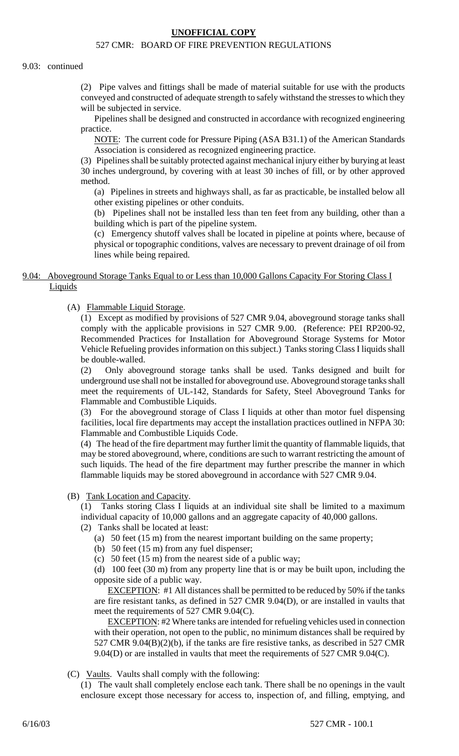## 527 CMR: BOARD OF FIRE PREVENTION REGULATIONS

#### 9.03: continued

(2) Pipe valves and fittings shall be made of material suitable for use with the products conveyed and constructed of adequate strength to safely withstand the stresses to which they will be subjected in service.

Pipelines shall be designed and constructed in accordance with recognized engineering practice.

NOTE: The current code for Pressure Piping (ASA B31.1) of the American Standards Association is considered as recognized engineering practice.

(3) Pipelines shall be suitably protected against mechanical injury either by burying at least 30 inches underground, by covering with at least 30 inches of fill, or by other approved method.

(a) Pipelines in streets and highways shall, as far as practicable, be installed below all other existing pipelines or other conduits.

(b) Pipelines shall not be installed less than ten feet from any building, other than a building which is part of the pipeline system.

(c) Emergency shutoff valves shall be located in pipeline at points where, because of physical or topographic conditions, valves are necessary to prevent drainage of oil from lines while being repaired.

## 9.04: Aboveground Storage Tanks Equal to or Less than 10,000 Gallons Capacity For Storing Class I Liquids

(A) Flammable Liquid Storage.

(1) Except as modified by provisions of 527 CMR 9.04, aboveground storage tanks shall comply with the applicable provisions in 527 CMR 9.00. (Reference: PEI RP200-92, Recommended Practices for Installation for Aboveground Storage Systems for Motor Vehicle Refueling provides information on this subject.) Tanks storing Class I liquids shall be double-walled.

(2) Only aboveground storage tanks shall be used. Tanks designed and built for underground use shall not be installed for aboveground use. Aboveground storage tanks shall meet the requirements of UL-142, Standards for Safety, Steel Aboveground Tanks for Flammable and Combustible Liquids.

(3) For the aboveground storage of Class I liquids at other than motor fuel dispensing facilities, local fire departments may accept the installation practices outlined in NFPA 30: Flammable and Combustible Liquids Code.

(4) The head of the fire department may further limit the quantity of flammable liquids, that may be stored aboveground, where, conditions are such to warrant restricting the amount of such liquids. The head of the fire department may further prescribe the manner in which flammable liquids may be stored aboveground in accordance with 527 CMR 9.04.

(B) Tank Location and Capacity.

(1) Tanks storing Class I liquids at an individual site shall be limited to a maximum individual capacity of 10,000 gallons and an aggregate capacity of 40,000 gallons.

- (2) Tanks shall be located at least:
	- (a) 50 feet (15 m) from the nearest important building on the same property;
	- (b) 50 feet (15 m) from any fuel dispenser;
	- (c) 50 feet (15 m) from the nearest side of a public way;

(d) 100 feet (30 m) from any property line that is or may be built upon, including the opposite side of a public way.

EXCEPTION: #1 All distances shall be permitted to be reduced by 50% if the tanks are fire resistant tanks, as defined in 527 CMR 9.04(D), or are installed in vaults that meet the requirements of 527 CMR 9.04(C).

EXCEPTION: #2 Where tanks are intended for refueling vehicles used in connection with their operation, not open to the public, no minimum distances shall be required by 527 CMR 9.04(B)(2)(b), if the tanks are fire resistive tanks, as described in 527 CMR 9.04(D) or are installed in vaults that meet the requirements of 527 CMR 9.04(C).

(C) Vaults. Vaults shall comply with the following:

(1) The vault shall completely enclose each tank. There shall be no openings in the vault enclosure except those necessary for access to, inspection of, and filling, emptying, and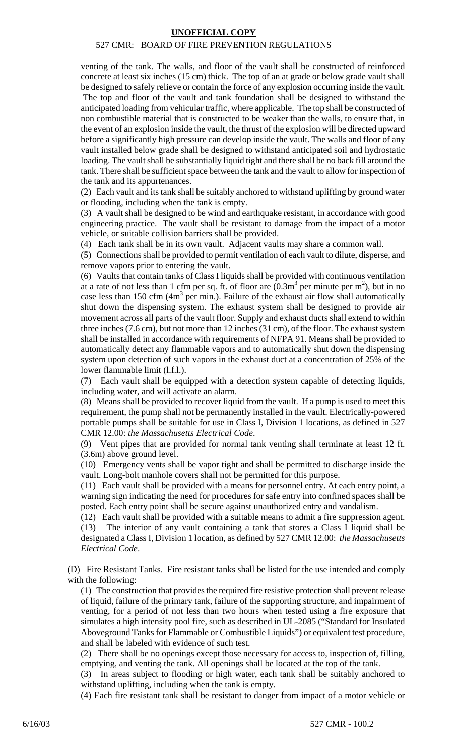#### 527 CMR: BOARD OF FIRE PREVENTION REGULATIONS

venting of the tank. The walls, and floor of the vault shall be constructed of reinforced concrete at least six inches (15 cm) thick. The top of an at grade or below grade vault shall be designed to safely relieve or contain the force of any explosion occurring inside the vault. The top and floor of the vault and tank foundation shall be designed to withstand the anticipated loading from vehicular traffic, where applicable. The top shall be constructed of non combustible material that is constructed to be weaker than the walls, to ensure that, in the event of an explosion inside the vault, the thrust of the explosion will be directed upward before a significantly high pressure can develop inside the vault. The walls and floor of any vault installed below grade shall be designed to withstand anticipated soil and hydrostatic loading. The vault shall be substantially liquid tight and there shall be no back fill around the tank. There shall be sufficient space between the tank and the vault to allow for inspection of the tank and its appurtenances.

(2) Each vault and its tank shall be suitably anchored to withstand uplifting by ground water or flooding, including when the tank is empty.

(3) A vault shall be designed to be wind and earthquake resistant, in accordance with good engineering practice. The vault shall be resistant to damage from the impact of a motor vehicle, or suitable collision barriers shall be provided.

(4) Each tank shall be in its own vault. Adjacent vaults may share a common wall.

(5) Connections shall be provided to permit ventilation of each vault to dilute, disperse, and remove vapors prior to entering the vault.

(6) Vaults that contain tanks of Class I liquids shall be provided with continuous ventilation at a rate of not less than 1 cfm per sq. ft. of floor are  $(0.3m<sup>3</sup>$  per minute per m<sup>2</sup>), but in no case less than 150 cfm  $(4m^3$  per min.). Failure of the exhaust air flow shall automatically shut down the dispensing system. The exhaust system shall be designed to provide air movement across all parts of the vault floor. Supply and exhaust ducts shall extend to within three inches (7.6 cm), but not more than 12 inches (31 cm), of the floor. The exhaust system shall be installed in accordance with requirements of NFPA 91. Means shall be provided to automatically detect any flammable vapors and to automatically shut down the dispensing system upon detection of such vapors in the exhaust duct at a concentration of 25% of the lower flammable limit (l.f.l.).

(7) Each vault shall be equipped with a detection system capable of detecting liquids, including water, and will activate an alarm.

(8) Means shall be provided to recover liquid from the vault. If a pump is used to meet this requirement, the pump shall not be permanently installed in the vault. Electrically-powered portable pumps shall be suitable for use in Class I, Division 1 locations, as defined in 527 CMR 12.00: *the Massachusetts Electrical Code*.

(9) Vent pipes that are provided for normal tank venting shall terminate at least 12 ft. (3.6m) above ground level.

(10) Emergency vents shall be vapor tight and shall be permitted to discharge inside the vault. Long-bolt manhole covers shall not be permitted for this purpose.

(11) Each vault shall be provided with a means for personnel entry. At each entry point, a warning sign indicating the need for procedures for safe entry into confined spaces shall be posted. Each entry point shall be secure against unauthorized entry and vandalism.

(12) Each vault shall be provided with a suitable means to admit a fire suppression agent. (13) The interior of any vault containing a tank that stores a Class I liquid shall be designated a Class I, Division 1 location, as defined by 527 CMR 12.00: *the Massachusetts Electrical Code*.

(D) Fire Resistant Tanks. Fire resistant tanks shall be listed for the use intended and comply with the following:

(1) The construction that provides the required fire resistive protection shall prevent release of liquid, failure of the primary tank, failure of the supporting structure, and impairment of venting, for a period of not less than two hours when tested using a fire exposure that simulates a high intensity pool fire, such as described in UL-2085 ("Standard for Insulated Aboveground Tanks for Flammable or Combustible Liquids") or equivalent test procedure, and shall be labeled with evidence of such test.

(2) There shall be no openings except those necessary for access to, inspection of, filling, emptying, and venting the tank. All openings shall be located at the top of the tank.

(3) In areas subject to flooding or high water, each tank shall be suitably anchored to withstand uplifting, including when the tank is empty.

(4) Each fire resistant tank shall be resistant to danger from impact of a motor vehicle or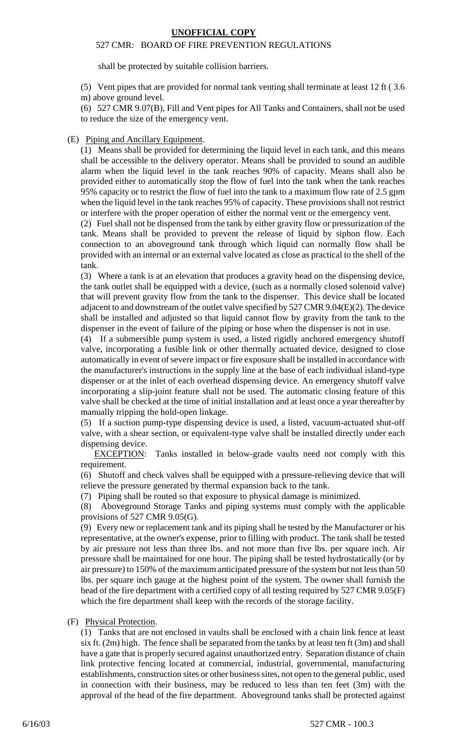## 527 CMR: BOARD OF FIRE PREVENTION REGULATIONS

shall be protected by suitable collision barriers.

(5) Vent pipes that are provided for normal tank venting shall terminate at least 12 ft ( 3.6 m) above ground level.

(6) 527 CMR 9.07(B), Fill and Vent pipes for All Tanks and Containers, shall not be used to reduce the size of the emergency vent.

## (E) Piping and Ancillary Equipment.

(1) Means shall be provided for determining the liquid level in each tank, and this means shall be accessible to the delivery operator. Means shall be provided to sound an audible alarm when the liquid level in the tank reaches 90% of capacity. Means shall also be provided either to automatically stop the flow of fuel into the tank when the tank reaches 95% capacity or to restrict the flow of fuel into the tank to a maximum flow rate of 2.5 gpm when the liquid level in the tank reaches 95% of capacity. These provisions shall not restrict or interfere with the proper operation of either the normal vent or the emergency vent.

(2) Fuel shall not be dispensed from the tank by either gravity flow or pressurization of the tank. Means shall be provided to prevent the release of liquid by siphon flow. Each connection to an aboveground tank through which liquid can normally flow shall be provided with an internal or an external valve located as close as practical to the shell of the tank.

(3) Where a tank is at an elevation that produces a gravity head on the dispensing device, the tank outlet shall be equipped with a device, (such as a normally closed solenoid valve) that will prevent gravity flow from the tank to the dispenser. This device shall be located adjacent to and downstream of the outlet valve specified by 527 CMR 9.04(E)(2). The device shall be installed and adjusted so that liquid cannot flow by gravity from the tank to the dispenser in the event of failure of the piping or hose when the dispenser is not in use.

(4) If a submersible pump system is used, a listed rigidly anchored emergency shutoff valve, incorporating a fusible link or other thermally actuated device, designed to close automatically in event of severe impact or fire exposure shall be installed in accordance with the manufacturer's instructions in the supply line at the base of each individual island-type dispenser or at the inlet of each overhead dispensing device. An emergency shutoff valve incorporating a slip-joint feature shall not be used. The automatic closing feature of this valve shall be checked at the time of initial installation and at least once a year thereafter by manually tripping the hold-open linkage.

(5) If a suction pump-type dispensing device is used, a listed, vacuum-actuated shut-off valve, with a shear section, or equivalent-type valve shall be installed directly under each dispensing device.

EXCEPTION: Tanks installed in below-grade vaults need not comply with this requirement.

(6) Shutoff and check valves shall be equipped with a pressure-relieving device that will relieve the pressure generated by thermal expansion back to the tank.

(7) Piping shall be routed so that exposure to physical damage is minimized.

(8) Aboveground Storage Tanks and piping systems must comply with the applicable provisions of 527 CMR 9.05(G).

(9) Every new or replacement tank and its piping shall be tested by the Manufacturer or his representative, at the owner's expense, prior to filling with product. The tank shall be tested by air pressure not less than three lbs. and not more than five lbs. per square inch. Air pressure shall be maintained for one hour. The piping shall be tested hydrostatically (or by air pressure) to 150% of the maximum anticipated pressure of the system but not less than 50 lbs. per square inch gauge at the highest point of the system. The owner shall furnish the head of the fire department with a certified copy of all testing required by 527 CMR 9.05(F) which the fire department shall keep with the records of the storage facility.

## (F) Physical Protection.

(1) Tanks that are not enclosed in vaults shall be enclosed with a chain link fence at least six ft. (2m) high. The fence shall be separated from the tanks by at least ten ft (3m) and shall have a gate that is properly secured against unauthorized entry. Separation distance of chain link protective fencing located at commercial, industrial, governmental, manufacturing establishments, construction sites or other business sites, not open to the general public, used in connection with their business, may be reduced to less than ten feet (3m) with the approval of the head of the fire department. Aboveground tanks shall be protected against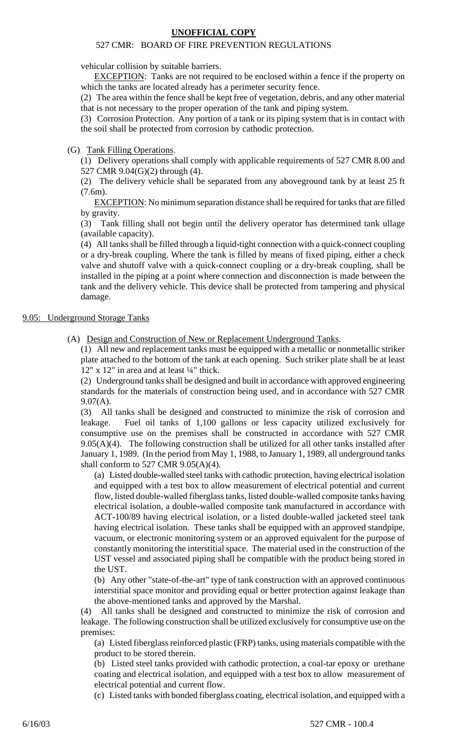## 527 CMR: BOARD OF FIRE PREVENTION REGULATIONS

vehicular collision by suitable barriers.

EXCEPTION: Tanks are not required to be enclosed within a fence if the property on which the tanks are located already has a perimeter security fence.

(2) The area within the fence shall be kept free of vegetation, debris, and any other material that is not necessary to the proper operation of the tank and piping system.

(3) Corrosion Protection. Any portion of a tank or its piping system that is in contact with the soil shall be protected from corrosion by cathodic protection.

## (G) Tank Filling Operations.

(1) Delivery operations shall comply with applicable requirements of 527 CMR 8.00 and 527 CMR 9.04(G)(2) through (4).

(2) The delivery vehicle shall be separated from any aboveground tank by at least 25 ft (7.6m).

EXCEPTION: No minimum separation distance shall be required for tanks that are filled by gravity.

(3) Tank filling shall not begin until the delivery operator has determined tank ullage (available capacity).

(4) All tanks shall be filled through a liquid-tight connection with a quick-connect coupling or a dry-break coupling. Where the tank is filled by means of fixed piping, either a check valve and shutoff valve with a quick-connect coupling or a dry-break coupling, shall be installed in the piping at a point where connection and disconnection is made between the tank and the delivery vehicle. This device shall be protected from tampering and physical damage.

## 9.05: Underground Storage Tanks

(A) Design and Construction of New or Replacement Underground Tanks.

(1) All new and replacement tanks must be equipped with a metallic or nonmetallic striker plate attached to the bottom of the tank at each opening. Such striker plate shall be at least 12" x 12" in area and at least ¼" thick.

(2) Underground tanks shall be designed and built in accordance with approved engineering standards for the materials of construction being used, and in accordance with 527 CMR  $9.07(A)$ .

(3) All tanks shall be designed and constructed to minimize the risk of corrosion and leakage. Fuel oil tanks of 1,100 gallons or less capacity utilized exclusively for consumptive use on the premises shall be constructed in accordance with 527 CMR 9.05(A)(4). The following construction shall be utilized for all other tanks installed after January 1, 1989. (In the period from May 1, 1988, to January 1, 1989, all underground tanks shall conform to 527 CMR 9.05(A)(4).

(a) Listed double-walled steel tanks with cathodic protection, having electrical isolation and equipped with a test box to allow measurement of electrical potential and current flow, listed double-walled fiberglass tanks, listed double-walled composite tanks having electrical isolation, a double-walled composite tank manufactured in accordance with ACT-100/89 having electrical isolation, or a listed double-walled jacketed steel tank having electrical isolation. These tanks shall be equipped with an approved standpipe, vacuum, or electronic monitoring system or an approved equivalent for the purpose of constantly monitoring the interstitial space. The material used in the construction of the UST vessel and associated piping shall be compatible with the product being stored in the UST.

(b) Any other "state-of-the-art" type of tank construction with an approved continuous interstitial space monitor and providing equal or better protection against leakage than the above-mentioned tanks and approved by the Marshal.

(4) All tanks shall be designed and constructed to minimize the risk of corrosion and leakage. The following construction shall be utilized exclusively for consumptive use on the premises:

(a) Listed fiberglass reinforced plastic (FRP) tanks, using materials compatible with the product to be stored therein.

(b) Listed steel tanks provided with cathodic protection, a coal-tar epoxy or urethane coating and electrical isolation, and equipped with a test box to allow measurement of electrical potential and current flow.

(c) Listed tanks with bonded fiberglass coating, electrical isolation, and equipped with a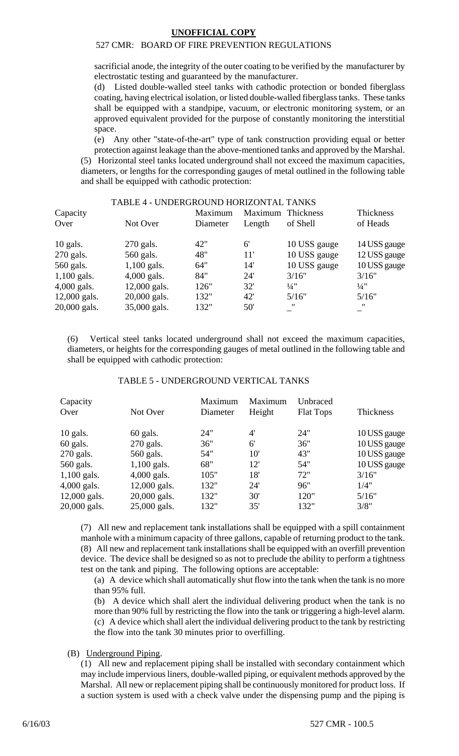## 527 CMR: BOARD OF FIRE PREVENTION REGULATIONS

sacrificial anode, the integrity of the outer coating to be verified by the manufacturer by electrostatic testing and guaranteed by the manufacturer.

(d) Listed double-walled steel tanks with cathodic protection or bonded fiberglass coating, having electrical isolation, or listed double-walled fiberglass tanks. These tanks shall be equipped with a standpipe, vacuum, or electronic monitoring system, or an approved equivalent provided for the purpose of constantly monitoring the interstitial space.

(e) Any other "state-of-the-art" type of tank construction providing equal or better protection against leakage than the above-mentioned tanks and approved by the Marshal.

(5) Horizontal steel tanks located underground shall not exceed the maximum capacities, diameters, or lengths for the corresponding gauges of metal outlined in the following table and shall be equipped with cathodic protection:

| TABLE 4 - UNDERGROUND HORIZONTAL TANKS |               |          |        |                   |                   |
|----------------------------------------|---------------|----------|--------|-------------------|-------------------|
| Capacity                               |               | Maximum  |        | Maximum Thickness | Thickness         |
| Over                                   | Not Over      | Diameter | Length | of Shell          | of Heads          |
| $10$ gals.                             | $270$ gals.   | 42"      | 6'     | 10 USS gauge      | 14 USS gauge      |
| $270$ gals.                            | 560 gals.     | 48"      | 11'    | 10 USS gauge      | 12 USS gauge      |
| 560 gals.                              | $1,100$ gals. | 64"      | 14'    | 10 USS gauge      | 10 USS gauge      |
| $1,100$ gals.                          | $4,000$ gals. | 84"      | 24'    | 3/16"             | 3/16"             |
| $4,000$ gals.                          | 12,000 gals.  | 126"     | 32'    | $\frac{1}{4}$ "   | $\frac{1}{4}$ "   |
| $12,000$ gals.                         | 20,000 gals.  | 132"     | 42'    | 5/16"             | 5/16"             |
| 20,000 gals.                           | 35,000 gals.  | 132"     | 50'    | $^{\prime\prime}$ | $^{\prime\prime}$ |

(6) Vertical steel tanks located underground shall not exceed the maximum capacities, diameters, or heights for the corresponding gauges of metal outlined in the following table and shall be equipped with cathodic protection:

## TABLE 5 - UNDERGROUND VERTICAL TANKS

| Capacity<br>Over | Not Over      | Maximum<br>Diameter | Maximum<br>Height | Unbraced<br><b>Flat Tops</b> | Thickness    |
|------------------|---------------|---------------------|-------------------|------------------------------|--------------|
| $10$ gals.       | $60$ gals.    | 24"                 | 4'                | 24"                          | 10 USS gauge |
| $60$ gals.       | $270$ gals.   | 36"                 | 6'                | 36"                          | 10 USS gauge |
| $270$ gals.      | 560 gals.     | 54"                 | 10'               | 43"                          | 10 USS gauge |
| 560 gals.        | $1,100$ gals. | 68"                 | 12'               | 54"                          | 10 USS gauge |
| $1,100$ gals.    | $4,000$ gals. | 105"                | 18'               | 72"                          | 3/16"        |
| $4,000$ gals.    | 12,000 gals.  | 132"                | 24'               | 96"                          | 1/4"         |
| 12,000 gals.     | 20,000 gals.  | 132"                | 30'               | 120"                         | 5/16"        |
| 20,000 gals.     | 25,000 gals.  | 132"                | 35'               | 132"                         | 3/8"         |

(7) All new and replacement tank installations shall be equipped with a spill containment manhole with a minimum capacity of three gallons, capable of returning product to the tank. (8) All new and replacement tank installations shall be equipped with an overfill prevention device. The device shall be designed so as not to preclude the ability to perform a tightness test on the tank and piping. The following options are acceptable:

(a) A device which shall automatically shut flow into the tank when the tank is no more than 95% full.

(b) A device which shall alert the individual delivering product when the tank is no more than 90% full by restricting the flow into the tank or triggering a high-level alarm. (c) A device which shall alert the individual delivering product to the tank by restricting the flow into the tank 30 minutes prior to overfilling.

## (B) Underground Piping.

(1) All new and replacement piping shall be installed with secondary containment which may include impervious liners, double-walled piping, or equivalent methods approved by the Marshal. All new or replacement piping shall be continuously monitored for product loss. If a suction system is used with a check valve under the dispensing pump and the piping is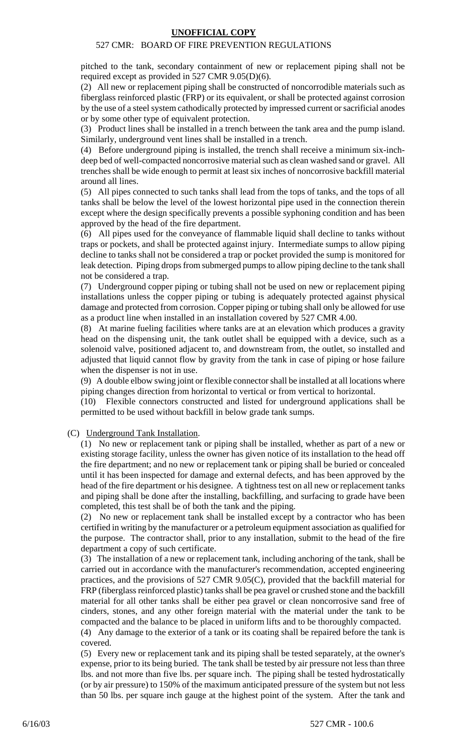## 527 CMR: BOARD OF FIRE PREVENTION REGULATIONS

pitched to the tank, secondary containment of new or replacement piping shall not be required except as provided in 527 CMR 9.05(D)(6).

(2) All new or replacement piping shall be constructed of noncorrodible materials such as fiberglass reinforced plastic (FRP) or its equivalent, or shall be protected against corrosion by the use of a steel system cathodically protected by impressed current or sacrificial anodes or by some other type of equivalent protection.

(3) Product lines shall be installed in a trench between the tank area and the pump island. Similarly, underground vent lines shall be installed in a trench.

(4) Before underground piping is installed, the trench shall receive a minimum six-inchdeep bed of well-compacted noncorrosive material such as clean washed sand or gravel. All trenches shall be wide enough to permit at least six inches of noncorrosive backfill material around all lines.

(5) All pipes connected to such tanks shall lead from the tops of tanks, and the tops of all tanks shall be below the level of the lowest horizontal pipe used in the connection therein except where the design specifically prevents a possible syphoning condition and has been approved by the head of the fire department.

(6) All pipes used for the conveyance of flammable liquid shall decline to tanks without traps or pockets, and shall be protected against injury. Intermediate sumps to allow piping decline to tanks shall not be considered a trap or pocket provided the sump is monitored for leak detection. Piping drops from submerged pumps to allow piping decline to the tank shall not be considered a trap.

(7) Underground copper piping or tubing shall not be used on new or replacement piping installations unless the copper piping or tubing is adequately protected against physical damage and protected from corrosion. Copper piping or tubing shall only be allowed for use as a product line when installed in an installation covered by 527 CMR 4.00.

(8) At marine fueling facilities where tanks are at an elevation which produces a gravity head on the dispensing unit, the tank outlet shall be equipped with a device, such as a solenoid valve, positioned adjacent to, and downstream from, the outlet, so installed and adjusted that liquid cannot flow by gravity from the tank in case of piping or hose failure when the dispenser is not in use.

(9) A double elbow swing joint or flexible connector shall be installed at all locations where piping changes direction from horizontal to vertical or from vertical to horizontal.

(10) Flexible connectors constructed and listed for underground applications shall be permitted to be used without backfill in below grade tank sumps.

## (C) Underground Tank Installation.

(1) No new or replacement tank or piping shall be installed, whether as part of a new or existing storage facility, unless the owner has given notice of its installation to the head off the fire department; and no new or replacement tank or piping shall be buried or concealed until it has been inspected for damage and external defects, and has been approved by the head of the fire department or his designee. A tightness test on all new or replacement tanks and piping shall be done after the installing, backfilling, and surfacing to grade have been completed, this test shall be of both the tank and the piping.

(2) No new or replacement tank shall be installed except by a contractor who has been certified in writing by the manufacturer or a petroleum equipment association as qualified for the purpose. The contractor shall, prior to any installation, submit to the head of the fire department a copy of such certificate.

(3) The installation of a new or replacement tank, including anchoring of the tank, shall be carried out in accordance with the manufacturer's recommendation, accepted engineering practices, and the provisions of 527 CMR 9.05(C), provided that the backfill material for FRP (fiberglass reinforced plastic) tanks shall be pea gravel or crushed stone and the backfill material for all other tanks shall be either pea gravel or clean noncorrosive sand free of cinders, stones, and any other foreign material with the material under the tank to be compacted and the balance to be placed in uniform lifts and to be thoroughly compacted.

(4) Any damage to the exterior of a tank or its coating shall be repaired before the tank is covered.

(5) Every new or replacement tank and its piping shall be tested separately, at the owner's expense, prior to its being buried. The tank shall be tested by air pressure not less than three lbs. and not more than five lbs. per square inch. The piping shall be tested hydrostatically (or by air pressure) to 150% of the maximum anticipated pressure of the system but not less than 50 lbs. per square inch gauge at the highest point of the system. After the tank and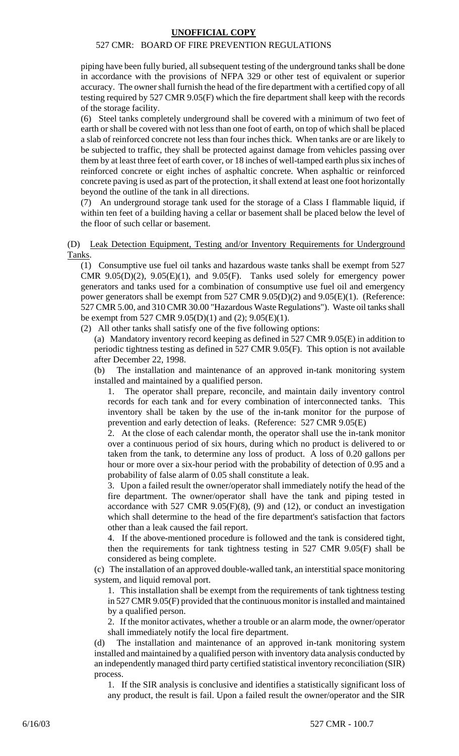## 527 CMR: BOARD OF FIRE PREVENTION REGULATIONS

piping have been fully buried, all subsequent testing of the underground tanks shall be done in accordance with the provisions of NFPA 329 or other test of equivalent or superior accuracy. The owner shall furnish the head of the fire department with a certified copy of all testing required by 527 CMR 9.05(F) which the fire department shall keep with the records of the storage facility.

(6) Steel tanks completely underground shall be covered with a minimum of two feet of earth or shall be covered with not less than one foot of earth, on top of which shall be placed a slab of reinforced concrete not less than four inches thick. When tanks are or are likely to be subjected to traffic, they shall be protected against damage from vehicles passing over them by at least three feet of earth cover, or 18 inches of well-tamped earth plus six inches of reinforced concrete or eight inches of asphaltic concrete. When asphaltic or reinforced concrete paving is used as part of the protection, it shall extend at least one foot horizontally beyond the outline of the tank in all directions.

(7) An underground storage tank used for the storage of a Class I flammable liquid, if within ten feet of a building having a cellar or basement shall be placed below the level of the floor of such cellar or basement.

(D) Leak Detection Equipment, Testing and/or Inventory Requirements for Underground Tanks.

(1) Consumptive use fuel oil tanks and hazardous waste tanks shall be exempt from 527 CMR 9.05(D)(2), 9.05(E)(1), and 9.05(F). Tanks used solely for emergency power generators and tanks used for a combination of consumptive use fuel oil and emergency power generators shall be exempt from 527 CMR 9.05(D)(2) and 9.05(E)(1). (Reference: 527 CMR 5.00, and 310 CMR 30.00 "Hazardous Waste Regulations"). Waste oil tanks shall be exempt from 527 CMR 9.05(D)(1) and (2); 9.05(E)(1).

(2) All other tanks shall satisfy one of the five following options:

(a) Mandatory inventory record keeping as defined in 527 CMR 9.05(E) in addition to periodic tightness testing as defined in 527 CMR 9.05(F). This option is not available after December 22, 1998.

(b) The installation and maintenance of an approved in-tank monitoring system installed and maintained by a qualified person.

1. The operator shall prepare, reconcile, and maintain daily inventory control records for each tank and for every combination of interconnected tanks. This inventory shall be taken by the use of the in-tank monitor for the purpose of prevention and early detection of leaks. (Reference: 527 CMR 9.05(E)

2. At the close of each calendar month, the operator shall use the in-tank monitor over a continuous period of six hours, during which no product is delivered to or taken from the tank, to determine any loss of product. A loss of 0.20 gallons per hour or more over a six-hour period with the probability of detection of 0.95 and a probability of false alarm of 0.05 shall constitute a leak.

3. Upon a failed result the owner/operator shall immediately notify the head of the fire department. The owner/operator shall have the tank and piping tested in accordance with 527 CMR 9.05(F)(8), (9) and (12), or conduct an investigation which shall determine to the head of the fire department's satisfaction that factors other than a leak caused the fail report.

4. If the above-mentioned procedure is followed and the tank is considered tight, then the requirements for tank tightness testing in 527 CMR 9.05(F) shall be considered as being complete.

(c) The installation of an approved double-walled tank, an interstitial space monitoring system, and liquid removal port.

1. This installation shall be exempt from the requirements of tank tightness testing in 527 CMR 9.05(F) provided that the continuous monitor is installed and maintained by a qualified person.

2. If the monitor activates, whether a trouble or an alarm mode, the owner/operator shall immediately notify the local fire department.

(d) The installation and maintenance of an approved in-tank monitoring system installed and maintained by a qualified person with inventory data analysis conducted by an independently managed third party certified statistical inventory reconciliation (SIR) process.

1. If the SIR analysis is conclusive and identifies a statistically significant loss of any product, the result is fail. Upon a failed result the owner/operator and the SIR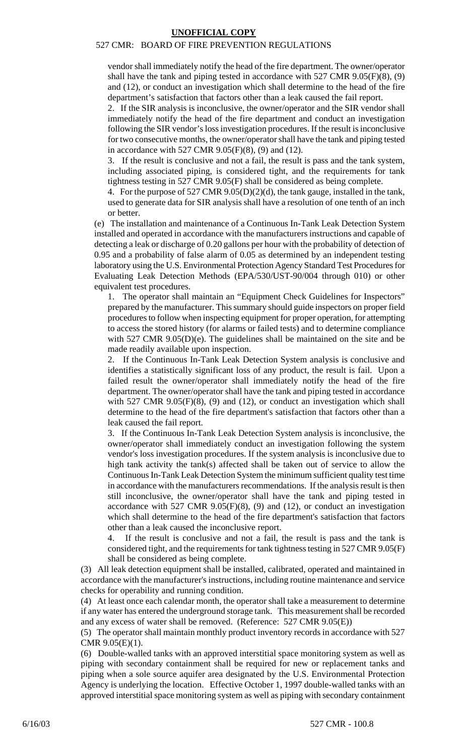## 527 CMR: BOARD OF FIRE PREVENTION REGULATIONS

vendor shall immediately notify the head of the fire department. The owner/operator shall have the tank and piping tested in accordance with 527 CMR 9.05(F)(8), (9) and (12), or conduct an investigation which shall determine to the head of the fire department's satisfaction that factors other than a leak caused the fail report.

2. If the SIR analysis is inconclusive, the owner/operator and the SIR vendor shall immediately notify the head of the fire department and conduct an investigation following the SIR vendor's loss investigation procedures. If the result is inconclusive for two consecutive months, the owner/operator shall have the tank and piping tested in accordance with 527 CMR 9.05(F)(8), (9) and (12).

3. If the result is conclusive and not a fail, the result is pass and the tank system, including associated piping, is considered tight, and the requirements for tank tightness testing in 527 CMR 9.05(F) shall be considered as being complete.

4. For the purpose of 527 CMR 9.05(D)(2)(d), the tank gauge, installed in the tank, used to generate data for SIR analysis shall have a resolution of one tenth of an inch or better.

(e) The installation and maintenance of a Continuous In-Tank Leak Detection System installed and operated in accordance with the manufacturers instructions and capable of detecting a leak or discharge of 0.20 gallons per hour with the probability of detection of 0.95 and a probability of false alarm of 0.05 as determined by an independent testing laboratory using the U.S. Environmental Protection Agency Standard Test Procedures for Evaluating Leak Detection Methods (EPA/530/UST-90/004 through 010) or other equivalent test procedures.

1. The operator shall maintain an "Equipment Check Guidelines for Inspectors" prepared by the manufacturer. This summary should guide inspectors on proper field procedures to follow when inspecting equipment for proper operation, for attempting to access the stored history (for alarms or failed tests) and to determine compliance with 527 CMR 9.05(D)(e). The guidelines shall be maintained on the site and be made readily available upon inspection.

2. If the Continuous In-Tank Leak Detection System analysis is conclusive and identifies a statistically significant loss of any product, the result is fail. Upon a failed result the owner/operator shall immediately notify the head of the fire department. The owner/operator shall have the tank and piping tested in accordance with 527 CMR 9.05(F)(8), (9) and (12), or conduct an investigation which shall determine to the head of the fire department's satisfaction that factors other than a leak caused the fail report.

3. If the Continuous In-Tank Leak Detection System analysis is inconclusive, the owner/operator shall immediately conduct an investigation following the system vendor's loss investigation procedures. If the system analysis is inconclusive due to high tank activity the tank(s) affected shall be taken out of service to allow the Continuous In-Tank Leak Detection System the minimum sufficient quality test time in accordance with the manufacturers recommendations. If the analysis result is then still inconclusive, the owner/operator shall have the tank and piping tested in accordance with 527 CMR 9.05(F)(8), (9) and (12), or conduct an investigation which shall determine to the head of the fire department's satisfaction that factors other than a leak caused the inconclusive report.

4. If the result is conclusive and not a fail, the result is pass and the tank is considered tight, and the requirements for tank tightness testing in 527 CMR 9.05(F) shall be considered as being complete.

(3) All leak detection equipment shall be installed, calibrated, operated and maintained in accordance with the manufacturer's instructions, including routine maintenance and service checks for operability and running condition.

(4) At least once each calendar month, the operator shall take a measurement to determine if any water has entered the underground storage tank. This measurement shall be recorded and any excess of water shall be removed. (Reference: 527 CMR 9.05(E))

(5) The operator shall maintain monthly product inventory records in accordance with 527 CMR 9.05(E)(1).

(6) Double-walled tanks with an approved interstitial space monitoring system as well as piping with secondary containment shall be required for new or replacement tanks and piping when a sole source aquifer area designated by the U.S. Environmental Protection Agency is underlying the location. Effective October 1, 1997 double-walled tanks with an approved interstitial space monitoring system as well as piping with secondary containment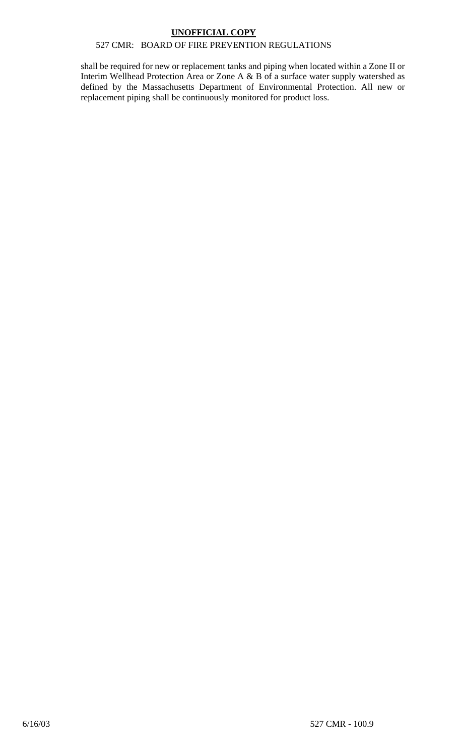# 527 CMR: BOARD OF FIRE PREVENTION REGULATIONS

shall be required for new or replacement tanks and piping when located within a Zone II or Interim Wellhead Protection Area or Zone A & B of a surface water supply watershed as defined by the Massachusetts Department of Environmental Protection. All new or replacement piping shall be continuously monitored for product loss.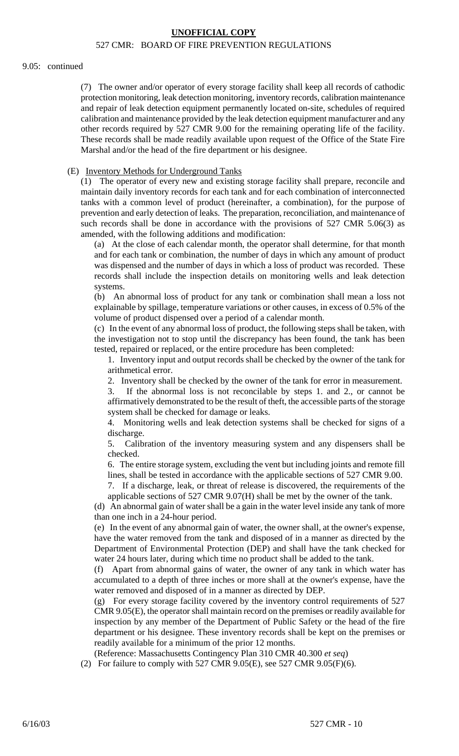#### 9.05: continued

(7) The owner and/or operator of every storage facility shall keep all records of cathodic protection monitoring, leak detection monitoring, inventory records, calibration maintenance and repair of leak detection equipment permanently located on-site, schedules of required calibration and maintenance provided by the leak detection equipment manufacturer and any other records required by 527 CMR 9.00 for the remaining operating life of the facility. These records shall be made readily available upon request of the Office of the State Fire Marshal and/or the head of the fire department or his designee.

## (E) Inventory Methods for Underground Tanks

(1) The operator of every new and existing storage facility shall prepare, reconcile and maintain daily inventory records for each tank and for each combination of interconnected tanks with a common level of product (hereinafter, a combination), for the purpose of prevention and early detection of leaks. The preparation, reconciliation, and maintenance of such records shall be done in accordance with the provisions of 527 CMR 5.06(3) as amended, with the following additions and modification:

(a) At the close of each calendar month, the operator shall determine, for that month and for each tank or combination, the number of days in which any amount of product was dispensed and the number of days in which a loss of product was recorded. These records shall include the inspection details on monitoring wells and leak detection systems.

(b) An abnormal loss of product for any tank or combination shall mean a loss not explainable by spillage, temperature variations or other causes, in excess of 0.5% of the volume of product dispensed over a period of a calendar month.

(c) In the event of any abnormal loss of product, the following steps shall be taken, with the investigation not to stop until the discrepancy has been found, the tank has been tested, repaired or replaced, or the entire procedure has been completed:

1. Inventory input and output records shall be checked by the owner of the tank for arithmetical error.

2. Inventory shall be checked by the owner of the tank for error in measurement.

3. If the abnormal loss is not reconcilable by steps 1. and 2., or cannot be affirmatively demonstrated to be the result of theft, the accessible parts of the storage system shall be checked for damage or leaks.

4. Monitoring wells and leak detection systems shall be checked for signs of a discharge.

5. Calibration of the inventory measuring system and any dispensers shall be checked.

6. The entire storage system, excluding the vent but including joints and remote fill lines, shall be tested in accordance with the applicable sections of 527 CMR 9.00.

7. If a discharge, leak, or threat of release is discovered, the requirements of the applicable sections of 527 CMR 9.07(H) shall be met by the owner of the tank.

(d) An abnormal gain of water shall be a gain in the water level inside any tank of more than one inch in a 24-hour period.

(e) In the event of any abnormal gain of water, the owner shall, at the owner's expense, have the water removed from the tank and disposed of in a manner as directed by the Department of Environmental Protection (DEP) and shall have the tank checked for water 24 hours later, during which time no product shall be added to the tank.

(f) Apart from abnormal gains of water, the owner of any tank in which water has accumulated to a depth of three inches or more shall at the owner's expense, have the water removed and disposed of in a manner as directed by DEP.

(g) For every storage facility covered by the inventory control requirements of 527 CMR 9.05(E), the operator shall maintain record on the premises or readily available for inspection by any member of the Department of Public Safety or the head of the fire department or his designee. These inventory records shall be kept on the premises or readily available for a minimum of the prior 12 months.

(Reference: Massachusetts Contingency Plan 310 CMR 40.300 *et seq*)

(2) For failure to comply with 527 CMR 9.05(E), see 527 CMR 9.05(F)(6).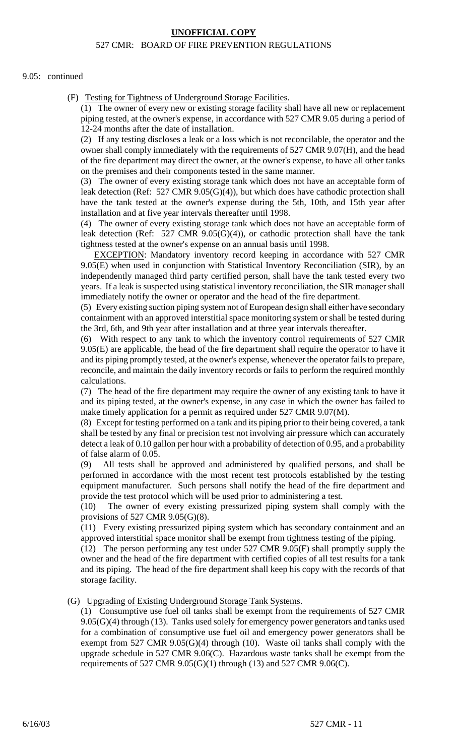#### 9.05: continued

(F) Testing for Tightness of Underground Storage Facilities.

(1) The owner of every new or existing storage facility shall have all new or replacement piping tested, at the owner's expense, in accordance with 527 CMR 9.05 during a period of 12-24 months after the date of installation.

(2) If any testing discloses a leak or a loss which is not reconcilable, the operator and the owner shall comply immediately with the requirements of 527 CMR 9.07(H), and the head of the fire department may direct the owner, at the owner's expense, to have all other tanks on the premises and their components tested in the same manner.

(3) The owner of every existing storage tank which does not have an acceptable form of leak detection (Ref: 527 CMR 9.05(G)(4)), but which does have cathodic protection shall have the tank tested at the owner's expense during the 5th, 10th, and 15th year after installation and at five year intervals thereafter until 1998.

(4) The owner of every existing storage tank which does not have an acceptable form of leak detection (Ref: 527 CMR 9.05(G)(4)), or cathodic protection shall have the tank tightness tested at the owner's expense on an annual basis until 1998.

EXCEPTION: Mandatory inventory record keeping in accordance with 527 CMR 9.05(E) when used in conjunction with Statistical Inventory Reconciliation (SIR), by an independently managed third party certified person, shall have the tank tested every two years. If a leak is suspected using statistical inventory reconciliation, the SIR manager shall immediately notify the owner or operator and the head of the fire department.

(5) Every existing suction piping system not of European design shall either have secondary containment with an approved interstitial space monitoring system or shall be tested during the 3rd, 6th, and 9th year after installation and at three year intervals thereafter.

(6) With respect to any tank to which the inventory control requirements of 527 CMR 9.05(E) are applicable, the head of the fire department shall require the operator to have it and its piping promptly tested, at the owner's expense, whenever the operator fails to prepare, reconcile, and maintain the daily inventory records or fails to perform the required monthly calculations.

(7) The head of the fire department may require the owner of any existing tank to have it and its piping tested, at the owner's expense, in any case in which the owner has failed to make timely application for a permit as required under 527 CMR 9.07(M).

(8) Except for testing performed on a tank and its piping prior to their being covered, a tank shall be tested by any final or precision test not involving air pressure which can accurately detect a leak of 0.10 gallon per hour with a probability of detection of 0.95, and a probability of false alarm of 0.05.

(9) All tests shall be approved and administered by qualified persons, and shall be performed in accordance with the most recent test protocols established by the testing equipment manufacturer. Such persons shall notify the head of the fire department and provide the test protocol which will be used prior to administering a test.

(10) The owner of every existing pressurized piping system shall comply with the provisions of 527 CMR 9.05(G)(8).

(11) Every existing pressurized piping system which has secondary containment and an approved interstitial space monitor shall be exempt from tightness testing of the piping.

(12) The person performing any test under 527 CMR 9.05(F) shall promptly supply the owner and the head of the fire department with certified copies of all test results for a tank and its piping. The head of the fire department shall keep his copy with the records of that storage facility.

(G) Upgrading of Existing Underground Storage Tank Systems.

(1) Consumptive use fuel oil tanks shall be exempt from the requirements of 527 CMR 9.05(G)(4) through (13). Tanks used solely for emergency power generators and tanks used for a combination of consumptive use fuel oil and emergency power generators shall be exempt from 527 CMR 9.05(G)(4) through (10). Waste oil tanks shall comply with the upgrade schedule in 527 CMR 9.06(C). Hazardous waste tanks shall be exempt from the requirements of 527 CMR 9.05(G)(1) through (13) and 527 CMR 9.06(C).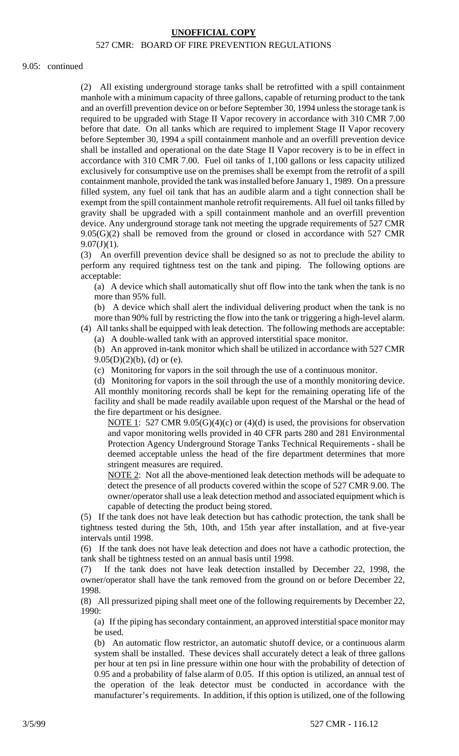#### 9.05: continued

(2) All existing underground storage tanks shall be retrofitted with a spill containment manhole with a minimum capacity of three gallons, capable of returning product to the tank and an overfill prevention device on or before September 30, 1994 unless the storage tank is required to be upgraded with Stage II Vapor recovery in accordance with 310 CMR 7.00 before that date. On all tanks which are required to implement Stage II Vapor recovery before September 30, 1994 a spill containment manhole and an overfill prevention device shall be installed and operational on the date Stage II Vapor recovery is to be in effect in accordance with 310 CMR 7.00. Fuel oil tanks of 1,100 gallons or less capacity utilized exclusively for consumptive use on the premises shall be exempt from the retrofit of a spill containment manhole, provided the tank was installed before January 1, 1989. On a pressure filled system, any fuel oil tank that has an audible alarm and a tight connection shall be exempt from the spill containment manhole retrofit requirements. All fuel oil tanks filled by gravity shall be upgraded with a spill containment manhole and an overfill prevention device. Any underground storage tank not meeting the upgrade requirements of 527 CMR  $9.05(G)(2)$  shall be removed from the ground or closed in accordance with 527 CMR  $9.07(J)(1)$ .

(3) An overfill prevention device shall be designed so as not to preclude the ability to perform any required tightness test on the tank and piping. The following options are acceptable:

(a) A device which shall automatically shut off flow into the tank when the tank is no more than 95% full.

(b) A device which shall alert the individual delivering product when the tank is no more than 90% full by restricting the flow into the tank or triggering a high-level alarm.

(4) All tanks shall be equipped with leak detection. The following methods are acceptable:

(a) A double-walled tank with an approved interstitial space monitor.

(b) An approved in-tank monitor which shall be utilized in accordance with 527 CMR  $9.05(D)(2)(b)$ , (d) or (e).

(c) Monitoring for vapors in the soil through the use of a continuous monitor.

(d) Monitoring for vapors in the soil through the use of a monthly monitoring device. All monthly monitoring records shall be kept for the remaining operating life of the facility and shall be made readily available upon request of the Marshal or the head of the fire department or his designee.

NOTE 1: 527 CMR 9.05(G)(4)(c) or (4)(d) is used, the provisions for observation and vapor monitoring wells provided in 40 CFR parts 280 and 281 Environmental Protection Agency Underground Storage Tanks Technical Requirements - shall be deemed acceptable unless the head of the fire department determines that more stringent measures are required.

NOTE 2: Not all the above-mentioned leak detection methods will be adequate to detect the presence of all products covered within the scope of 527 CMR 9.00. The owner/operator shall use a leak detection method and associated equipment which is capable of detecting the product being stored.

(5) If the tank does not have leak detection but has cathodic protection, the tank shall be tightness tested during the 5th, 10th, and 15th year after installation, and at five-year intervals until 1998.

(6) If the tank does not have leak detection and does not have a cathodic protection, the tank shall be tightness tested on an annual basis until 1998.

(7) If the tank does not have leak detection installed by December 22, 1998, the owner/operator shall have the tank removed from the ground on or before December 22, 1998.

(8) All pressurized piping shall meet one of the following requirements by December 22, 1990:

(a) If the piping has secondary containment, an approved interstitial space monitor may be used.

(b) An automatic flow restrictor, an automatic shutoff device, or a continuous alarm system shall be installed. These devices shall accurately detect a leak of three gallons per hour at ten psi in line pressure within one hour with the probability of detection of 0.95 and a probability of false alarm of 0.05. If this option is utilized, an annual test of the operation of the leak detector must be conducted in accordance with the manufacturer's requirements. In addition, if this option is utilized, one of the following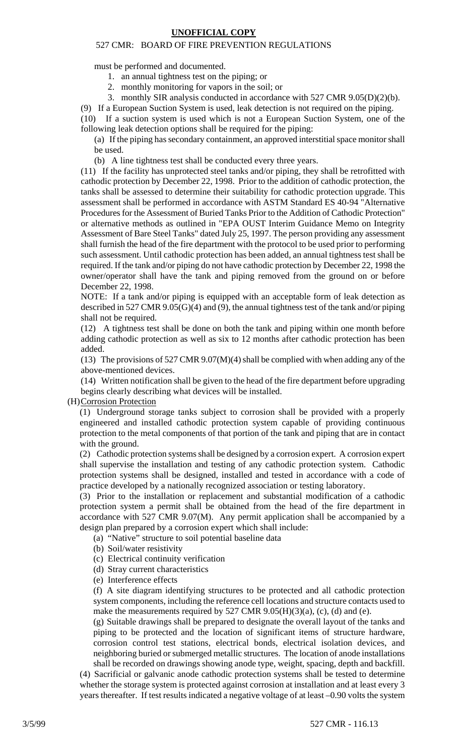## 527 CMR: BOARD OF FIRE PREVENTION REGULATIONS

must be performed and documented.

- 1. an annual tightness test on the piping; or
- 2. monthly monitoring for vapors in the soil; or
- 3. monthly SIR analysis conducted in accordance with 527 CMR 9.05(D)(2)(b).
- (9) If a European Suction System is used, leak detection is not required on the piping.

(10) If a suction system is used which is not a European Suction System, one of the following leak detection options shall be required for the piping:

(a) If the piping has secondary containment, an approved interstitial space monitor shall be used.

(b) A line tightness test shall be conducted every three years.

(11) If the facility has unprotected steel tanks and/or piping, they shall be retrofitted with cathodic protection by December 22, 1998. Prior to the addition of cathodic protection, the tanks shall be assessed to determine their suitability for cathodic protection upgrade. This assessment shall be performed in accordance with ASTM Standard ES 40-94 "Alternative Procedures for the Assessment of Buried Tanks Prior to the Addition of Cathodic Protection" or alternative methods as outlined in "EPA OUST Interim Guidance Memo on Integrity Assessment of Bare Steel Tanks" dated July 25, 1997. The person providing any assessment shall furnish the head of the fire department with the protocol to be used prior to performing such assessment. Until cathodic protection has been added, an annual tightness test shall be required. If the tank and/or piping do not have cathodic protection by December 22, 1998 the owner/operator shall have the tank and piping removed from the ground on or before December 22, 1998.

NOTE: If a tank and/or piping is equipped with an acceptable form of leak detection as described in 527 CMR 9.05(G)(4) and (9), the annual tightness test of the tank and/or piping shall not be required.

(12) A tightness test shall be done on both the tank and piping within one month before adding cathodic protection as well as six to 12 months after cathodic protection has been added.

(13) The provisions of 527 CMR 9.07(M)(4) shall be complied with when adding any of the above-mentioned devices.

(14) Written notification shall be given to the head of the fire department before upgrading begins clearly describing what devices will be installed.

## (H)Corrosion Protection

(1) Underground storage tanks subject to corrosion shall be provided with a properly engineered and installed cathodic protection system capable of providing continuous protection to the metal components of that portion of the tank and piping that are in contact with the ground.

(2) Cathodic protection systems shall be designed by a corrosion expert. A corrosion expert shall supervise the installation and testing of any cathodic protection system. Cathodic protection systems shall be designed, installed and tested in accordance with a code of practice developed by a nationally recognized association or testing laboratory.

(3) Prior to the installation or replacement and substantial modification of a cathodic protection system a permit shall be obtained from the head of the fire department in accordance with 527 CMR 9.07(M). Any permit application shall be accompanied by a design plan prepared by a corrosion expert which shall include:

- (a) "Native" structure to soil potential baseline data
- (b) Soil/water resistivity
- (c) Electrical continuity verification
- (d) Stray current characteristics
- (e) Interference effects

(f) A site diagram identifying structures to be protected and all cathodic protection system components, including the reference cell locations and structure contacts used to make the measurements required by 527 CMR 9.05(H)(3)(a), (c), (d) and (e).

(g) Suitable drawings shall be prepared to designate the overall layout of the tanks and piping to be protected and the location of significant items of structure hardware, corrosion control test stations, electrical bonds, electrical isolation devices, and neighboring buried or submerged metallic structures. The location of anode installations shall be recorded on drawings showing anode type, weight, spacing, depth and backfill.

(4) Sacrificial or galvanic anode cathodic protection systems shall be tested to determine whether the storage system is protected against corrosion at installation and at least every 3 years thereafter. If test results indicated a negative voltage of at least –0.90 volts the system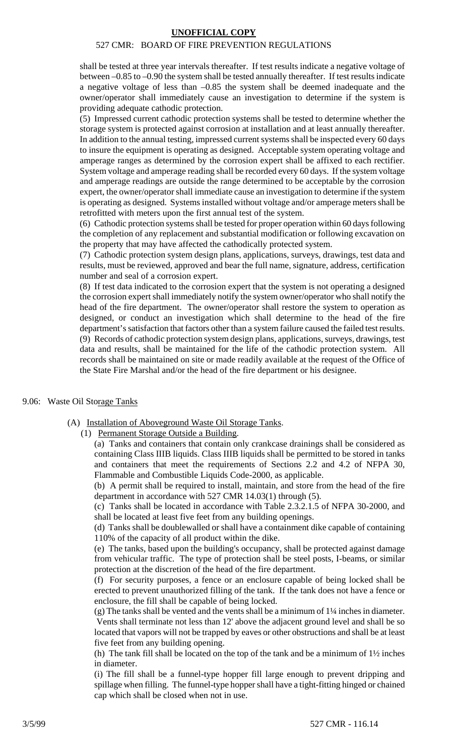#### 527 CMR: BOARD OF FIRE PREVENTION REGULATIONS

shall be tested at three year intervals thereafter. If test results indicate a negative voltage of between –0.85 to –0.90 the system shall be tested annually thereafter. If test results indicate a negative voltage of less than –0.85 the system shall be deemed inadequate and the owner/operator shall immediately cause an investigation to determine if the system is providing adequate cathodic protection.

(5) Impressed current cathodic protection systems shall be tested to determine whether the storage system is protected against corrosion at installation and at least annually thereafter. In addition to the annual testing, impressed current systems shall be inspected every 60 days to insure the equipment is operating as designed. Acceptable system operating voltage and amperage ranges as determined by the corrosion expert shall be affixed to each rectifier. System voltage and amperage reading shall be recorded every 60 days. If the system voltage and amperage readings are outside the range determined to be acceptable by the corrosion expert, the owner/operator shall immediate cause an investigation to determine if the system is operating as designed. Systems installed without voltage and/or amperage meters shall be retrofitted with meters upon the first annual test of the system.

(6) Cathodic protection systems shall be tested for proper operation within 60 days following the completion of any replacement and substantial modification or following excavation on the property that may have affected the cathodically protected system.

(7) Cathodic protection system design plans, applications, surveys, drawings, test data and results, must be reviewed, approved and bear the full name, signature, address, certification number and seal of a corrosion expert.

(8) If test data indicated to the corrosion expert that the system is not operating a designed the corrosion expert shall immediately notify the system owner/operator who shall notify the head of the fire department. The owner/operator shall restore the system to operation as designed, or conduct an investigation which shall determine to the head of the fire department's satisfaction that factors other than a system failure caused the failed test results. (9) Records of cathodic protection system design plans, applications, surveys, drawings, test data and results, shall be maintained for the life of the cathodic protection system. All records shall be maintained on site or made readily available at the request of the Office of the State Fire Marshal and/or the head of the fire department or his designee.

## 9.06: Waste Oil Storage Tanks

- (A) Installation of Aboveground Waste Oil Storage Tanks.
	- (1) Permanent Storage Outside a Building.

(a) Tanks and containers that contain only crankcase drainings shall be considered as containing Class IIIB liquids. Class IIIB liquids shall be permitted to be stored in tanks and containers that meet the requirements of Sections 2.2 and 4.2 of NFPA 30, Flammable and Combustible Liquids Code-2000, as applicable.

(b) A permit shall be required to install, maintain, and store from the head of the fire department in accordance with 527 CMR 14.03(1) through (5).

(c) Tanks shall be located in accordance with Table 2.3.2.1.5 of NFPA 30-2000, and shall be located at least five feet from any building openings.

(d) Tanks shall be doublewalled or shall have a containment dike capable of containing 110% of the capacity of all product within the dike.

(e) The tanks, based upon the building's occupancy, shall be protected against damage from vehicular traffic. The type of protection shall be steel posts, I-beams, or similar protection at the discretion of the head of the fire department.

(f) For security purposes, a fence or an enclosure capable of being locked shall be erected to prevent unauthorized filling of the tank. If the tank does not have a fence or enclosure, the fill shall be capable of being locked.

(g) The tanks shall be vented and the vents shall be a minimum of 1¼ inches in diameter. Vents shall terminate not less than 12' above the adjacent ground level and shall be so located that vapors will not be trapped by eaves or other obstructions and shall be at least five feet from any building opening.

(h) The tank fill shall be located on the top of the tank and be a minimum of  $1\frac{1}{2}$  inches in diameter.

(i) The fill shall be a funnel-type hopper fill large enough to prevent dripping and spillage when filling. The funnel-type hopper shall have a tight-fitting hinged or chained cap which shall be closed when not in use.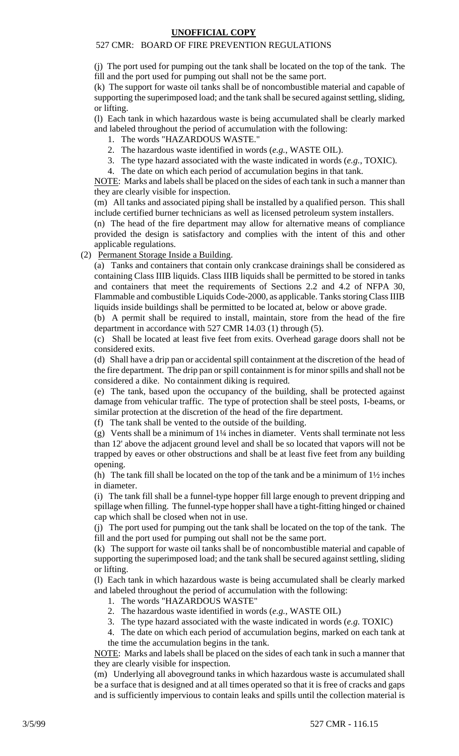## 527 CMR: BOARD OF FIRE PREVENTION REGULATIONS

(j) The port used for pumping out the tank shall be located on the top of the tank. The fill and the port used for pumping out shall not be the same port.

(k) The support for waste oil tanks shall be of noncombustible material and capable of supporting the superimposed load; and the tank shall be secured against settling, sliding, or lifting.

(l) Each tank in which hazardous waste is being accumulated shall be clearly marked and labeled throughout the period of accumulation with the following:

- 1. The words "HAZARDOUS WASTE."
- 2. The hazardous waste identified in words (*e.g.*, WASTE OIL).
- 3. The type hazard associated with the waste indicated in words (*e.g.*, TOXIC).
- 4. The date on which each period of accumulation begins in that tank.

NOTE: Marks and labels shall be placed on the sides of each tank in such a manner than they are clearly visible for inspection.

(m) All tanks and associated piping shall be installed by a qualified person. This shall include certified burner technicians as well as licensed petroleum system installers.

(n) The head of the fire department may allow for alternative means of compliance provided the design is satisfactory and complies with the intent of this and other applicable regulations.

(2) Permanent Storage Inside a Building.

(a) Tanks and containers that contain only crankcase drainings shall be considered as containing Class IIIB liquids. Class IIIB liquids shall be permitted to be stored in tanks and containers that meet the requirements of Sections 2.2 and 4.2 of NFPA 30, Flammable and combustible Liquids Code-2000, as applicable. Tanks storing Class IIIB liquids inside buildings shall be permitted to be located at, below or above grade.

(b) A permit shall be required to install, maintain, store from the head of the fire department in accordance with 527 CMR 14.03 (1) through (5).

(c) Shall be located at least five feet from exits. Overhead garage doors shall not be considered exits.

(d) Shall have a drip pan or accidental spill containment at the discretion of the head of the fire department. The drip pan or spill containment is for minor spills and shall not be considered a dike. No containment diking is required.

(e) The tank, based upon the occupancy of the building, shall be protected against damage from vehicular traffic. The type of protection shall be steel posts, I-beams, or similar protection at the discretion of the head of the fire department.

(f) The tank shall be vented to the outside of the building.

(g) Vents shall be a minimum of 1¼ inches in diameter. Vents shall terminate not less than 12' above the adjacent ground level and shall be so located that vapors will not be trapped by eaves or other obstructions and shall be at least five feet from any building opening.

(h) The tank fill shall be located on the top of the tank and be a minimum of  $1\frac{1}{2}$  inches in diameter.

(i) The tank fill shall be a funnel-type hopper fill large enough to prevent dripping and spillage when filling. The funnel-type hopper shall have a tight-fitting hinged or chained cap which shall be closed when not in use.

(j) The port used for pumping out the tank shall be located on the top of the tank. The fill and the port used for pumping out shall not be the same port.

(k) The support for waste oil tanks shall be of noncombustible material and capable of supporting the superimposed load; and the tank shall be secured against settling, sliding or lifting.

(l) Each tank in which hazardous waste is being accumulated shall be clearly marked and labeled throughout the period of accumulation with the following:

1. The words "HAZARDOUS WASTE"

- 2. The hazardous waste identified in words (*e.g.*, WASTE OIL)
- 3. The type hazard associated with the waste indicated in words (*e.g.* TOXIC)
- 4. The date on which each period of accumulation begins, marked on each tank at the time the accumulation begins in the tank.

NOTE: Marks and labels shall be placed on the sides of each tank in such a manner that they are clearly visible for inspection.

(m) Underlying all aboveground tanks in which hazardous waste is accumulated shall be a surface that is designed and at all times operated so that it is free of cracks and gaps and is sufficiently impervious to contain leaks and spills until the collection material is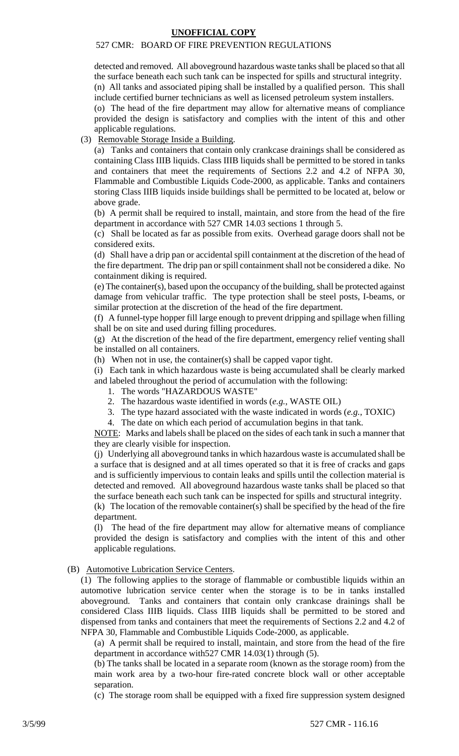## 527 CMR: BOARD OF FIRE PREVENTION REGULATIONS

detected and removed. All aboveground hazardous waste tanks shall be placed so that all the surface beneath each such tank can be inspected for spills and structural integrity. (n) All tanks and associated piping shall be installed by a qualified person. This shall include certified burner technicians as well as licensed petroleum system installers. (o) The head of the fire department may allow for alternative means of compliance

provided the design is satisfactory and complies with the intent of this and other applicable regulations.

## (3) Removable Storage Inside a Building.

(a) Tanks and containers that contain only crankcase drainings shall be considered as containing Class IIIB liquids. Class IIIB liquids shall be permitted to be stored in tanks and containers that meet the requirements of Sections 2.2 and 4.2 of NFPA 30, Flammable and Combustible Liquids Code-2000, as applicable. Tanks and containers storing Class IIIB liquids inside buildings shall be permitted to be located at, below or above grade.

(b) A permit shall be required to install, maintain, and store from the head of the fire department in accordance with 527 CMR 14.03 sections 1 through 5.

(c) Shall be located as far as possible from exits. Overhead garage doors shall not be considered exits.

(d) Shall have a drip pan or accidental spill containment at the discretion of the head of the fire department. The drip pan or spill containment shall not be considered a dike. No containment diking is required.

(e) The container(s), based upon the occupancy of the building, shall be protected against damage from vehicular traffic. The type protection shall be steel posts, I-beams, or similar protection at the discretion of the head of the fire department.

(f) A funnel-type hopper fill large enough to prevent dripping and spillage when filling shall be on site and used during filling procedures.

(g) At the discretion of the head of the fire department, emergency relief venting shall be installed on all containers.

(h) When not in use, the container(s) shall be capped vapor tight.

(i) Each tank in which hazardous waste is being accumulated shall be clearly marked and labeled throughout the period of accumulation with the following:

- 1. The words "HAZARDOUS WASTE"
- 2. The hazardous waste identified in words (*e.g.*, WASTE OIL)
- 3. The type hazard associated with the waste indicated in words (*e.g.*, TOXIC)
- 4. The date on which each period of accumulation begins in that tank.

NOTE: Marks and labels shall be placed on the sides of each tank in such a manner that they are clearly visible for inspection.

(j) Underlying all aboveground tanks in which hazardous waste is accumulated shall be a surface that is designed and at all times operated so that it is free of cracks and gaps and is sufficiently impervious to contain leaks and spills until the collection material is detected and removed. All aboveground hazardous waste tanks shall be placed so that the surface beneath each such tank can be inspected for spills and structural integrity.

(k) The location of the removable container(s) shall be specified by the head of the fire department.

(l) The head of the fire department may allow for alternative means of compliance provided the design is satisfactory and complies with the intent of this and other applicable regulations.

(B) Automotive Lubrication Service Centers.

(1) The following applies to the storage of flammable or combustible liquids within an automotive lubrication service center when the storage is to be in tanks installed aboveground. Tanks and containers that contain only crankcase drainings shall be considered Class IIIB liquids. Class IIIB liquids shall be permitted to be stored and dispensed from tanks and containers that meet the requirements of Sections 2.2 and 4.2 of NFPA 30, Flammable and Combustible Liquids Code-2000, as applicable.

(a) A permit shall be required to install, maintain, and store from the head of the fire department in accordance with527 CMR 14.03(1) through (5).

(b) The tanks shall be located in a separate room (known as the storage room) from the main work area by a two-hour fire-rated concrete block wall or other acceptable separation.

(c) The storage room shall be equipped with a fixed fire suppression system designed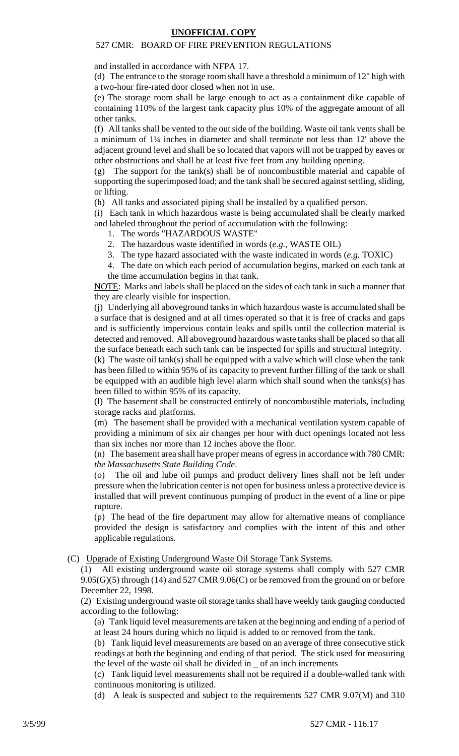## 527 CMR: BOARD OF FIRE PREVENTION REGULATIONS

and installed in accordance with NFPA 17.

(d) The entrance to the storage room shall have a threshold a minimum of 12" high with a two-hour fire-rated door closed when not in use.

(e) The storage room shall be large enough to act as a containment dike capable of containing 110% of the largest tank capacity plus 10% of the aggregate amount of all other tanks.

(f) All tanks shall be vented to the out side of the building. Waste oil tank vents shall be a minimum of 1¼ inches in diameter and shall terminate not less than 12' above the adjacent ground level and shall be so located that vapors will not be trapped by eaves or other obstructions and shall be at least five feet from any building opening.

(g) The support for the tank(s) shall be of noncombustible material and capable of supporting the superimposed load; and the tank shall be secured against settling, sliding, or lifting.

(h) All tanks and associated piping shall be installed by a qualified person.

(i) Each tank in which hazardous waste is being accumulated shall be clearly marked and labeled throughout the period of accumulation with the following:

1. The words "HAZARDOUS WASTE"

- 2. The hazardous waste identified in words (*e.g.*, WASTE OIL)
- 3. The type hazard associated with the waste indicated in words (*e.g.* TOXIC)
- 4. The date on which each period of accumulation begins, marked on each tank at the time accumulation begins in that tank.

NOTE: Marks and labels shall be placed on the sides of each tank in such a manner that they are clearly visible for inspection.

(j) Underlying all aboveground tanks in which hazardous waste is accumulated shall be a surface that is designed and at all times operated so that it is free of cracks and gaps and is sufficiently impervious contain leaks and spills until the collection material is detected and removed. All aboveground hazardous waste tanks shall be placed so that all the surface beneath each such tank can be inspected for spills and structural integrity.

(k) The waste oil tank(s) shall be equipped with a valve which will close when the tank has been filled to within 95% of its capacity to prevent further filling of the tank or shall be equipped with an audible high level alarm which shall sound when the tanks(s) has been filled to within 95% of its capacity.

(l) The basement shall be constructed entirely of noncombustible materials, including storage racks and platforms.

(m) The basement shall be provided with a mechanical ventilation system capable of providing a minimum of six air changes per hour with duct openings located not less than six inches nor more than 12 inches above the floor.

(n) The basement area shall have proper means of egress in accordance with 780 CMR: *the Massachusetts State Building Code*.

(o) The oil and lube oil pumps and product delivery lines shall not be left under pressure when the lubrication center is not open for business unless a protective device is installed that will prevent continuous pumping of product in the event of a line or pipe rupture.

(p) The head of the fire department may allow for alternative means of compliance provided the design is satisfactory and complies with the intent of this and other applicable regulations.

(C) Upgrade of Existing Underground Waste Oil Storage Tank Systems.

(1) All existing underground waste oil storage systems shall comply with 527 CMR 9.05(G)(5) through (14) and 527 CMR 9.06(C) or be removed from the ground on or before December 22, 1998.

(2) Existing underground waste oil storage tanks shall have weekly tank gauging conducted according to the following:

(a) Tank liquid level measurements are taken at the beginning and ending of a period of at least 24 hours during which no liquid is added to or removed from the tank.

(b) Tank liquid level measurements are based on an average of three consecutive stick readings at both the beginning and ending of that period. The stick used for measuring the level of the waste oil shall be divided in \_ of an inch increments

(c) Tank liquid level measurements shall not be required if a double-walled tank with continuous monitoring is utilized.

(d) A leak is suspected and subject to the requirements 527 CMR 9.07(M) and 310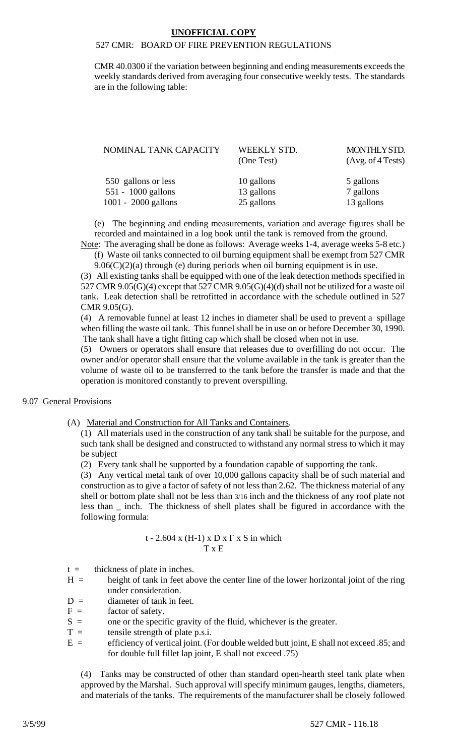#### 527 CMR: BOARD OF FIRE PREVENTION REGULATIONS

CMR 40.0300 if the variation between beginning and ending measurements exceeds the weekly standards derived from averaging four consecutive weekly tests. The standards are in the following table:

| NOMINAL TANK CAPACITY | WEEKLY STD.<br>(One Test) | MONTHLYSTD.<br>(Avg. of 4 Tests) |
|-----------------------|---------------------------|----------------------------------|
| 550 gallons or less   | 10 gallons                | 5 gallons                        |
| 551 - 1000 gallons    | 13 gallons                | 7 gallons                        |
| $1001 - 2000$ gallons | 25 gallons                | 13 gallons                       |

(e) The beginning and ending measurements, variation and average figures shall be recorded and maintained in a log book until the tank is removed from the ground.

Note: The averaging shall be done as follows: Average weeks 1-4, average weeks 5-8 etc.) (f) Waste oil tanks connected to oil burning equipment shall be exempt from 527 CMR  $9.06(C)(2)(a)$  through (e) during periods when oil burning equipment is in use.

(3) All existing tanks shall be equipped with one of the leak detection methods specified in 527 CMR 9.05(G)(4) except that 527 CMR 9.05(G)(4)(d) shall not be utilized for a waste oil tank. Leak detection shall be retrofitted in accordance with the schedule outlined in 527 CMR 9.05(G).

(4) A removable funnel at least 12 inches in diameter shall be used to prevent a spillage when filling the waste oil tank. This funnel shall be in use on or before December 30, 1990. The tank shall have a tight fitting cap which shall be closed when not in use.

(5) Owners or operators shall ensure that releases due to overfilling do not occur. The owner and/or operator shall ensure that the volume available in the tank is greater than the volume of waste oil to be transferred to the tank before the transfer is made and that the operation is monitored constantly to prevent overspilling.

#### 9.07 General Provisions

(A) Material and Construction for All Tanks and Containers.

(1) All materials used in the construction of any tank shall be suitable for the purpose, and such tank shall be designed and constructed to withstand any normal stress to which it may be subject

(2) Every tank shall be supported by a foundation capable of supporting the tank.

(3) Any vertical metal tank of over 10,000 gallons capacity shall be of such material and construction as to give a factor of safety of not less than 2.62. The thickness material of any shell or bottom plate shall not be less than 3/16 inch and the thickness of any roof plate not less than \_ inch. The thickness of shell plates shall be figured in accordance with the following formula:

$$
t - 2.604 \times (H-1) \times D \times F \times S
$$
 in which  
T x E

 $t =$  thickness of plate in inches.

- $H =$  height of tank in feet above the center line of the lower horizontal joint of the ring under consideration.
- $D =$  diameter of tank in feet.<br>  $F =$  factor of safety.
- factor of safety.
- $S =$  one or the specific gravity of the fluid, whichever is the greater.
- $T =$  tensile strength of plate p.s.i.
- $E =$  efficiency of vertical joint. (For double welded butt joint, E shall not exceed .85; and for double full fillet lap joint, E shall not exceed .75)

(4) Tanks may be constructed of other than standard open-hearth steel tank plate when approved by the Marshal. Such approval will specify minimum gauges, lengths, diameters, and materials of the tanks. The requirements of the manufacturer shall be closely followed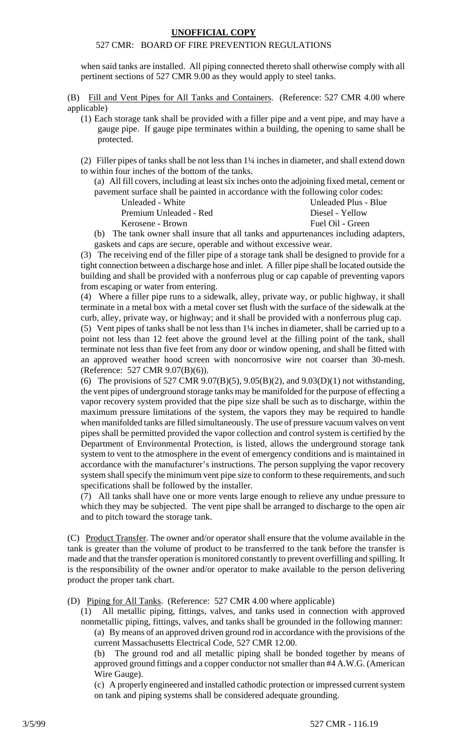## 527 CMR: BOARD OF FIRE PREVENTION REGULATIONS

when said tanks are installed. All piping connected thereto shall otherwise comply with all pertinent sections of 527 CMR 9.00 as they would apply to steel tanks.

(B) Fill and Vent Pipes for All Tanks and Containers. (Reference: 527 CMR 4.00 where applicable)

- (1) Each storage tank shall be provided with a filler pipe and a vent pipe, and may have a gauge pipe. If gauge pipe terminates within a building, the opening to same shall be protected.
- (2) Filler pipes of tanks shall be not less than 1¼ inches in diameter, and shall extend down to within four inches of the bottom of the tanks.
	- (a) All fill covers, including at least six inches onto the adjoining fixed metal, cement or pavement surface shall be painted in accordance with the following color codes:

| Unleaded - White       | Unleaded Plus - Blue |
|------------------------|----------------------|
| Premium Unleaded - Red | Diesel - Yellow      |
| Kerosene - Brown       | Fuel Oil - Green     |
|                        |                      |

(b) The tank owner shall insure that all tanks and appurtenances including adapters, gaskets and caps are secure, operable and without excessive wear.

(3) The receiving end of the filler pipe of a storage tank shall be designed to provide for a tight connection between a discharge hose and inlet. A filler pipe shall be located outside the building and shall be provided with a nonferrous plug or cap capable of preventing vapors from escaping or water from entering.

(4) Where a filler pipe runs to a sidewalk, alley, private way, or public highway, it shall terminate in a metal box with a metal cover set flush with the surface of the sidewalk at the curb, alley, private way, or highway; and it shall be provided with a nonferrous plug cap.

(5) Vent pipes of tanks shall be not less than 1¼ inches in diameter, shall be carried up to a point not less than 12 feet above the ground level at the filling point of the tank, shall terminate not less than five feet from any door or window opening, and shall be fitted with an approved weather hood screen with noncorrosive wire not coarser than 30-mesh. (Reference: 527 CMR 9.07(B)(6)).

(6) The provisions of 527 CMR 9.07(B)(5), 9.05(B)(2), and 9.03(D)(1) not withstanding, the vent pipes of underground storage tanks may be manifolded for the purpose of effecting a vapor recovery system provided that the pipe size shall be such as to discharge, within the maximum pressure limitations of the system, the vapors they may be required to handle when manifolded tanks are filled simultaneously. The use of pressure vacuum valves on vent pipes shall be permitted provided the vapor collection and control system is certified by the Department of Environmental Protection, is listed, allows the underground storage tank system to vent to the atmosphere in the event of emergency conditions and is maintained in accordance with the manufacturer's instructions. The person supplying the vapor recovery system shall specify the minimum vent pipe size to conform to these requirements, and such specifications shall be followed by the installer.

(7) All tanks shall have one or more vents large enough to relieve any undue pressure to which they may be subjected. The vent pipe shall be arranged to discharge to the open air and to pitch toward the storage tank.

(C) Product Transfer. The owner and/or operator shall ensure that the volume available in the tank is greater than the volume of product to be transferred to the tank before the transfer is made and that the transfer operation is monitored constantly to prevent overfilling and spilling. It is the responsibility of the owner and/or operator to make available to the person delivering product the proper tank chart.

(D) Piping for All Tanks. (Reference: 527 CMR 4.00 where applicable)

(1) All metallic piping, fittings, valves, and tanks used in connection with approved nonmetallic piping, fittings, valves, and tanks shall be grounded in the following manner:

(a) By means of an approved driven ground rod in accordance with the provisions of the current Massachusetts Electrical Code, 527 CMR 12.00.

(b) The ground rod and all metallic piping shall be bonded together by means of approved ground fittings and a copper conductor not smaller than #4 A.W.G. (American Wire Gauge).

(c) A properly engineered and installed cathodic protection or impressed current system on tank and piping systems shall be considered adequate grounding.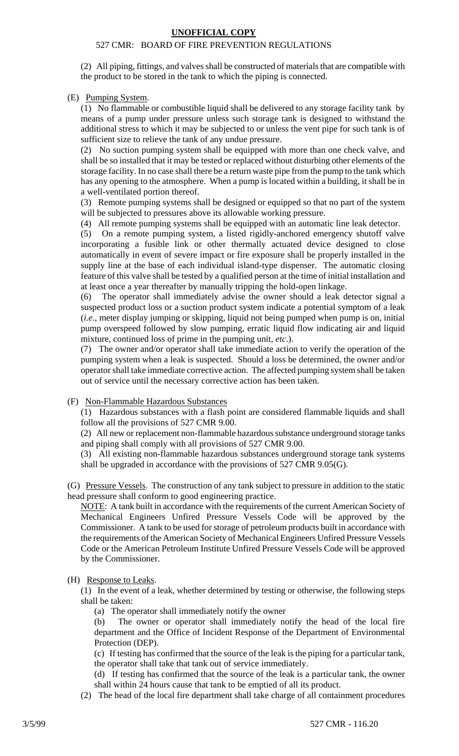## 527 CMR: BOARD OF FIRE PREVENTION REGULATIONS

(2) All piping, fittings, and valves shall be constructed of materials that are compatible with the product to be stored in the tank to which the piping is connected.

(E) Pumping System.

(1) No flammable or combustible liquid shall be delivered to any storage facility tank by means of a pump under pressure unless such storage tank is designed to withstand the additional stress to which it may be subjected to or unless the vent pipe for such tank is of sufficient size to relieve the tank of any undue pressure.

(2) No suction pumping system shall be equipped with more than one check valve, and shall be so installed that it may be tested or replaced without disturbing other elements of the storage facility. In no case shall there be a return waste pipe from the pump to the tank which has any opening to the atmosphere. When a pump is located within a building, it shall be in a well-ventilated portion thereof.

(3) Remote pumping systems shall be designed or equipped so that no part of the system will be subjected to pressures above its allowable working pressure.

(4) All remote pumping systems shall be equipped with an automatic line leak detector.

(5) On a remote pumping system, a listed rigidly-anchored emergency shutoff valve incorporating a fusible link or other thermally actuated device designed to close automatically in event of severe impact or fire exposure shall be properly installed in the supply line at the base of each individual island-type dispenser. The automatic closing feature of this valve shall be tested by a qualified person at the time of initial installation and at least once a year thereafter by manually tripping the hold-open linkage.

(6) The operator shall immediately advise the owner should a leak detector signal a suspected product loss or a suction product system indicate a potential symptom of a leak (*i.e.*, meter display jumping or skipping, liquid not being pumped when pump is on, initial pump overspeed followed by slow pumping, erratic liquid flow indicating air and liquid mixture, continued loss of prime in the pumping unit, *etc*.).

(7) The owner and/or operator shall take immediate action to verify the operation of the pumping system when a leak is suspected. Should a loss be determined, the owner and/or operator shall take immediate corrective action. The affected pumping system shall be taken out of service until the necessary corrective action has been taken.

(F) Non-Flammable Hazardous Substances

(1) Hazardous substances with a flash point are considered flammable liquids and shall follow all the provisions of 527 CMR 9.00.

(2) All new or replacement non-flammable hazardous substance underground storage tanks and piping shall comply with all provisions of 527 CMR 9.00.

(3) All existing non-flammable hazardous substances underground storage tank systems shall be upgraded in accordance with the provisions of 527 CMR 9.05(G).

(G) Pressure Vessels. The construction of any tank subject to pressure in addition to the static head pressure shall conform to good engineering practice.

NOTE: A tank built in accordance with the requirements of the current American Society of Mechanical Engineers Unfired Pressure Vessels Code will be approved by the Commissioner. A tank to be used for storage of petroleum products built in accordance with the requirements of the American Society of Mechanical Engineers Unfired Pressure Vessels Code or the American Petroleum Institute Unfired Pressure Vessels Code will be approved by the Commissioner.

(H) Response to Leaks.

(1) In the event of a leak, whether determined by testing or otherwise, the following steps shall be taken:

(a) The operator shall immediately notify the owner

(b) The owner or operator shall immediately notify the head of the local fire department and the Office of Incident Response of the Department of Environmental Protection (DEP).

(c) If testing has confirmed that the source of the leak is the piping for a particular tank, the operator shall take that tank out of service immediately.

(d) If testing has confirmed that the source of the leak is a particular tank, the owner shall within 24 hours cause that tank to be emptied of all its product.

(2) The head of the local fire department shall take charge of all containment procedures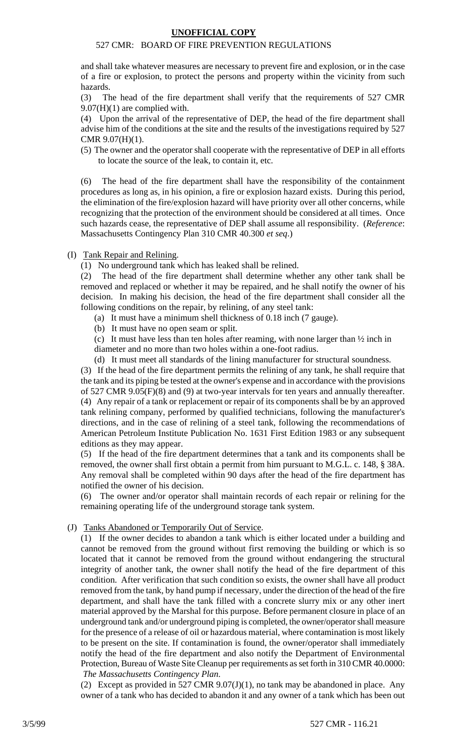## 527 CMR: BOARD OF FIRE PREVENTION REGULATIONS

and shall take whatever measures are necessary to prevent fire and explosion, or in the case of a fire or explosion, to protect the persons and property within the vicinity from such hazards.

(3) The head of the fire department shall verify that the requirements of 527 CMR 9.07(H)(1) are complied with.

(4) Upon the arrival of the representative of DEP, the head of the fire department shall advise him of the conditions at the site and the results of the investigations required by 527 CMR 9.07(H)(1).

(5) The owner and the operator shall cooperate with the representative of DEP in all efforts to locate the source of the leak, to contain it, etc.

(6) The head of the fire department shall have the responsibility of the containment procedures as long as, in his opinion, a fire or explosion hazard exists. During this period, the elimination of the fire/explosion hazard will have priority over all other concerns, while recognizing that the protection of the environment should be considered at all times. Once such hazards cease, the representative of DEP shall assume all responsibility. (*Reference*: Massachusetts Contingency Plan 310 CMR 40.300 *et seq*.)

## (I) Tank Repair and Relining.

(1) No underground tank which has leaked shall be relined.

(2) The head of the fire department shall determine whether any other tank shall be removed and replaced or whether it may be repaired, and he shall notify the owner of his decision. In making his decision, the head of the fire department shall consider all the following conditions on the repair, by relining, of any steel tank:

- (a) It must have a minimum shell thickness of 0.18 inch (7 gauge).
- (b) It must have no open seam or split.
- (c) It must have less than ten holes after reaming, with none larger than ½ inch in
- diameter and no more than two holes within a one-foot radius. (d) It must meet all standards of the lining manufacturer for structural soundness.

(3) If the head of the fire department permits the relining of any tank, he shall require that the tank and its piping be tested at the owner's expense and in accordance with the provisions of 527 CMR 9.05(F)(8) and (9) at two-year intervals for ten years and annually thereafter. (4) Any repair of a tank or replacement or repair of its components shall be by an approved tank relining company, performed by qualified technicians, following the manufacturer's directions, and in the case of relining of a steel tank, following the recommendations of American Petroleum Institute Publication No. 1631 First Edition 1983 or any subsequent editions as they may appear.

(5) If the head of the fire department determines that a tank and its components shall be removed, the owner shall first obtain a permit from him pursuant to M.G.L. c. 148, § 38A. Any removal shall be completed within 90 days after the head of the fire department has notified the owner of his decision.

(6) The owner and/or operator shall maintain records of each repair or relining for the remaining operating life of the underground storage tank system.

## (J) Tanks Abandoned or Temporarily Out of Service.

(1) If the owner decides to abandon a tank which is either located under a building and cannot be removed from the ground without first removing the building or which is so located that it cannot be removed from the ground without endangering the structural integrity of another tank, the owner shall notify the head of the fire department of this condition. After verification that such condition so exists, the owner shall have all product removed from the tank, by hand pump if necessary, under the direction of the head of the fire department, and shall have the tank filled with a concrete slurry mix or any other inert material approved by the Marshal for this purpose. Before permanent closure in place of an underground tank and/or underground piping is completed, the owner/operator shall measure for the presence of a release of oil or hazardous material, where contamination is most likely to be present on the site. If contamination is found, the owner/operator shall immediately notify the head of the fire department and also notify the Department of Environmental Protection, Bureau of Waste Site Cleanup per requirements as set forth in 310 CMR 40.0000: *The Massachusetts Contingency Plan*.

(2) Except as provided in 527 CMR 9.07(J)(1), no tank may be abandoned in place. Any owner of a tank who has decided to abandon it and any owner of a tank which has been out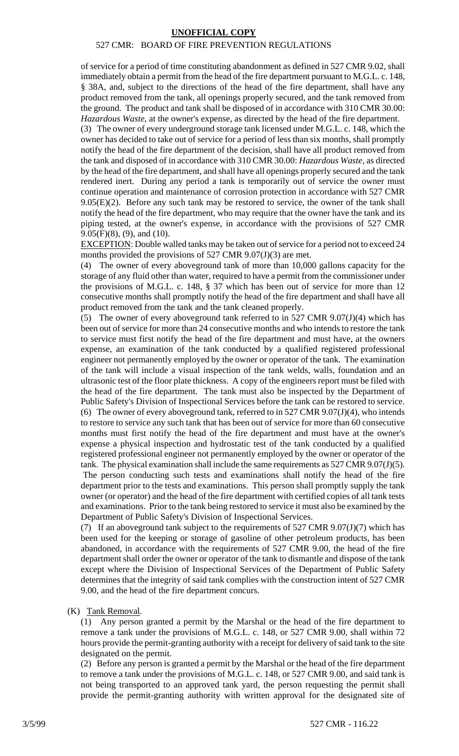#### 527 CMR: BOARD OF FIRE PREVENTION REGULATIONS

of service for a period of time constituting abandonment as defined in 527 CMR 9.02, shall immediately obtain a permit from the head of the fire department pursuant to M.G.L. c. 148, § 38A, and, subject to the directions of the head of the fire department, shall have any product removed from the tank, all openings properly secured, and the tank removed from the ground. The product and tank shall be disposed of in accordance with 310 CMR 30.00: *Hazardous Waste*, at the owner's expense, as directed by the head of the fire department.

(3) The owner of every underground storage tank licensed under M.G.L. c. 148, which the owner has decided to take out of service for a period of less than six months, shall promptly notify the head of the fire department of the decision, shall have all product removed from the tank and disposed of in accordance with 310 CMR 30.00: *Hazardous Waste*, as directed by the head of the fire department, and shall have all openings properly secured and the tank rendered inert. During any period a tank is temporarily out of service the owner must continue operation and maintenance of corrosion protection in accordance with 527 CMR 9.05(E)(2). Before any such tank may be restored to service, the owner of the tank shall notify the head of the fire department, who may require that the owner have the tank and its piping tested, at the owner's expense, in accordance with the provisions of 527 CMR 9.05(F)(8), (9), and (10).

EXCEPTION: Double walled tanks may be taken out of service for a period not to exceed 24 months provided the provisions of 527 CMR 9.07(J)(3) are met.

(4) The owner of every aboveground tank of more than 10,000 gallons capacity for the storage of any fluid other than water, required to have a permit from the commissioner under the provisions of M.G.L. c. 148, § 37 which has been out of service for more than 12 consecutive months shall promptly notify the head of the fire department and shall have all product removed from the tank and the tank cleaned properly.

(5) The owner of every aboveground tank referred to in 527 CMR 9.07(J)(4) which has been out of service for more than 24 consecutive months and who intends to restore the tank to service must first notify the head of the fire department and must have, at the owners expense, an examination of the tank conducted by a qualified registered professional engineer not permanently employed by the owner or operator of the tank. The examination of the tank will include a visual inspection of the tank welds, walls, foundation and an ultrasonic test of the floor plate thickness. A copy of the engineers report must be filed with the head of the fire department. The tank must also be inspected by the Department of Public Safety's Division of Inspectional Services before the tank can be restored to service. (6) The owner of every aboveground tank, referred to in  $527$  CMR  $9.07(J)(4)$ , who intends to restore to service any such tank that has been out of service for more than 60 consecutive months must first notify the head of the fire department and must have at the owner's expense a physical inspection and hydrostatic test of the tank conducted by a qualified registered professional engineer not permanently employed by the owner or operator of the tank. The physical examination shall include the same requirements as 527 CMR 9.07(J)(5). The person conducting such tests and examinations shall notify the head of the fire

department prior to the tests and examinations. This person shall promptly supply the tank owner (or operator) and the head of the fire department with certified copies of all tank tests and examinations. Prior to the tank being restored to service it must also be examined by the Department of Public Safety's Division of Inspectional Services.

(7) If an aboveground tank subject to the requirements of  $527$  CMR  $9.07(J)(7)$  which has been used for the keeping or storage of gasoline of other petroleum products, has been abandoned, in accordance with the requirements of 527 CMR 9.00, the head of the fire department shall order the owner or operator of the tank to dismantle and dispose of the tank except where the Division of Inspectional Services of the Department of Public Safety determines that the integrity of said tank complies with the construction intent of 527 CMR 9.00, and the head of the fire department concurs.

#### (K) Tank Removal.

(1) Any person granted a permit by the Marshal or the head of the fire department to remove a tank under the provisions of M.G.L. c. 148, or 527 CMR 9.00, shall within 72 hours provide the permit-granting authority with a receipt for delivery of said tank to the site designated on the permit.

(2) Before any person is granted a permit by the Marshal or the head of the fire department to remove a tank under the provisions of M.G.L. c. 148, or 527 CMR 9.00, and said tank is not being transported to an approved tank yard, the person requesting the permit shall provide the permit-granting authority with written approval for the designated site of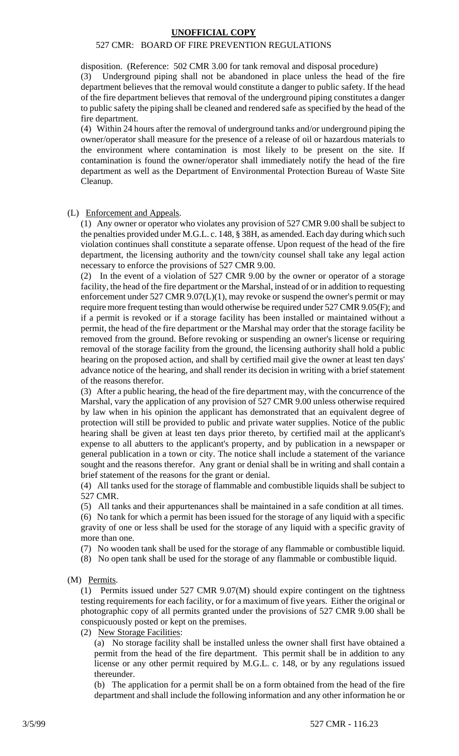## 527 CMR: BOARD OF FIRE PREVENTION REGULATIONS

disposition. (Reference: 502 CMR 3.00 for tank removal and disposal procedure) (3) Underground piping shall not be abandoned in place unless the head of the fire department believes that the removal would constitute a danger to public safety. If the head of the fire department believes that removal of the underground piping constitutes a danger to public safety the piping shall be cleaned and rendered safe as specified by the head of the fire department.

(4) Within 24 hours after the removal of underground tanks and/or underground piping the owner/operator shall measure for the presence of a release of oil or hazardous materials to the environment where contamination is most likely to be present on the site. If contamination is found the owner/operator shall immediately notify the head of the fire department as well as the Department of Environmental Protection Bureau of Waste Site Cleanup.

## (L) Enforcement and Appeals.

(1) Any owner or operator who violates any provision of 527 CMR 9.00 shall be subject to the penalties provided under M.G.L. c. 148, § 38H, as amended. Each day during which such violation continues shall constitute a separate offense. Upon request of the head of the fire department, the licensing authority and the town/city counsel shall take any legal action necessary to enforce the provisions of 527 CMR 9.00.

(2) In the event of a violation of 527 CMR 9.00 by the owner or operator of a storage facility, the head of the fire department or the Marshal, instead of or in addition to requesting enforcement under 527 CMR 9.07(L)(1), may revoke or suspend the owner's permit or may require more frequent testing than would otherwise be required under 527 CMR 9.05(F); and if a permit is revoked or if a storage facility has been installed or maintained without a permit, the head of the fire department or the Marshal may order that the storage facility be removed from the ground. Before revoking or suspending an owner's license or requiring removal of the storage facility from the ground, the licensing authority shall hold a public hearing on the proposed action, and shall by certified mail give the owner at least ten days' advance notice of the hearing, and shall render its decision in writing with a brief statement of the reasons therefor.

(3) After a public hearing, the head of the fire department may, with the concurrence of the Marshal, vary the application of any provision of 527 CMR 9.00 unless otherwise required by law when in his opinion the applicant has demonstrated that an equivalent degree of protection will still be provided to public and private water supplies. Notice of the public hearing shall be given at least ten days prior thereto, by certified mail at the applicant's expense to all abutters to the applicant's property, and by publication in a newspaper or general publication in a town or city. The notice shall include a statement of the variance sought and the reasons therefor. Any grant or denial shall be in writing and shall contain a brief statement of the reasons for the grant or denial.

(4) All tanks used for the storage of flammable and combustible liquids shall be subject to 527 CMR.

(5) All tanks and their appurtenances shall be maintained in a safe condition at all times.

(6) No tank for which a permit has been issued for the storage of any liquid with a specific gravity of one or less shall be used for the storage of any liquid with a specific gravity of more than one.

(7) No wooden tank shall be used for the storage of any flammable or combustible liquid.

(8) No open tank shall be used for the storage of any flammable or combustible liquid.

(M) Permits.

(1) Permits issued under 527 CMR 9.07(M) should expire contingent on the tightness testing requirements for each facility, or for a maximum of five years. Either the original or photographic copy of all permits granted under the provisions of 527 CMR 9.00 shall be conspicuously posted or kept on the premises.

(2) New Storage Facilities:

(a) No storage facility shall be installed unless the owner shall first have obtained a permit from the head of the fire department. This permit shall be in addition to any license or any other permit required by M.G.L. c. 148, or by any regulations issued thereunder.

(b) The application for a permit shall be on a form obtained from the head of the fire department and shall include the following information and any other information he or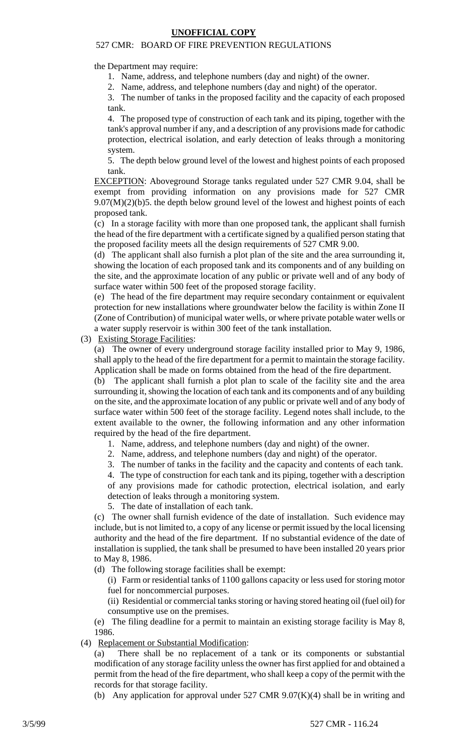## 527 CMR: BOARD OF FIRE PREVENTION REGULATIONS

the Department may require:

1. Name, address, and telephone numbers (day and night) of the owner.

2. Name, address, and telephone numbers (day and night) of the operator.

3. The number of tanks in the proposed facility and the capacity of each proposed tank.

4. The proposed type of construction of each tank and its piping, together with the tank's approval number if any, and a description of any provisions made for cathodic protection, electrical isolation, and early detection of leaks through a monitoring system.

5. The depth below ground level of the lowest and highest points of each proposed tank.

EXCEPTION: Aboveground Storage tanks regulated under 527 CMR 9.04, shall be exempt from providing information on any provisions made for 527 CMR 9.07(M)(2)(b)5. the depth below ground level of the lowest and highest points of each proposed tank.

(c) In a storage facility with more than one proposed tank, the applicant shall furnish the head of the fire department with a certificate signed by a qualified person stating that the proposed facility meets all the design requirements of 527 CMR 9.00.

(d) The applicant shall also furnish a plot plan of the site and the area surrounding it, showing the location of each proposed tank and its components and of any building on the site, and the approximate location of any public or private well and of any body of surface water within 500 feet of the proposed storage facility.

(e) The head of the fire department may require secondary containment or equivalent protection for new installations where groundwater below the facility is within Zone II (Zone of Contribution) of municipal water wells, or where private potable water wells or a water supply reservoir is within 300 feet of the tank installation.

(3) Existing Storage Facilities:

(a) The owner of every underground storage facility installed prior to May 9, 1986, shall apply to the head of the fire department for a permit to maintain the storage facility. Application shall be made on forms obtained from the head of the fire department.

(b) The applicant shall furnish a plot plan to scale of the facility site and the area surrounding it, showing the location of each tank and its components and of any building on the site, and the approximate location of any public or private well and of any body of surface water within 500 feet of the storage facility. Legend notes shall include, to the extent available to the owner, the following information and any other information required by the head of the fire department.

1. Name, address, and telephone numbers (day and night) of the owner.

2. Name, address, and telephone numbers (day and night) of the operator.

3. The number of tanks in the facility and the capacity and contents of each tank.

4. The type of construction for each tank and its piping, together with a description of any provisions made for cathodic protection, electrical isolation, and early detection of leaks through a monitoring system.

5. The date of installation of each tank.

(c) The owner shall furnish evidence of the date of installation. Such evidence may include, but is not limited to, a copy of any license or permit issued by the local licensing authority and the head of the fire department. If no substantial evidence of the date of installation is supplied, the tank shall be presumed to have been installed 20 years prior to May 8, 1986.

(d) The following storage facilities shall be exempt:

(i) Farm or residential tanks of 1100 gallons capacity or less used for storing motor fuel for noncommercial purposes.

(ii) Residential or commercial tanks storing or having stored heating oil (fuel oil) for consumptive use on the premises.

(e) The filing deadline for a permit to maintain an existing storage facility is May 8, 1986.

(4) Replacement or Substantial Modification:

(a) There shall be no replacement of a tank or its components or substantial modification of any storage facility unless the owner has first applied for and obtained a permit from the head of the fire department, who shall keep a copy of the permit with the records for that storage facility.

(b) Any application for approval under  $527$  CMR  $9.07(K)(4)$  shall be in writing and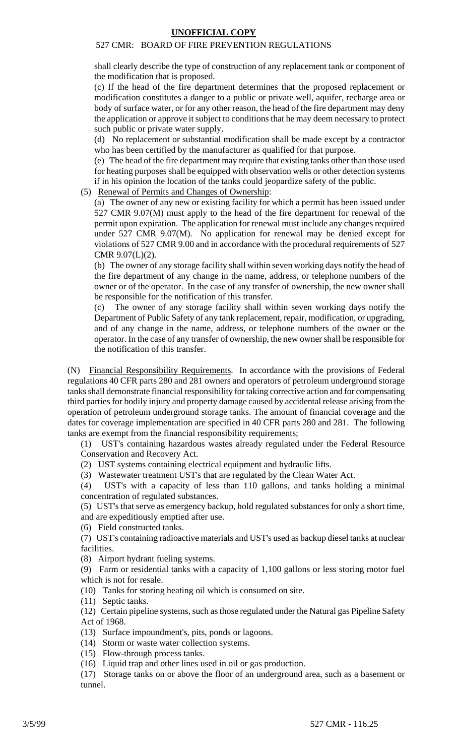## 527 CMR: BOARD OF FIRE PREVENTION REGULATIONS

shall clearly describe the type of construction of any replacement tank or component of the modification that is proposed.

(c) If the head of the fire department determines that the proposed replacement or modification constitutes a danger to a public or private well, aquifer, recharge area or body of surface water, or for any other reason, the head of the fire department may deny the application or approve it subject to conditions that he may deem necessary to protect such public or private water supply.

(d) No replacement or substantial modification shall be made except by a contractor who has been certified by the manufacturer as qualified for that purpose.

(e) The head of the fire department may require that existing tanks other than those used for heating purposes shall be equipped with observation wells or other detection systems if in his opinion the location of the tanks could jeopardize safety of the public.

(5) Renewal of Permits and Changes of Ownership:

(a) The owner of any new or existing facility for which a permit has been issued under 527 CMR 9.07(M) must apply to the head of the fire department for renewal of the permit upon expiration. The application for renewal must include any changes required under 527 CMR 9.07(M). No application for renewal may be denied except for violations of 527 CMR 9.00 and in accordance with the procedural requirements of 527 CMR 9.07(L)(2).

(b) The owner of any storage facility shall within seven working days notify the head of the fire department of any change in the name, address, or telephone numbers of the owner or of the operator. In the case of any transfer of ownership, the new owner shall be responsible for the notification of this transfer.

(c) The owner of any storage facility shall within seven working days notify the Department of Public Safety of any tank replacement, repair, modification, or upgrading, and of any change in the name, address, or telephone numbers of the owner or the operator. In the case of any transfer of ownership, the new owner shall be responsible for the notification of this transfer.

(N) Financial Responsibility Requirements. In accordance with the provisions of Federal regulations 40 CFR parts 280 and 281 owners and operators of petroleum underground storage tanks shall demonstrate financial responsibility for taking corrective action and for compensating third parties for bodily injury and property damage caused by accidental release arising from the operation of petroleum underground storage tanks. The amount of financial coverage and the dates for coverage implementation are specified in 40 CFR parts 280 and 281. The following tanks are exempt from the financial responsibility requirements;

(1) UST's containing hazardous wastes already regulated under the Federal Resource Conservation and Recovery Act.

(2) UST systems containing electrical equipment and hydraulic lifts.

(3) Wastewater treatment UST's that are regulated by the Clean Water Act.

(4) UST's with a capacity of less than 110 gallons, and tanks holding a minimal concentration of regulated substances.

(5) UST's that serve as emergency backup, hold regulated substances for only a short time, and are expeditiously emptied after use.

(6) Field constructed tanks.

(7) UST's containing radioactive materials and UST's used as backup diesel tanks at nuclear facilities.

(8) Airport hydrant fueling systems.

(9) Farm or residential tanks with a capacity of 1,100 gallons or less storing motor fuel which is not for resale.

(10) Tanks for storing heating oil which is consumed on site.

(11) Septic tanks.

(12) Certain pipeline systems, such as those regulated under the Natural gas Pipeline Safety Act of 1968.

(13) Surface impoundment's, pits, ponds or lagoons.

(14) Storm or waste water collection systems.

(15) Flow-through process tanks.

(16) Liquid trap and other lines used in oil or gas production.

(17) Storage tanks on or above the floor of an underground area, such as a basement or tunnel.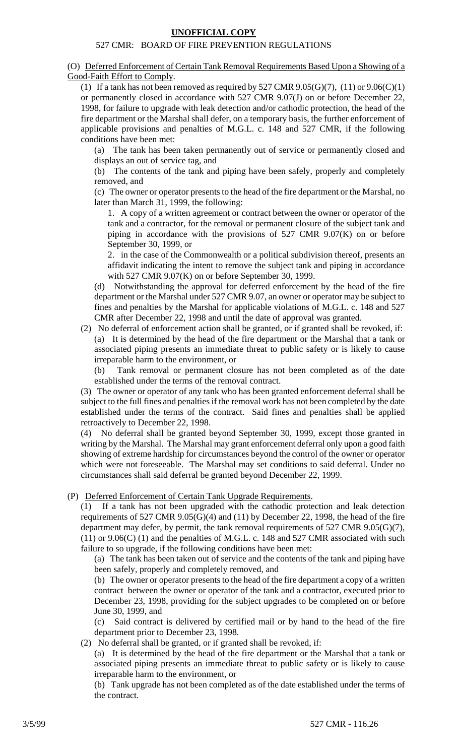## 527 CMR: BOARD OF FIRE PREVENTION REGULATIONS

(O) Deferred Enforcement of Certain Tank Removal Requirements Based Upon a Showing of a Good-Faith Effort to Comply.

(1) If a tank has not been removed as required by  $527$  CMR  $9.05(G)(7)$ ,  $(11)$  or  $9.06(C)(1)$ or permanently closed in accordance with 527 CMR 9.07(J) on or before December 22, 1998, for failure to upgrade with leak detection and/or cathodic protection, the head of the fire department or the Marshal shall defer, on a temporary basis, the further enforcement of applicable provisions and penalties of M.G.L. c. 148 and 527 CMR, if the following conditions have been met:

(a) The tank has been taken permanently out of service or permanently closed and displays an out of service tag, and

(b) The contents of the tank and piping have been safely, properly and completely removed, and

(c) The owner or operator presents to the head of the fire department or the Marshal, no later than March 31, 1999, the following:

1. A copy of a written agreement or contract between the owner or operator of the tank and a contractor, for the removal or permanent closure of the subject tank and piping in accordance with the provisions of 527 CMR 9.07(K) on or before September 30, 1999, or

2. in the case of the Commonwealth or a political subdivision thereof, presents an affidavit indicating the intent to remove the subject tank and piping in accordance with 527 CMR 9.07(K) on or before September 30, 1999.

(d) Notwithstanding the approval for deferred enforcement by the head of the fire department or the Marshal under 527 CMR 9.07, an owner or operator may be subject to fines and penalties by the Marshal for applicable violations of M.G.L. c. 148 and 527 CMR after December 22, 1998 and until the date of approval was granted.

(2) No deferral of enforcement action shall be granted, or if granted shall be revoked, if: (a) It is determined by the head of the fire department or the Marshal that a tank or associated piping presents an immediate threat to public safety or is likely to cause irreparable harm to the environment, or

(b) Tank removal or permanent closure has not been completed as of the date established under the terms of the removal contract.

(3) The owner or operator of any tank who has been granted enforcement deferral shall be subject to the full fines and penalties if the removal work has not been completed by the date established under the terms of the contract. Said fines and penalties shall be applied retroactively to December 22, 1998.

(4) No deferral shall be granted beyond September 30, 1999, except those granted in writing by the Marshal. The Marshal may grant enforcement deferral only upon a good faith showing of extreme hardship for circumstances beyond the control of the owner or operator which were not foreseeable. The Marshal may set conditions to said deferral. Under no circumstances shall said deferral be granted beyond December 22, 1999.

(P) Deferred Enforcement of Certain Tank Upgrade Requirements.

(1) If a tank has not been upgraded with the cathodic protection and leak detection requirements of  $527$  CMR  $9.05(G)(4)$  and  $(11)$  by December 22, 1998, the head of the fire department may defer, by permit, the tank removal requirements of 527 CMR 9.05(G)(7),  $(11)$  or 9.06(C)  $(1)$  and the penalties of M.G.L. c. 148 and 527 CMR associated with such failure to so upgrade, if the following conditions have been met:

(a) The tank has been taken out of service and the contents of the tank and piping have been safely, properly and completely removed, and

(b) The owner or operator presents to the head of the fire department a copy of a written contract between the owner or operator of the tank and a contractor, executed prior to December 23, 1998, providing for the subject upgrades to be completed on or before June 30, 1999, and

(c) Said contract is delivered by certified mail or by hand to the head of the fire department prior to December 23, 1998.

(2) No deferral shall be granted, or if granted shall be revoked, if:

(a) It is determined by the head of the fire department or the Marshal that a tank or associated piping presents an immediate threat to public safety or is likely to cause irreparable harm to the environment, or

(b) Tank upgrade has not been completed as of the date established under the terms of the contract.